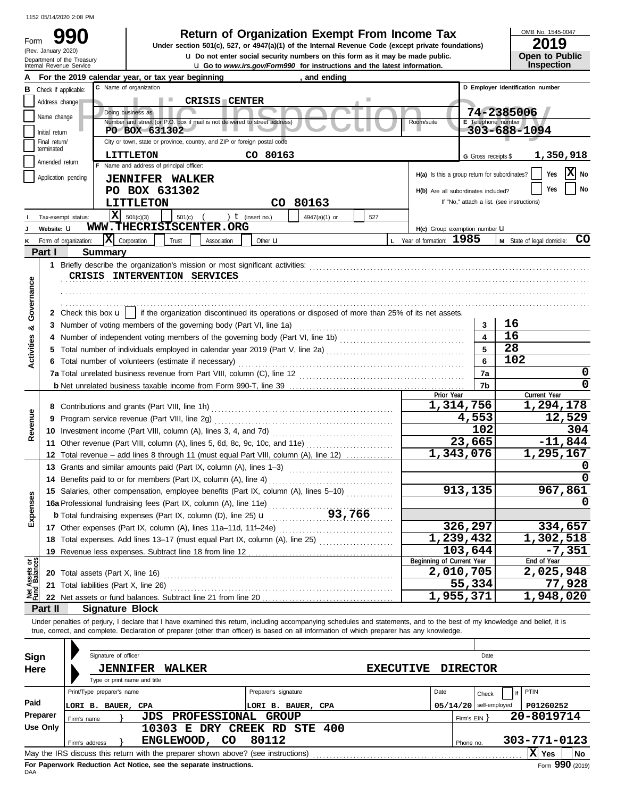(Rev. January 2020)

Form

# **990 2019 Return of Organization Exempt From Income Tax 2019 2019 2019 2019 2019 2019 2019 2019 2019 2019 2019 2019 2019 2019 2019 2019 2019 2019 2019 2019 2019 2019 2019**

**u** Go to *www.irs.gov/Form990* for instructions and the latest information. **u** Do not enter social security numbers on this form as it may be made public. **Under section 501(c), 527, or 4947(a)(1) of the Internal Revenue Code (except private foundations)** OMB No. 1545-0047

| 2019                  |
|-----------------------|
| <b>Open to Public</b> |
| <b>Inspection</b>     |

|                                |                             | Department of the Treasury<br>Internal Revenue Service                            |                            |                              |                                        |                         |                                                                            | <b>U</b> Do not enter social security numbers on this form as it may be made public.<br><b>u</b> Go to www.irs.gov/Form990 for instructions and the latest information.                             |        |                  |                                                             |                          |                         | Open to Public<br><b>Inspection</b>                                                                                                                                        |
|--------------------------------|-----------------------------|-----------------------------------------------------------------------------------|----------------------------|------------------------------|----------------------------------------|-------------------------|----------------------------------------------------------------------------|-----------------------------------------------------------------------------------------------------------------------------------------------------------------------------------------------------|--------|------------------|-------------------------------------------------------------|--------------------------|-------------------------|----------------------------------------------------------------------------------------------------------------------------------------------------------------------------|
|                                |                             | For the 2019 calendar year, or tax year beginning                                 |                            |                              |                                        |                         |                                                                            | , and ending                                                                                                                                                                                        |        |                  |                                                             |                          |                         |                                                                                                                                                                            |
| в                              | Check if applicable:        |                                                                                   |                            | C Name of organization       |                                        |                         |                                                                            |                                                                                                                                                                                                     |        |                  |                                                             |                          |                         | D Employer identification number                                                                                                                                           |
|                                | Address change              |                                                                                   |                            |                              | ш                                      | <b>CRISIS CENTER</b>    |                                                                            |                                                                                                                                                                                                     |        |                  |                                                             |                          |                         |                                                                                                                                                                            |
|                                | Name change                 |                                                                                   | Doing business as          |                              |                                        |                         |                                                                            |                                                                                                                                                                                                     |        |                  |                                                             |                          |                         | 74-2385006                                                                                                                                                                 |
|                                |                             |                                                                                   |                            |                              |                                        |                         | Number and street (or P.O. box if mail is not delivered to street address) |                                                                                                                                                                                                     |        |                  | Room/suite                                                  |                          | E Telephone number      |                                                                                                                                                                            |
|                                | Initial return              |                                                                                   |                            | PO BOX 631302                |                                        |                         |                                                                            |                                                                                                                                                                                                     |        |                  |                                                             |                          |                         | 303-688-1094                                                                                                                                                               |
|                                | Final return/<br>terminated |                                                                                   |                            |                              |                                        |                         | City or town, state or province, country, and ZIP or foreign postal code   |                                                                                                                                                                                                     |        |                  |                                                             |                          |                         |                                                                                                                                                                            |
|                                | Amended return              |                                                                                   |                            | <b>LITTLETON</b>             | Name and address of principal officer: |                         | CO 80163                                                                   |                                                                                                                                                                                                     |        |                  |                                                             |                          | G Gross receipts \$     | 1,350,918                                                                                                                                                                  |
|                                | Application pending         |                                                                                   |                            |                              |                                        |                         |                                                                            |                                                                                                                                                                                                     |        |                  | H(a) Is this a group return for subordinates?               |                          |                         | X No<br>Yes                                                                                                                                                                |
|                                |                             |                                                                                   |                            |                              | <b>JENNIFER WALKER</b>                 |                         |                                                                            |                                                                                                                                                                                                     |        |                  |                                                             |                          |                         | No<br>Yes                                                                                                                                                                  |
|                                |                             |                                                                                   |                            |                              | PO BOX 631302                          |                         |                                                                            | CO 80163                                                                                                                                                                                            |        |                  | H(b) Are all subordinates included?                         |                          |                         | If "No," attach a list. (see instructions)                                                                                                                                 |
|                                |                             |                                                                                   | $\mathbf{X}$ 501(c)(3)     | <b>LITTLETON</b>             |                                        |                         |                                                                            |                                                                                                                                                                                                     |        |                  |                                                             |                          |                         |                                                                                                                                                                            |
|                                |                             | Tax-exempt status:                                                                |                            |                              | 501(c)                                 | WWW.THECRISISCENTER.ORG | ) $t$ (insert no.)                                                         | 4947(a)(1) or                                                                                                                                                                                       | 527    |                  |                                                             |                          |                         |                                                                                                                                                                            |
|                                | Website: U                  | Form of organization:                                                             | $ \mathbf{X} $ Corporation |                              | Trust                                  | Association             | Other <b>u</b>                                                             |                                                                                                                                                                                                     |        |                  | H(c) Group exemption number LI<br>L Year of formation: 1985 |                          |                         | <b>CO</b><br>M State of legal domicile:                                                                                                                                    |
|                                | Part I                      | <b>Summary</b>                                                                    |                            |                              |                                        |                         |                                                                            |                                                                                                                                                                                                     |        |                  |                                                             |                          |                         |                                                                                                                                                                            |
|                                |                             |                                                                                   |                            |                              |                                        |                         |                                                                            |                                                                                                                                                                                                     |        |                  |                                                             |                          |                         |                                                                                                                                                                            |
|                                |                             | CRISIS INTERVENTION SERVICES                                                      |                            |                              |                                        |                         |                                                                            |                                                                                                                                                                                                     |        |                  |                                                             |                          |                         |                                                                                                                                                                            |
|                                |                             |                                                                                   |                            |                              |                                        |                         |                                                                            |                                                                                                                                                                                                     |        |                  |                                                             |                          |                         |                                                                                                                                                                            |
|                                |                             |                                                                                   |                            |                              |                                        |                         |                                                                            |                                                                                                                                                                                                     |        |                  |                                                             |                          |                         |                                                                                                                                                                            |
| Governance                     |                             |                                                                                   |                            |                              |                                        |                         |                                                                            | 2 Check this box $\mathbf{u}$   if the organization discontinued its operations or disposed of more than 25% of its net assets.                                                                     |        |                  |                                                             |                          |                         |                                                                                                                                                                            |
| ಯ                              |                             |                                                                                   |                            |                              |                                        |                         |                                                                            |                                                                                                                                                                                                     |        |                  |                                                             |                          | 3                       | 16                                                                                                                                                                         |
|                                |                             |                                                                                   |                            |                              |                                        |                         |                                                                            |                                                                                                                                                                                                     |        |                  |                                                             |                          | $\overline{\mathbf{4}}$ | 16                                                                                                                                                                         |
|                                |                             |                                                                                   |                            |                              |                                        |                         |                                                                            |                                                                                                                                                                                                     |        |                  |                                                             |                          | 5                       | 28                                                                                                                                                                         |
| Activities                     |                             | 6 Total number of volunteers (estimate if necessary)                              |                            |                              |                                        |                         |                                                                            |                                                                                                                                                                                                     |        |                  |                                                             |                          | 6                       | 102                                                                                                                                                                        |
|                                |                             |                                                                                   |                            |                              |                                        |                         |                                                                            |                                                                                                                                                                                                     |        |                  |                                                             |                          | 7a                      | 0                                                                                                                                                                          |
|                                |                             |                                                                                   |                            |                              |                                        |                         |                                                                            |                                                                                                                                                                                                     |        |                  |                                                             |                          | 7b                      | $\Omega$                                                                                                                                                                   |
|                                |                             |                                                                                   |                            |                              |                                        |                         |                                                                            |                                                                                                                                                                                                     |        |                  | Prior Year                                                  |                          |                         | Current Year                                                                                                                                                               |
|                                |                             |                                                                                   |                            |                              |                                        |                         |                                                                            |                                                                                                                                                                                                     |        |                  |                                                             | 1,314,756                |                         | 1,294,178                                                                                                                                                                  |
| Revenue                        | 9                           |                                                                                   |                            |                              |                                        |                         |                                                                            |                                                                                                                                                                                                     |        |                  |                                                             | 4,553                    | 102                     | 12,529<br>304                                                                                                                                                              |
|                                |                             |                                                                                   |                            |                              |                                        |                         |                                                                            |                                                                                                                                                                                                     |        |                  |                                                             | 23,665                   |                         | $-11,844$                                                                                                                                                                  |
|                                | 12                          |                                                                                   |                            |                              |                                        |                         |                                                                            | 11 Other revenue (Part VIII, column (A), lines 5, 6d, 8c, 9c, 10c, and 11e) [[[[[[[[[[[[[[[[[[[[[[[[[[[[[[[[[<br>Total revenue – add lines 8 through 11 (must equal Part VIII, column (A), line 12) |        |                  |                                                             | 1,343,076                |                         | 1,295,167                                                                                                                                                                  |
|                                |                             | 13 Grants and similar amounts paid (Part IX, column (A), lines 1-3)               |                            |                              |                                        |                         |                                                                            |                                                                                                                                                                                                     |        |                  |                                                             |                          |                         | O                                                                                                                                                                          |
|                                | 14                          | Benefits paid to or for members (Part IX, column (A), line 4)                     |                            |                              |                                        |                         |                                                                            |                                                                                                                                                                                                     |        |                  |                                                             |                          |                         |                                                                                                                                                                            |
|                                |                             |                                                                                   |                            |                              |                                        |                         |                                                                            | 15 Salaries, other compensation, employee benefits (Part IX, column (A), lines 5-10)                                                                                                                |        |                  |                                                             | 913,135                  |                         | 967,861                                                                                                                                                                    |
| ses                            |                             | 16a Professional fundraising fees (Part IX, column (A), line 11e)                 |                            |                              |                                        |                         |                                                                            |                                                                                                                                                                                                     |        |                  |                                                             |                          |                         | 0                                                                                                                                                                          |
| Exper                          |                             | <b>b</b> Total fundraising expenses (Part IX, column (D), line 25) $\mathbf{u}$   |                            |                              |                                        |                         |                                                                            |                                                                                                                                                                                                     | 93,766 |                  |                                                             |                          |                         |                                                                                                                                                                            |
|                                |                             |                                                                                   |                            |                              |                                        |                         |                                                                            | 17 Other expenses (Part IX, column (A), lines 11a-11d, 11f-24e)                                                                                                                                     |        |                  |                                                             | 326,297                  |                         | 334,657                                                                                                                                                                    |
|                                | 18                          |                                                                                   |                            |                              |                                        |                         |                                                                            |                                                                                                                                                                                                     |        |                  |                                                             | 1,239,432                |                         | <u>1,302,518</u>                                                                                                                                                           |
|                                | 19                          |                                                                                   |                            |                              |                                        |                         |                                                                            |                                                                                                                                                                                                     |        |                  |                                                             | 103,644                  |                         | $-7,351$                                                                                                                                                                   |
|                                |                             |                                                                                   |                            |                              |                                        |                         |                                                                            |                                                                                                                                                                                                     |        |                  | Beginning of Current Year                                   |                          |                         | End of Year                                                                                                                                                                |
|                                |                             |                                                                                   |                            |                              |                                        |                         |                                                                            |                                                                                                                                                                                                     |        |                  |                                                             | 2,010,705                |                         | 2,025,948                                                                                                                                                                  |
| Net Assets or<br>Fund Balances | 21                          | Total liabilities (Part X, line 26)                                               |                            |                              |                                        |                         |                                                                            |                                                                                                                                                                                                     |        |                  |                                                             | 55,334                   |                         | 77,928                                                                                                                                                                     |
|                                |                             |                                                                                   |                            |                              |                                        |                         |                                                                            |                                                                                                                                                                                                     |        |                  |                                                             | 1,955,371                |                         | 1,948,020                                                                                                                                                                  |
|                                | Part II                     |                                                                                   |                            | <b>Signature Block</b>       |                                        |                         |                                                                            |                                                                                                                                                                                                     |        |                  |                                                             |                          |                         |                                                                                                                                                                            |
|                                |                             |                                                                                   |                            |                              |                                        |                         |                                                                            | true, correct, and complete. Declaration of preparer (other than officer) is based on all information of which preparer has any knowledge.                                                          |        |                  |                                                             |                          |                         | Under penalties of perjury, I declare that I have examined this return, including accompanying schedules and statements, and to the best of my knowledge and belief, it is |
|                                |                             |                                                                                   |                            |                              |                                        |                         |                                                                            |                                                                                                                                                                                                     |        |                  |                                                             |                          |                         |                                                                                                                                                                            |
| <b>Sign</b>                    |                             |                                                                                   | Signature of officer       |                              |                                        |                         |                                                                            |                                                                                                                                                                                                     |        |                  |                                                             |                          | Date                    |                                                                                                                                                                            |
| Here                           |                             |                                                                                   | <b>JENNIFER</b>            |                              | <b>WALKER</b>                          |                         |                                                                            |                                                                                                                                                                                                     |        | <b>EXECUTIVE</b> |                                                             | <b>DIRECTOR</b>          |                         |                                                                                                                                                                            |
|                                |                             |                                                                                   |                            | Type or print name and title |                                        |                         |                                                                            |                                                                                                                                                                                                     |        |                  |                                                             |                          |                         |                                                                                                                                                                            |
|                                |                             | Print/Type preparer's name                                                        |                            |                              |                                        |                         | Preparer's signature                                                       |                                                                                                                                                                                                     |        |                  | Date                                                        |                          | Check                   | PTIN<br>if                                                                                                                                                                 |
| Paid                           |                             | LORI B. BAUER, CPA                                                                |                            |                              |                                        |                         |                                                                            | LORI B. BAUER, CPA                                                                                                                                                                                  |        |                  |                                                             | $05/14/20$ self-employed |                         | P01260252                                                                                                                                                                  |
|                                | Preparer                    | Firm's name                                                                       |                            | JDS                          |                                        |                         | PROFESSIONAL GROUP                                                         |                                                                                                                                                                                                     |        |                  |                                                             | Firm's $EIN$ }           |                         | 20-8019714                                                                                                                                                                 |
|                                | <b>Use Only</b>             |                                                                                   |                            |                              |                                        |                         |                                                                            | 10303 E DRY CREEK RD STE 400                                                                                                                                                                        |        |                  |                                                             |                          |                         |                                                                                                                                                                            |
|                                |                             | Firm's address                                                                    |                            |                              | ENGLEWOOD,                             | CO                      | 80112                                                                      |                                                                                                                                                                                                     |        |                  |                                                             | Phone no.                |                         | 303-771-0123                                                                                                                                                               |
|                                |                             | May the IRS discuss this return with the preparer shown above? (see instructions) |                            |                              |                                        |                         |                                                                            |                                                                                                                                                                                                     |        |                  |                                                             |                          |                         | $ \mathbf{\overline{X}} $ Yes<br>No                                                                                                                                        |

| Sign        |                | Signature of officer         |                  |                                                                    |                 |                                                                                   |  |      |              | Date                     |    |                    |                 |
|-------------|----------------|------------------------------|------------------|--------------------------------------------------------------------|-----------------|-----------------------------------------------------------------------------------|--|------|--------------|--------------------------|----|--------------------|-----------------|
| <b>Here</b> |                | <b>JENNIFER</b>              | <b>EXECUTIVE</b> |                                                                    | <b>DIRECTOR</b> |                                                                                   |  |      |              |                          |    |                    |                 |
|             |                | Type or print name and title |                  |                                                                    |                 |                                                                                   |  |      |              |                          |    |                    |                 |
|             |                | Print/Type preparer's name   |                  |                                                                    |                 | Preparer's signature                                                              |  | Date |              | Check                    | if | PTIN               |                 |
| Paid        |                | LORI B. BAUER, CPA           |                  |                                                                    |                 | LORI B. BAUER, CPA                                                                |  |      |              | $05/14/20$ self-employed |    | P01260252          |                 |
| Preparer    | Firm's name    |                              | JDS              | <b>PROFESSIONAL</b>                                                |                 | <b>GROUP</b>                                                                      |  |      | Firm's EIN Y |                          |    | 20-8019714         |                 |
| Use Only    |                |                              |                  |                                                                    |                 | 10303 E DRY CREEK RD STE 400                                                      |  |      |              |                          |    |                    |                 |
|             | Firm's address |                              |                  | ENGLEWOOD,                                                         | CO              | 80112                                                                             |  |      | Phone no.    |                          |    | $303 - 771 - 0123$ |                 |
|             |                |                              |                  |                                                                    |                 | May the IRS discuss this return with the preparer shown above? (see instructions) |  |      |              |                          |    | X  Yes             | <b>No</b>       |
| <b>DAA</b>  |                |                              |                  | For Paperwork Reduction Act Notice, see the separate instructions. |                 |                                                                                   |  |      |              |                          |    |                    | Form 990 (2019) |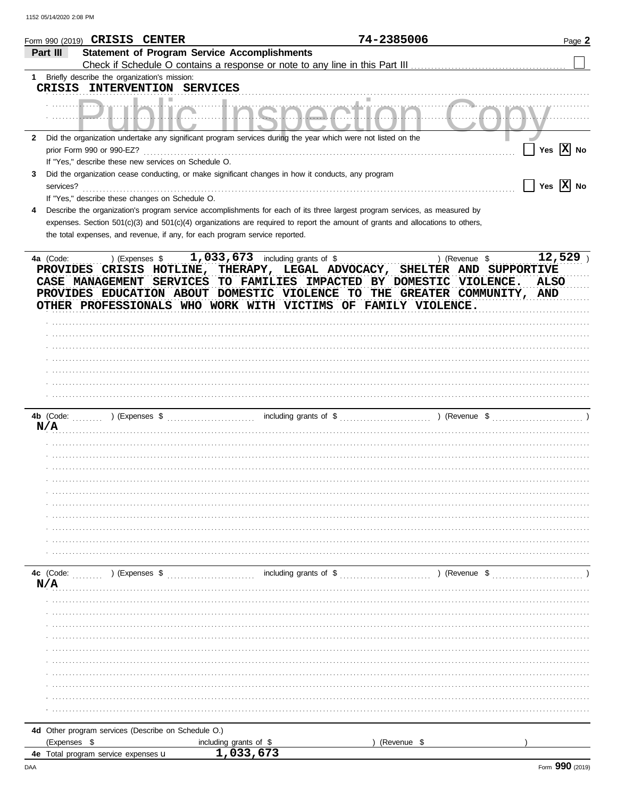| Form 990 (2019) CRISIS CENTER |              |                                     |                |                                                                                  |                        |                                                                                                              | 74-2385006 |                                                                                                                                                                                                                   |               | Page 2                                                                                                                                                                                                                                                                                                                                                                                |
|-------------------------------|--------------|-------------------------------------|----------------|----------------------------------------------------------------------------------|------------------------|--------------------------------------------------------------------------------------------------------------|------------|-------------------------------------------------------------------------------------------------------------------------------------------------------------------------------------------------------------------|---------------|---------------------------------------------------------------------------------------------------------------------------------------------------------------------------------------------------------------------------------------------------------------------------------------------------------------------------------------------------------------------------------------|
| Part III                      |              |                                     |                |                                                                                  |                        | <b>Statement of Program Service Accomplishments</b>                                                          |            |                                                                                                                                                                                                                   |               |                                                                                                                                                                                                                                                                                                                                                                                       |
|                               |              |                                     |                |                                                                                  |                        |                                                                                                              |            |                                                                                                                                                                                                                   |               |                                                                                                                                                                                                                                                                                                                                                                                       |
|                               |              |                                     |                | Briefly describe the organization's mission:                                     |                        |                                                                                                              |            |                                                                                                                                                                                                                   |               |                                                                                                                                                                                                                                                                                                                                                                                       |
|                               |              |                                     |                | CRISIS INTERVENTION SERVICES                                                     |                        |                                                                                                              |            |                                                                                                                                                                                                                   |               |                                                                                                                                                                                                                                                                                                                                                                                       |
|                               |              |                                     |                |                                                                                  |                        |                                                                                                              |            |                                                                                                                                                                                                                   |               |                                                                                                                                                                                                                                                                                                                                                                                       |
|                               |              |                                     |                |                                                                                  |                        |                                                                                                              |            |                                                                                                                                                                                                                   |               |                                                                                                                                                                                                                                                                                                                                                                                       |
| $\mathbf{2}$                  |              |                                     |                |                                                                                  |                        | Did the organization undertake any significant program services during the year which were not listed on the |            |                                                                                                                                                                                                                   |               |                                                                                                                                                                                                                                                                                                                                                                                       |
|                               |              | prior Form 990 or 990-EZ?           |                |                                                                                  |                        |                                                                                                              |            |                                                                                                                                                                                                                   |               | Yes $\overline{X}$ No                                                                                                                                                                                                                                                                                                                                                                 |
|                               |              |                                     |                | If "Yes," describe these new services on Schedule O.                             |                        |                                                                                                              |            |                                                                                                                                                                                                                   |               |                                                                                                                                                                                                                                                                                                                                                                                       |
| 3                             |              |                                     |                |                                                                                  |                        | Did the organization cease conducting, or make significant changes in how it conducts, any program           |            |                                                                                                                                                                                                                   |               |                                                                                                                                                                                                                                                                                                                                                                                       |
|                               | services?    |                                     |                |                                                                                  |                        |                                                                                                              |            |                                                                                                                                                                                                                   |               | Yes $ \mathbf{X} $ No                                                                                                                                                                                                                                                                                                                                                                 |
|                               |              |                                     |                | If "Yes," describe these changes on Schedule O.                                  |                        |                                                                                                              |            |                                                                                                                                                                                                                   |               |                                                                                                                                                                                                                                                                                                                                                                                       |
|                               |              |                                     |                |                                                                                  |                        |                                                                                                              |            | Describe the organization's program service accomplishments for each of its three largest program services, as measured by                                                                                        |               |                                                                                                                                                                                                                                                                                                                                                                                       |
|                               |              |                                     |                |                                                                                  |                        |                                                                                                              |            | expenses. Section 501(c)(3) and 501(c)(4) organizations are required to report the amount of grants and allocations to others,                                                                                    |               |                                                                                                                                                                                                                                                                                                                                                                                       |
|                               |              |                                     |                |                                                                                  |                        | the total expenses, and revenue, if any, for each program service reported.                                  |            |                                                                                                                                                                                                                   |               |                                                                                                                                                                                                                                                                                                                                                                                       |
|                               |              |                                     |                |                                                                                  |                        |                                                                                                              |            |                                                                                                                                                                                                                   |               |                                                                                                                                                                                                                                                                                                                                                                                       |
| 4a (Code:                     |              |                                     | ) (Expenses \$ | PROVIDES CRISIS HOTLINE,<br>CASE MANAGEMENT SERVICES<br>PROVIDES EDUCATION ABOUT |                        | 1,033,673 including grants of \$                                                                             |            | THERAPY, LEGAL ADVOCACY, SHELTER AND SUPPORTIVE<br>TO FAMILIES IMPACTED BY DOMESTIC VIOLENCE.<br>DOMESTIC VIOLENCE TO THE GREATER COMMUNITY, AND<br>OTHER PROFESSIONALS WHO WORK WITH VICTIMS OF FAMILY VIOLENCE. | ) (Revenue \$ | 12,529<br><b>ALSO</b>                                                                                                                                                                                                                                                                                                                                                                 |
|                               |              |                                     |                |                                                                                  |                        |                                                                                                              |            |                                                                                                                                                                                                                   |               |                                                                                                                                                                                                                                                                                                                                                                                       |
|                               |              |                                     |                |                                                                                  |                        |                                                                                                              |            |                                                                                                                                                                                                                   |               |                                                                                                                                                                                                                                                                                                                                                                                       |
|                               |              |                                     |                |                                                                                  |                        |                                                                                                              |            |                                                                                                                                                                                                                   |               |                                                                                                                                                                                                                                                                                                                                                                                       |
|                               |              |                                     |                |                                                                                  |                        |                                                                                                              |            |                                                                                                                                                                                                                   |               |                                                                                                                                                                                                                                                                                                                                                                                       |
|                               |              |                                     |                |                                                                                  |                        |                                                                                                              |            |                                                                                                                                                                                                                   |               |                                                                                                                                                                                                                                                                                                                                                                                       |
|                               |              |                                     |                |                                                                                  |                        |                                                                                                              |            |                                                                                                                                                                                                                   |               |                                                                                                                                                                                                                                                                                                                                                                                       |
|                               |              |                                     |                |                                                                                  |                        |                                                                                                              |            |                                                                                                                                                                                                                   |               |                                                                                                                                                                                                                                                                                                                                                                                       |
|                               |              |                                     |                |                                                                                  |                        |                                                                                                              |            |                                                                                                                                                                                                                   |               |                                                                                                                                                                                                                                                                                                                                                                                       |
| 4b (Code:                     |              |                                     |                |                                                                                  |                        |                                                                                                              |            |                                                                                                                                                                                                                   |               | including grants of $\sqrt[6]{\frac{1}{2} + \frac{1}{2} + \frac{1}{2} + \frac{1}{2} + \frac{1}{2} + \frac{1}{2} + \frac{1}{2} + \frac{1}{2} + \frac{1}{2} + \frac{1}{2} + \frac{1}{2} + \frac{1}{2} + \frac{1}{2} + \frac{1}{2} + \frac{1}{2} + \frac{1}{2} + \frac{1}{2} + \frac{1}{2} + \frac{1}{2} + \frac{1}{2} + \frac{1}{2} + \frac{1}{2} + \frac{1}{2} + \frac{1}{2} + \frac{$ |
| N/A                           |              |                                     |                |                                                                                  |                        |                                                                                                              |            |                                                                                                                                                                                                                   |               |                                                                                                                                                                                                                                                                                                                                                                                       |
|                               |              |                                     |                |                                                                                  |                        |                                                                                                              |            |                                                                                                                                                                                                                   |               |                                                                                                                                                                                                                                                                                                                                                                                       |
|                               |              |                                     |                |                                                                                  |                        |                                                                                                              |            |                                                                                                                                                                                                                   |               |                                                                                                                                                                                                                                                                                                                                                                                       |
|                               |              |                                     |                |                                                                                  |                        |                                                                                                              |            |                                                                                                                                                                                                                   |               |                                                                                                                                                                                                                                                                                                                                                                                       |
|                               |              |                                     |                |                                                                                  |                        |                                                                                                              |            |                                                                                                                                                                                                                   |               |                                                                                                                                                                                                                                                                                                                                                                                       |
|                               |              |                                     |                |                                                                                  |                        |                                                                                                              |            |                                                                                                                                                                                                                   |               |                                                                                                                                                                                                                                                                                                                                                                                       |
|                               |              |                                     |                |                                                                                  |                        |                                                                                                              |            |                                                                                                                                                                                                                   |               |                                                                                                                                                                                                                                                                                                                                                                                       |
|                               |              |                                     |                |                                                                                  |                        |                                                                                                              |            |                                                                                                                                                                                                                   |               |                                                                                                                                                                                                                                                                                                                                                                                       |
|                               |              |                                     |                |                                                                                  |                        |                                                                                                              |            |                                                                                                                                                                                                                   |               |                                                                                                                                                                                                                                                                                                                                                                                       |
|                               |              |                                     |                |                                                                                  |                        |                                                                                                              |            |                                                                                                                                                                                                                   |               |                                                                                                                                                                                                                                                                                                                                                                                       |
|                               |              |                                     |                |                                                                                  |                        |                                                                                                              |            |                                                                                                                                                                                                                   |               |                                                                                                                                                                                                                                                                                                                                                                                       |
|                               |              |                                     |                |                                                                                  |                        |                                                                                                              |            |                                                                                                                                                                                                                   |               |                                                                                                                                                                                                                                                                                                                                                                                       |
| 4c (Code:                     |              |                                     | ) (Expenses \$ |                                                                                  |                        | including grants of \$                                                                                       |            |                                                                                                                                                                                                                   | ) (Revenue \$ |                                                                                                                                                                                                                                                                                                                                                                                       |
| N/A                           |              |                                     |                |                                                                                  |                        |                                                                                                              |            |                                                                                                                                                                                                                   |               |                                                                                                                                                                                                                                                                                                                                                                                       |
|                               |              |                                     |                |                                                                                  |                        |                                                                                                              |            |                                                                                                                                                                                                                   |               |                                                                                                                                                                                                                                                                                                                                                                                       |
|                               |              |                                     |                |                                                                                  |                        |                                                                                                              |            |                                                                                                                                                                                                                   |               |                                                                                                                                                                                                                                                                                                                                                                                       |
|                               |              |                                     |                |                                                                                  |                        |                                                                                                              |            |                                                                                                                                                                                                                   |               |                                                                                                                                                                                                                                                                                                                                                                                       |
|                               |              |                                     |                |                                                                                  |                        |                                                                                                              |            |                                                                                                                                                                                                                   |               |                                                                                                                                                                                                                                                                                                                                                                                       |
|                               |              |                                     |                |                                                                                  |                        |                                                                                                              |            |                                                                                                                                                                                                                   |               |                                                                                                                                                                                                                                                                                                                                                                                       |
|                               |              |                                     |                |                                                                                  |                        |                                                                                                              |            |                                                                                                                                                                                                                   |               |                                                                                                                                                                                                                                                                                                                                                                                       |
|                               |              |                                     |                |                                                                                  |                        |                                                                                                              |            |                                                                                                                                                                                                                   |               |                                                                                                                                                                                                                                                                                                                                                                                       |
|                               |              |                                     |                |                                                                                  |                        |                                                                                                              |            |                                                                                                                                                                                                                   |               |                                                                                                                                                                                                                                                                                                                                                                                       |
|                               |              |                                     |                |                                                                                  |                        |                                                                                                              |            |                                                                                                                                                                                                                   |               |                                                                                                                                                                                                                                                                                                                                                                                       |
|                               |              |                                     |                |                                                                                  |                        |                                                                                                              |            |                                                                                                                                                                                                                   |               |                                                                                                                                                                                                                                                                                                                                                                                       |
|                               |              |                                     |                |                                                                                  |                        |                                                                                                              |            |                                                                                                                                                                                                                   |               |                                                                                                                                                                                                                                                                                                                                                                                       |
|                               |              |                                     |                | 4d Other program services (Describe on Schedule O.)                              |                        |                                                                                                              |            |                                                                                                                                                                                                                   |               |                                                                                                                                                                                                                                                                                                                                                                                       |
|                               | (Expenses \$ |                                     |                |                                                                                  | including grants of \$ |                                                                                                              |            | (Revenue \$                                                                                                                                                                                                       |               |                                                                                                                                                                                                                                                                                                                                                                                       |
|                               |              | 4e Total program service expenses u |                |                                                                                  | 1,033,673              |                                                                                                              |            |                                                                                                                                                                                                                   |               |                                                                                                                                                                                                                                                                                                                                                                                       |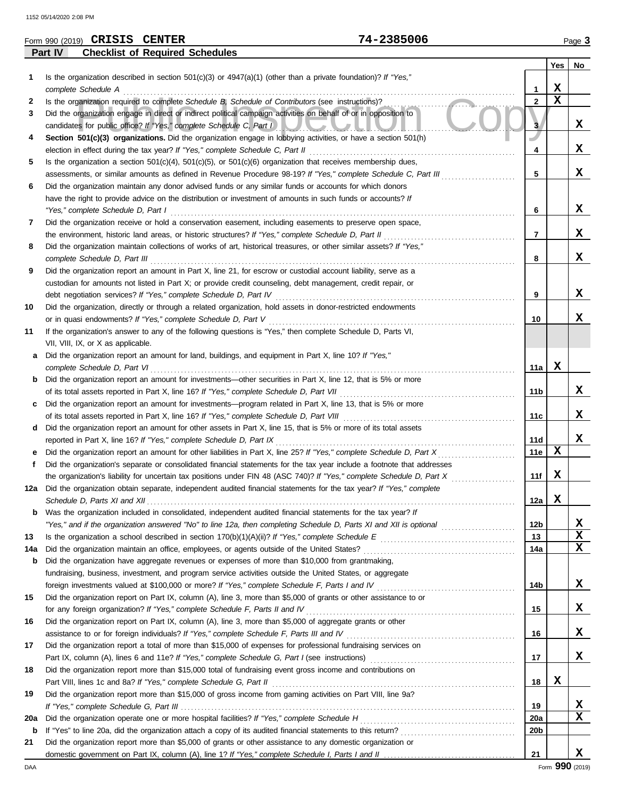|     | Form 990 (2019) CRISIS<br><b>CENTER</b><br>74-2385006                                                                                                                                                                                |                         |             | Page 3 |
|-----|--------------------------------------------------------------------------------------------------------------------------------------------------------------------------------------------------------------------------------------|-------------------------|-------------|--------|
|     | <b>Checklist of Required Schedules</b><br>Part IV                                                                                                                                                                                    |                         |             |        |
|     |                                                                                                                                                                                                                                      |                         | <b>Yes</b>  | No     |
| 1   | Is the organization described in section $501(c)(3)$ or $4947(a)(1)$ (other than a private foundation)? If "Yes,"<br>complete Schedule A                                                                                             | 1                       | x           |        |
| 2   | Is the organization required to complete Schedule B, Schedule of Contributors (see instructions)?                                                                                                                                    | $\mathbf{2}$            | $\mathbf x$ |        |
| 3   | Did the organization engage in direct or indirect political campaign activities on behalf of or in opposition to                                                                                                                     |                         |             |        |
|     | candidates for public office? If "Yes," complete Schedule C, Part I<br><u> DA DA DA HINDAH</u>                                                                                                                                       | $\overline{\mathbf{3}}$ |             | x      |
| 4   | Section 501(c)(3) organizations. Did the organization engage in lobbying activities, or have a section 501(h)                                                                                                                        |                         |             |        |
|     | election in effect during the tax year? If "Yes," complete Schedule C, Part II                                                                                                                                                       | 4                       |             | x      |
| 5   | Is the organization a section $501(c)(4)$ , $501(c)(5)$ , or $501(c)(6)$ organization that receives membership dues,                                                                                                                 |                         |             |        |
|     | assessments, or similar amounts as defined in Revenue Procedure 98-19? If "Yes," complete Schedule C, Part III                                                                                                                       | 5                       |             | x      |
| 6   | Did the organization maintain any donor advised funds or any similar funds or accounts for which donors                                                                                                                              |                         |             |        |
|     | have the right to provide advice on the distribution or investment of amounts in such funds or accounts? If                                                                                                                          |                         |             |        |
|     | "Yes," complete Schedule D, Part I                                                                                                                                                                                                   | 6                       |             | x      |
| 7   | Did the organization receive or hold a conservation easement, including easements to preserve open space,                                                                                                                            |                         |             | x      |
|     | the environment, historic land areas, or historic structures? If "Yes," complete Schedule D, Part II<br>Did the organization maintain collections of works of art, historical treasures, or other similar assets? If "Yes,"          | 7                       |             |        |
| 8   | complete Schedule D, Part III                                                                                                                                                                                                        | 8                       |             | x      |
| 9   | Did the organization report an amount in Part X, line 21, for escrow or custodial account liability, serve as a                                                                                                                      |                         |             |        |
|     | custodian for amounts not listed in Part X; or provide credit counseling, debt management, credit repair, or                                                                                                                         |                         |             |        |
|     | debt negotiation services? If "Yes," complete Schedule D, Part IV                                                                                                                                                                    | 9                       |             | x      |
| 10  | Did the organization, directly or through a related organization, hold assets in donor-restricted endowments                                                                                                                         |                         |             |        |
|     | or in quasi endowments? If "Yes," complete Schedule D, Part V                                                                                                                                                                        | 10                      |             | x      |
| 11  | If the organization's answer to any of the following questions is "Yes," then complete Schedule D, Parts VI,                                                                                                                         |                         |             |        |
|     | VII, VIII, IX, or X as applicable.                                                                                                                                                                                                   |                         |             |        |
| а   | Did the organization report an amount for land, buildings, and equipment in Part X, line 10? If "Yes,"                                                                                                                               |                         |             |        |
|     | complete Schedule D, Part VI                                                                                                                                                                                                         | 11a                     | x           |        |
| b   | Did the organization report an amount for investments—other securities in Part X, line 12, that is 5% or more                                                                                                                        |                         |             |        |
|     | of its total assets reported in Part X, line 16? If "Yes," complete Schedule D, Part VII                                                                                                                                             | 11b                     |             | x      |
| c   | Did the organization report an amount for investments—program related in Part X, line 13, that is 5% or more                                                                                                                         |                         |             | x      |
|     | of its total assets reported in Part X, line 16? If "Yes," complete Schedule D, Part VIII<br>Did the organization report an amount for other assets in Part X, line 15, that is 5% or more of its total assets                       | 11c                     |             |        |
| d   | reported in Part X, line 16? If "Yes," complete Schedule D, Part IX                                                                                                                                                                  | 11d                     |             | x      |
| е   | Did the organization report an amount for other liabilities in Part X, line 25? If "Yes," complete Schedule D, Part X                                                                                                                | 11e                     | х           |        |
| f   | Did the organization's separate or consolidated financial statements for the tax year include a footnote that addresses                                                                                                              |                         |             |        |
|     | the organization's liability for uncertain tax positions under FIN 48 (ASC 740)? If "Yes," complete Schedule D, Part X                                                                                                               | 11f                     | x           |        |
| 12a | Did the organization obtain separate, independent audited financial statements for the tax year? If "Yes," complete                                                                                                                  |                         |             |        |
|     | Schedule D, Parts XI and XII electron contract to the contract of the Schedule D, Parts XI and XII electron contract to the schedule D, Parts XI and XII electron contract to the set of the set of the set of the set of the        | 12a                     | X           |        |
| b   | Was the organization included in consolidated, independent audited financial statements for the tax year? If                                                                                                                         |                         |             |        |
|     | "Yes," and if the organization answered "No" to line 12a, then completing Schedule D, Parts XI and XII is optional                                                                                                                   | 12 <sub>b</sub>         |             | X      |
| 13  |                                                                                                                                                                                                                                      | 13                      |             | x      |
| 14a | Did the organization maintain an office, employees, or agents outside of the United States?                                                                                                                                          | 14a                     |             | X      |
| b   | Did the organization have aggregate revenues or expenses of more than \$10,000 from grantmaking,                                                                                                                                     |                         |             |        |
|     | fundraising, business, investment, and program service activities outside the United States, or aggregate                                                                                                                            |                         |             | X.     |
| 15  | foreign investments valued at \$100,000 or more? If "Yes," complete Schedule F, Parts I and IV [[[[[[[[[[[[[[[[<br>Did the organization report on Part IX, column (A), line 3, more than \$5,000 of grants or other assistance to or | 14b                     |             |        |
|     | for any foreign organization? If "Yes," complete Schedule F, Parts II and IV [[11] CONDERGANG CONDUCTS And The SCHEDGANG CONDERGANG CONDERGANGERGANG CONDERGANGERGANG CONDERGANGERGANGERGANGERGANGERGANGERGANGERGANGERGANGERGA       | 15                      |             | X.     |
| 16  | Did the organization report on Part IX, column (A), line 3, more than \$5,000 of aggregate grants or other                                                                                                                           |                         |             |        |
|     |                                                                                                                                                                                                                                      | 16                      |             | X.     |
| 17  | Did the organization report a total of more than \$15,000 of expenses for professional fundraising services on                                                                                                                       |                         |             |        |
|     |                                                                                                                                                                                                                                      | 17                      |             | X.     |
| 18  | Did the organization report more than \$15,000 total of fundraising event gross income and contributions on                                                                                                                          |                         |             |        |
|     | Part VIII, lines 1c and 8a? If "Yes," complete Schedule G, Part II                                                                                                                                                                   | 18                      | X           |        |
| 19  | Did the organization report more than \$15,000 of gross income from gaming activities on Part VIII, line 9a?                                                                                                                         |                         |             |        |
|     |                                                                                                                                                                                                                                      | 19                      |             | X      |
| 20a |                                                                                                                                                                                                                                      | 20a                     |             | X      |
| b   |                                                                                                                                                                                                                                      | 20 <sub>b</sub>         |             |        |
| 21  | Did the organization report more than \$5,000 of grants or other assistance to any domestic organization or                                                                                                                          | 21                      |             | X.     |
|     |                                                                                                                                                                                                                                      |                         |             |        |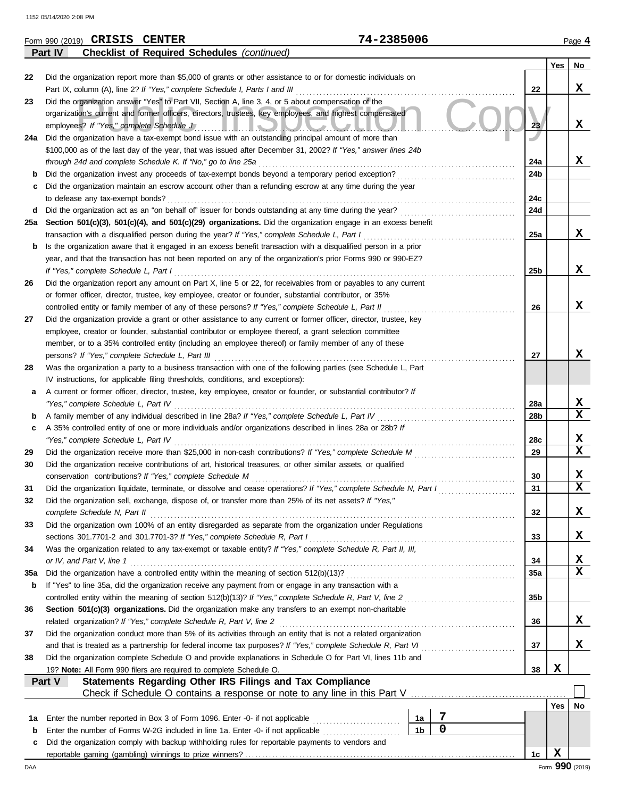|     | 74-2385006<br>Form 990 (2019) CRISIS CENTER                                                                                                                                                                    |                 |     | Page 4          |
|-----|----------------------------------------------------------------------------------------------------------------------------------------------------------------------------------------------------------------|-----------------|-----|-----------------|
|     | <b>Checklist of Required Schedules (continued)</b><br>Part IV                                                                                                                                                  |                 |     |                 |
|     |                                                                                                                                                                                                                |                 | Yes | No              |
| 22  | Did the organization report more than \$5,000 of grants or other assistance to or for domestic individuals on                                                                                                  |                 |     |                 |
|     |                                                                                                                                                                                                                | 22              |     | X               |
| 23  | Did the organization answer "Yes" to Part VII, Section A, line 3, 4, or 5 about compensation of the<br>organization's current and former officers, directors, trustees, key employees, and highest compensated |                 |     |                 |
|     | employees? If "Yes," complete Schedule J<br><u>THE ROID ACAULUM</u><br>Did the organization have a tax-exempt bond issue with an outstanding principal amount of more than                                     | 23              |     | X               |
| 24a | \$100,000 as of the last day of the year, that was issued after December 31, 2002? If "Yes," answer lines 24b                                                                                                  |                 |     |                 |
|     | through 24d and complete Schedule K. If "No," go to line 25a                                                                                                                                                   | 24a             |     | x               |
| b   | Did the organization invest any proceeds of tax-exempt bonds beyond a temporary period exception?                                                                                                              | 24b             |     |                 |
| c   | Did the organization maintain an escrow account other than a refunding escrow at any time during the year                                                                                                      |                 |     |                 |
|     | to defease any tax-exempt bonds?                                                                                                                                                                               | 24c             |     |                 |
| d   |                                                                                                                                                                                                                | 24d             |     |                 |
| 25a | Section 501(c)(3), 501(c)(4), and 501(c)(29) organizations. Did the organization engage in an excess benefit                                                                                                   |                 |     |                 |
|     | transaction with a disqualified person during the year? If "Yes," complete Schedule L, Part I                                                                                                                  | 25a             |     | x               |
| b   | Is the organization aware that it engaged in an excess benefit transaction with a disqualified person in a prior                                                                                               |                 |     |                 |
|     | year, and that the transaction has not been reported on any of the organization's prior Forms 990 or 990-EZ?                                                                                                   |                 |     |                 |
|     | If "Yes," complete Schedule L, Part I                                                                                                                                                                          | 25 <sub>b</sub> |     | x               |
| 26  | Did the organization report any amount on Part X, line 5 or 22, for receivables from or payables to any current                                                                                                |                 |     |                 |
|     | or former officer, director, trustee, key employee, creator or founder, substantial contributor, or 35%<br>controlled entity or family member of any of these persons? If "Yes," complete Schedule L, Part II  | 26              |     | x               |
| 27  | Did the organization provide a grant or other assistance to any current or former officer, director, trustee, key                                                                                              |                 |     |                 |
|     | employee, creator or founder, substantial contributor or employee thereof, a grant selection committee                                                                                                         |                 |     |                 |
|     | member, or to a 35% controlled entity (including an employee thereof) or family member of any of these                                                                                                         |                 |     |                 |
|     | persons? If "Yes," complete Schedule L, Part III                                                                                                                                                               | 27              |     | x               |
| 28  | Was the organization a party to a business transaction with one of the following parties (see Schedule L, Part                                                                                                 |                 |     |                 |
|     | IV instructions, for applicable filing thresholds, conditions, and exceptions):                                                                                                                                |                 |     |                 |
| а   | A current or former officer, director, trustee, key employee, creator or founder, or substantial contributor? If                                                                                               |                 |     |                 |
|     | "Yes," complete Schedule L, Part IV                                                                                                                                                                            | 28a             |     | X               |
| b   | A family member of any individual described in line 28a? If "Yes," complete Schedule L, Part IV [[[[[[[[[[[[[                                                                                                  | 28 <sub>b</sub> |     | X               |
| c   | A 35% controlled entity of one or more individuals and/or organizations described in lines 28a or 28b? If                                                                                                      |                 |     |                 |
|     | "Yes," complete Schedule L, Part IV                                                                                                                                                                            | 28c             |     | X<br>X          |
| 29  |                                                                                                                                                                                                                | 29              |     |                 |
| 30  | Did the organization receive contributions of art, historical treasures, or other similar assets, or qualified<br>conservation contributions? If "Yes," complete Schedule M                                    | 30              |     | x               |
| 31  | Did the organization liquidate, terminate, or dissolve and cease operations? If "Yes," complete Schedule N, Part I                                                                                             | 31              |     | X               |
| 32  | Did the organization sell, exchange, dispose of, or transfer more than 25% of its net assets? If "Yes,"                                                                                                        |                 |     |                 |
|     | complete Schedule N, Part II                                                                                                                                                                                   | 32              |     | x               |
| 33  | Did the organization own 100% of an entity disregarded as separate from the organization under Regulations                                                                                                     |                 |     |                 |
|     | sections 301.7701-2 and 301.7701-3? If "Yes," complete Schedule R, Part I                                                                                                                                      | 33              |     | X               |
| 34  | Was the organization related to any tax-exempt or taxable entity? If "Yes," complete Schedule R, Part II, III,                                                                                                 |                 |     |                 |
|     | or IV, and Part V, line 1                                                                                                                                                                                      | 34              |     | x               |
| 35a |                                                                                                                                                                                                                | 35a             |     | X               |
| b   | If "Yes" to line 35a, did the organization receive any payment from or engage in any transaction with a                                                                                                        |                 |     |                 |
|     | controlled entity within the meaning of section 512(b)(13)? If "Yes," complete Schedule R, Part V, line 2                                                                                                      | 35 <sub>b</sub> |     |                 |
| 36  | Section 501(c)(3) organizations. Did the organization make any transfers to an exempt non-charitable                                                                                                           |                 |     | X               |
|     | related organization? If "Yes," complete Schedule R, Part V, line 2<br>Did the organization conduct more than 5% of its activities through an entity that is not a related organization                        | 36              |     |                 |
| 37  |                                                                                                                                                                                                                | 37              |     | x               |
| 38  | Did the organization complete Schedule O and provide explanations in Schedule O for Part VI, lines 11b and                                                                                                     |                 |     |                 |
|     | 19? Note: All Form 990 filers are required to complete Schedule O.                                                                                                                                             | 38              | x   |                 |
|     | Statements Regarding Other IRS Filings and Tax Compliance<br>Part V                                                                                                                                            |                 |     |                 |
|     | Check if Schedule O contains a response or note to any line in this Part V                                                                                                                                     |                 |     |                 |
|     |                                                                                                                                                                                                                |                 | Yes | No              |
| 1а  | 7<br>Enter the number reported in Box 3 of Form 1096. Enter -0- if not applicable<br>1a                                                                                                                        |                 |     |                 |
| b   | $\mathbf 0$<br>1 <sub>b</sub><br>Enter the number of Forms W-2G included in line 1a. Enter -0- if not applicable                                                                                               |                 |     |                 |
| c   | Did the organization comply with backup withholding rules for reportable payments to vendors and                                                                                                               |                 |     |                 |
|     |                                                                                                                                                                                                                | 1c              | х   |                 |
| DAA |                                                                                                                                                                                                                |                 |     | Form 990 (2019) |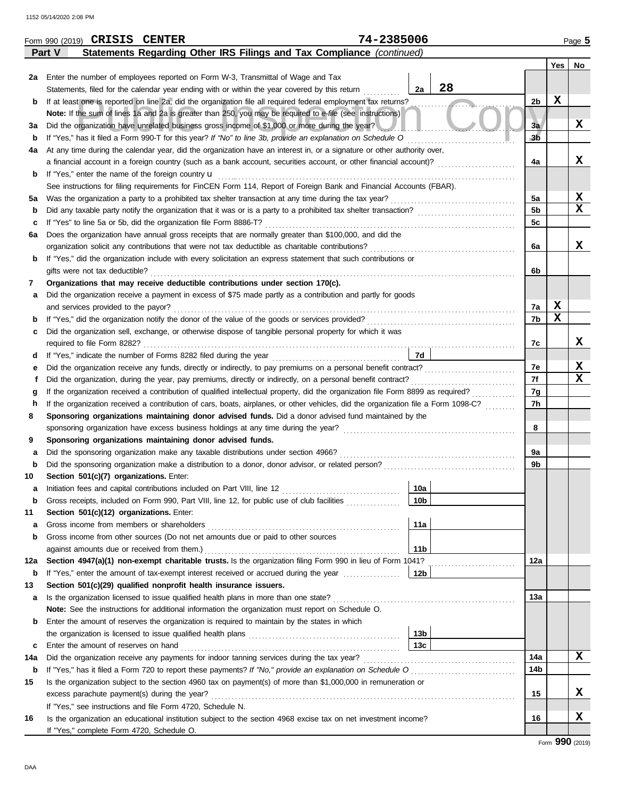|     |        | Form 990 (2019) CRISIS CENTER                                                                                                      |  |  |  | 74-2385006 |                 |    |          |             | Page 5      |
|-----|--------|------------------------------------------------------------------------------------------------------------------------------------|--|--|--|------------|-----------------|----|----------|-------------|-------------|
|     | Part V | Statements Regarding Other IRS Filings and Tax Compliance (continued)                                                              |  |  |  |            |                 |    |          |             |             |
|     |        |                                                                                                                                    |  |  |  |            |                 |    |          | <b>Yes</b>  | No          |
| 2a  |        | Enter the number of employees reported on Form W-3, Transmittal of Wage and Tax                                                    |  |  |  |            |                 |    |          |             |             |
|     |        | Statements, filed for the calendar year ending with or within the year covered by this return                                      |  |  |  |            | 2a              | 28 |          |             |             |
| b   |        | If at least one is reported on line 2a, did the organization file all required federal employment tax returns?                     |  |  |  |            |                 |    | 2b       | $\mathbf x$ |             |
|     |        | Note: If the sum of lines 1a and 2a is greater than 250, you may be required to e-file (see instructions)                          |  |  |  |            |                 |    |          |             |             |
| За  |        | Did the organization have unrelated business gross income of \$1,000 or more during the year?                                      |  |  |  |            |                 |    | 3a       |             | X           |
| b   |        | If "Yes," has it filed a Form 990-T for this year? If "No" to line 3b, provide an explanation on Schedule O                        |  |  |  |            |                 |    | зБ       |             |             |
| 4a  |        | At any time during the calendar year, did the organization have an interest in, or a signature or other authority over,            |  |  |  |            |                 |    |          |             |             |
|     |        | a financial account in a foreign country (such as a bank account, securities account, or other financial account)?                 |  |  |  |            |                 |    | 4a       |             | x           |
| b   |        | If "Yes," enter the name of the foreign country $\mathbf u$                                                                        |  |  |  |            |                 |    |          |             |             |
|     |        | See instructions for filing requirements for FinCEN Form 114, Report of Foreign Bank and Financial Accounts (FBAR).                |  |  |  |            |                 |    |          |             |             |
| 5a  |        | Was the organization a party to a prohibited tax shelter transaction at any time during the tax year?                              |  |  |  |            |                 |    | 5a       |             | X           |
| b   |        |                                                                                                                                    |  |  |  |            |                 |    | 5b       |             | x           |
| c   |        | If "Yes" to line 5a or 5b, did the organization file Form 8886-T?                                                                  |  |  |  |            |                 |    | 5c       |             |             |
| 6а  |        | Does the organization have annual gross receipts that are normally greater than \$100,000, and did the                             |  |  |  |            |                 |    |          |             |             |
|     |        | organization solicit any contributions that were not tax deductible as charitable contributions?                                   |  |  |  |            |                 |    | 6a       |             | x           |
| b   |        | If "Yes," did the organization include with every solicitation an express statement that such contributions or                     |  |  |  |            |                 |    |          |             |             |
|     |        | gifts were not tax deductible?                                                                                                     |  |  |  |            |                 |    | 6b       |             |             |
| 7   |        | Organizations that may receive deductible contributions under section 170(c).                                                      |  |  |  |            |                 |    |          |             |             |
| а   |        | Did the organization receive a payment in excess of \$75 made partly as a contribution and partly for goods                        |  |  |  |            |                 |    |          | $\mathbf x$ |             |
|     |        | and services provided to the payor?                                                                                                |  |  |  |            |                 |    | 7a<br>7b | X           |             |
| b   |        | Did the organization sell, exchange, or otherwise dispose of tangible personal property for which it was                           |  |  |  |            |                 |    |          |             |             |
| c   |        |                                                                                                                                    |  |  |  |            |                 |    | 7c       |             | x           |
| d   |        |                                                                                                                                    |  |  |  |            | <b>7d</b>       |    |          |             |             |
| е   |        |                                                                                                                                    |  |  |  |            |                 |    | 7e       |             | X           |
| f   |        | Did the organization, during the year, pay premiums, directly or indirectly, on a personal benefit contract?                       |  |  |  |            |                 |    | 7f       |             | $\mathbf x$ |
| g   |        | If the organization received a contribution of qualified intellectual property, did the organization file Form 8899 as required?   |  |  |  |            |                 |    | 7g       |             |             |
| h   |        | If the organization received a contribution of cars, boats, airplanes, or other vehicles, did the organization file a Form 1098-C? |  |  |  |            |                 |    | 7h       |             |             |
| 8   |        | Sponsoring organizations maintaining donor advised funds. Did a donor advised fund maintained by the                               |  |  |  |            |                 |    |          |             |             |
|     |        | sponsoring organization have excess business holdings at any time during the year?                                                 |  |  |  |            |                 |    | 8        |             |             |
| 9   |        | Sponsoring organizations maintaining donor advised funds.                                                                          |  |  |  |            |                 |    |          |             |             |
| а   |        | Did the sponsoring organization make any taxable distributions under section 4966?                                                 |  |  |  |            |                 |    | 9a       |             |             |
| b   |        |                                                                                                                                    |  |  |  |            |                 |    | 9b       |             |             |
| 10  |        | Section 501(c)(7) organizations. Enter:                                                                                            |  |  |  |            |                 |    |          |             |             |
| a   |        |                                                                                                                                    |  |  |  |            | 10a             |    |          |             |             |
| b   |        | Gross receipts, included on Form 990, Part VIII, line 12, for public use of club facilities                                        |  |  |  |            | 10 <sub>b</sub> |    |          |             |             |
| 11  |        | Section 501(c)(12) organizations. Enter:                                                                                           |  |  |  |            |                 |    |          |             |             |
| а   |        | Gross income from members or shareholders                                                                                          |  |  |  |            | 11a             |    |          |             |             |
| b   |        | Gross income from other sources (Do not net amounts due or paid to other sources                                                   |  |  |  |            |                 |    |          |             |             |
|     |        | against amounts due or received from them.)                                                                                        |  |  |  |            | 11 <sub>b</sub> |    |          |             |             |
| 12a |        | Section 4947(a)(1) non-exempt charitable trusts. Is the organization filing Form 990 in lieu of Form 1041?                         |  |  |  |            |                 |    | 12a      |             |             |
| b   |        | If "Yes," enter the amount of tax-exempt interest received or accrued during the year                                              |  |  |  |            | 12 <sub>b</sub> |    |          |             |             |
| 13  |        | Section 501(c)(29) qualified nonprofit health insurance issuers.                                                                   |  |  |  |            |                 |    |          |             |             |
| а   |        | Is the organization licensed to issue qualified health plans in more than one state?                                               |  |  |  |            |                 |    | 13a      |             |             |
|     |        | Note: See the instructions for additional information the organization must report on Schedule O.                                  |  |  |  |            |                 |    |          |             |             |
| b   |        | Enter the amount of reserves the organization is required to maintain by the states in which                                       |  |  |  |            |                 |    |          |             |             |
|     |        |                                                                                                                                    |  |  |  |            | 13 <sub>b</sub> |    |          |             |             |
| c   |        | Enter the amount of reserves on hand                                                                                               |  |  |  |            | 13c             |    |          |             |             |
| 14a |        | Did the organization receive any payments for indoor tanning services during the tax year?                                         |  |  |  |            |                 |    | 14a      |             | $\mathbf x$ |
| b   |        | If "Yes," has it filed a Form 720 to report these payments? If "No," provide an explanation on Schedule O                          |  |  |  |            |                 |    | 14b      |             |             |
| 15  |        | Is the organization subject to the section 4960 tax on payment(s) of more than \$1,000,000 in remuneration or                      |  |  |  |            |                 |    |          |             |             |
|     |        | excess parachute payment(s) during the year?                                                                                       |  |  |  |            |                 |    | 15       |             | x           |
|     |        | If "Yes," see instructions and file Form 4720, Schedule N.                                                                         |  |  |  |            |                 |    |          |             |             |
| 16  |        | Is the organization an educational institution subject to the section 4968 excise tax on net investment income?                    |  |  |  |            |                 |    | 16       |             | X           |
|     |        | If "Yes," complete Form 4720, Schedule O.                                                                                          |  |  |  |            |                 |    |          |             |             |

| 74-238500 |  |  |  |  |
|-----------|--|--|--|--|
|           |  |  |  |  |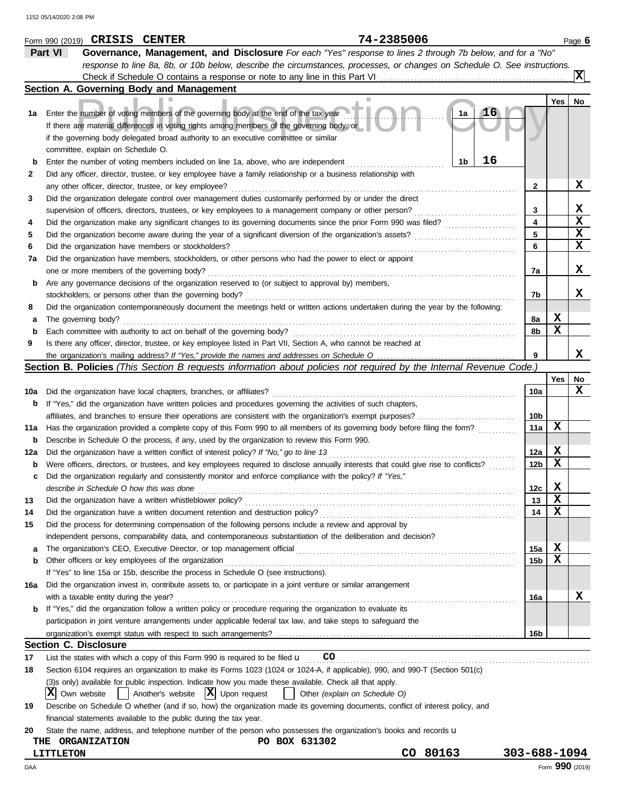|     | 74-2385006<br>Form 990 (2019) CRISIS CENTER                                                                                         |                         |             | Page 6         |
|-----|-------------------------------------------------------------------------------------------------------------------------------------|-------------------------|-------------|----------------|
|     | Part VI<br>Governance, Management, and Disclosure For each "Yes" response to lines 2 through 7b below, and for a "No"               |                         |             |                |
|     | response to line 8a, 8b, or 10b below, describe the circumstances, processes, or changes on Schedule O. See instructions.           |                         |             |                |
|     |                                                                                                                                     |                         |             | $ \mathbf{x} $ |
|     | Section A. Governing Body and Management                                                                                            |                         |             |                |
|     |                                                                                                                                     |                         | Yes         | No             |
| 1а  | Ί6<br>Enter the number of voting members of the governing body at the end of the tax year<br>1a                                     |                         |             |                |
|     | If there are material differences in voting rights among members of the governing body, or                                          |                         |             |                |
|     | if the governing body delegated broad authority to an executive committee or similar                                                |                         |             |                |
|     | committee, explain on Schedule O.                                                                                                   |                         |             |                |
| b   | 16<br>Enter the number of voting members included on line 1a, above, who are independent<br>1b                                      |                         |             |                |
| 2   | Did any officer, director, trustee, or key employee have a family relationship or a business relationship with                      |                         |             |                |
|     | any other officer, director, trustee, or key employee?                                                                              | 2                       |             | x              |
| 3   | Did the organization delegate control over management duties customarily performed by or under the direct                           |                         |             |                |
|     | supervision of officers, directors, trustees, or key employees to a management company or other person?                             | 3                       |             | х              |
| 4   |                                                                                                                                     | $\overline{\mathbf{4}}$ |             | $\mathbf x$    |
| 5   |                                                                                                                                     | 5                       |             | X              |
| 6   | Did the organization have members or stockholders?                                                                                  | 6                       |             | $\mathbf x$    |
| 7a  | Did the organization have members, stockholders, or other persons who had the power to elect or appoint                             |                         |             |                |
|     | one or more members of the governing body?                                                                                          | 7a                      |             | x              |
| b   | Are any governance decisions of the organization reserved to (or subject to approval by) members,                                   |                         |             |                |
|     | stockholders, or persons other than the governing body?                                                                             | 7b                      |             | x              |
| 8   | Did the organization contemporaneously document the meetings held or written actions undertaken during the year by the following:   |                         |             |                |
| a   | The governing body?                                                                                                                 | 8a                      | X           |                |
| b   | Each committee with authority to act on behalf of the governing body?                                                               | 8b                      | $\mathbf x$ |                |
| 9   | Is there any officer, director, trustee, or key employee listed in Part VII, Section A, who cannot be reached at                    |                         |             |                |
|     |                                                                                                                                     | 9                       |             | x              |
|     | Section B. Policies (This Section B requests information about policies not required by the Internal Revenue Code.)                 |                         |             |                |
|     |                                                                                                                                     |                         | Yes         | No             |
| 10a | Did the organization have local chapters, branches, or affiliates?                                                                  | 10a                     |             | x              |
| b   | If "Yes," did the organization have written policies and procedures governing the activities of such chapters,                      |                         |             |                |
|     |                                                                                                                                     | 10b                     |             |                |
| 11a | Has the organization provided a complete copy of this Form 990 to all members of its governing body before filing the form?         | 11a                     | X           |                |
| b   | Describe in Schedule O the process, if any, used by the organization to review this Form 990.                                       |                         |             |                |
| 12a | Did the organization have a written conflict of interest policy? If "No," go to line 13                                             | 12a                     | X           |                |
| b   | Were officers, directors, or trustees, and key employees required to disclose annually interests that could give rise to conflicts? | 12 <sub>b</sub>         | X           |                |
| c   | Did the organization regularly and consistently monitor and enforce compliance with the policy? If "Yes,"                           |                         |             |                |
|     | describe in Schedule O how this was done                                                                                            | 12c                     | X           |                |
| 13  | Did the organization have a written whistleblower policy?                                                                           | 13                      | X           |                |
| 14  |                                                                                                                                     | 14                      | х           |                |
| 15  | Did the process for determining compensation of the following persons include a review and approval by                              |                         |             |                |
|     | independent persons, comparability data, and contemporaneous substantiation of the deliberation and decision?                       |                         |             |                |
| a   |                                                                                                                                     | 15a                     | X           |                |
| b   | Other officers or key employees of the organization                                                                                 | 15b                     | х           |                |
|     | If "Yes" to line 15a or 15b, describe the process in Schedule O (see instructions).                                                 |                         |             |                |
| 16a | Did the organization invest in, contribute assets to, or participate in a joint venture or similar arrangement                      |                         |             |                |
|     | with a taxable entity during the year?                                                                                              | 16a                     |             | x              |
| b   | If "Yes," did the organization follow a written policy or procedure requiring the organization to evaluate its                      |                         |             |                |
|     | participation in joint venture arrangements under applicable federal tax law, and take steps to safeguard the                       |                         |             |                |
|     |                                                                                                                                     | 16b                     |             |                |
|     | <b>Section C. Disclosure</b>                                                                                                        |                         |             |                |
| 17  | List the states with which a copy of this Form 990 is required to be filed u<br>CO.                                                 |                         |             |                |
| 18  | Section 6104 requires an organization to make its Forms 1023 (1024 or 1024-A, if applicable), 990, and 990-T (Section 501(c)        |                         |             |                |
|     | (3)s only) available for public inspection. Indicate how you made these available. Check all that apply.                            |                         |             |                |
|     | X <br>$ \mathbf{X} $ Upon request<br>Own website<br>Another's website<br>Other (explain on Schedule O)                              |                         |             |                |
| 19  | Describe on Schedule O whether (and if so, how) the organization made its governing documents, conflict of interest policy, and     |                         |             |                |
|     | financial statements available to the public during the tax year.                                                                   |                         |             |                |
| 20  | State the name, address, and telephone number of the person who possesses the organization's books and records u                    |                         |             |                |
| THE | PO BOX 631302<br><b>ORGANIZATION</b>                                                                                                |                         |             |                |
|     | CO 80163<br>303-688-1094<br><b>LITTLETON</b>                                                                                        |                         |             |                |

DAA Form **990** (2019)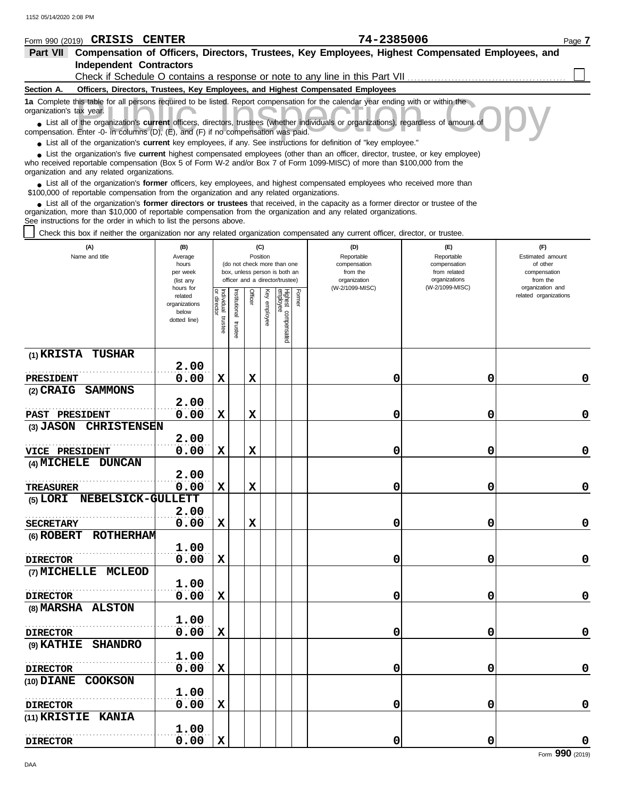| Form 990 (2019) CRISIS CENTER                                                                                                                                                                                                                                                                                               |                                                                |                                |                          |          |              |                                                                                                 |        | 74-2385006                                                                                       |                                                                    |                                                                 | Page 7 |
|-----------------------------------------------------------------------------------------------------------------------------------------------------------------------------------------------------------------------------------------------------------------------------------------------------------------------------|----------------------------------------------------------------|--------------------------------|--------------------------|----------|--------------|-------------------------------------------------------------------------------------------------|--------|--------------------------------------------------------------------------------------------------|--------------------------------------------------------------------|-----------------------------------------------------------------|--------|
| <b>Part VII</b>                                                                                                                                                                                                                                                                                                             |                                                                |                                |                          |          |              |                                                                                                 |        | Compensation of Officers, Directors, Trustees, Key Employees, Highest Compensated Employees, and |                                                                    |                                                                 |        |
| <b>Independent Contractors</b>                                                                                                                                                                                                                                                                                              |                                                                |                                |                          |          |              |                                                                                                 |        |                                                                                                  |                                                                    |                                                                 |        |
|                                                                                                                                                                                                                                                                                                                             |                                                                |                                |                          |          |              |                                                                                                 |        | Check if Schedule O contains a response or note to any line in this Part VII                     |                                                                    |                                                                 |        |
| Section A.                                                                                                                                                                                                                                                                                                                  |                                                                |                                |                          |          |              |                                                                                                 |        | Officers, Directors, Trustees, Key Employees, and Highest Compensated Employees                  |                                                                    |                                                                 |        |
| 1a Complete this table for all persons required to be listed. Report compensation for the calendar year ending with or within the<br>organization's tax year.<br>• List all of the organization's current officers, directors, trustees (whether individuals or organizations), regardless of amount of                     |                                                                |                                |                          |          |              |                                                                                                 |        |                                                                                                  |                                                                    |                                                                 |        |
| compensation. Enter -0- in columns (D), (E), and (F) if no compensation was paid.                                                                                                                                                                                                                                           |                                                                |                                |                          |          |              |                                                                                                 |        |                                                                                                  |                                                                    |                                                                 |        |
| • List all of the organization's current key employees, if any. See instructions for definition of "key employee."                                                                                                                                                                                                          |                                                                |                                |                          |          |              |                                                                                                 |        |                                                                                                  |                                                                    |                                                                 |        |
| • List the organization's five current highest compensated employees (other than an officer, director, trustee, or key employee)<br>who received reportable compensation (Box 5 of Form W-2 and/or Box 7 of Form 1099-MISC) of more than \$100,000 from the<br>organization and any related organizations.                  |                                                                |                                |                          |          |              |                                                                                                 |        |                                                                                                  |                                                                    |                                                                 |        |
| • List all of the organization's former officers, key employees, and highest compensated employees who received more than<br>\$100,000 of reportable compensation from the organization and any related organizations.                                                                                                      |                                                                |                                |                          |          |              |                                                                                                 |        |                                                                                                  |                                                                    |                                                                 |        |
| List all of the organization's former directors or trustees that received, in the capacity as a former director or trustee of the<br>organization, more than \$10,000 of reportable compensation from the organization and any related organizations.<br>See instructions for the order in which to list the persons above. |                                                                |                                |                          |          |              |                                                                                                 |        |                                                                                                  |                                                                    |                                                                 |        |
| Check this box if neither the organization nor any related organization compensated any current officer, director, or trustee.                                                                                                                                                                                              |                                                                |                                |                          |          |              |                                                                                                 |        |                                                                                                  |                                                                    |                                                                 |        |
| (A)<br>Name and title                                                                                                                                                                                                                                                                                                       | (B)<br>Average<br>hours<br>per week<br>(list any               |                                |                          | Position | (C)          | (do not check more than one<br>box, unless person is both an<br>officer and a director/trustee) |        | (D)<br>Reportable<br>compensation<br>from the<br>organization                                    | (E)<br>Reportable<br>compensation<br>from related<br>organizations | (F)<br>Estimated amount<br>of other<br>compensation<br>from the |        |
|                                                                                                                                                                                                                                                                                                                             | hours for<br>related<br>organizations<br>below<br>dotted line) | Individual trustee<br>director | Institutional<br>trustee | Officer  | Key employee | Highest c<br>employee<br>compensated                                                            | Former | (W-2/1099-MISC)                                                                                  | (W-2/1099-MISC)                                                    | organization and<br>related organizations                       |        |
| $(1)$ KRISTA<br>TUSHAR                                                                                                                                                                                                                                                                                                      |                                                                |                                |                          |          |              |                                                                                                 |        |                                                                                                  |                                                                    |                                                                 |        |
|                                                                                                                                                                                                                                                                                                                             | 2.00                                                           |                                |                          |          |              |                                                                                                 |        |                                                                                                  |                                                                    |                                                                 |        |
| PRESIDENT                                                                                                                                                                                                                                                                                                                   | 0.00                                                           | X                              |                          | X        |              |                                                                                                 |        | 0                                                                                                | 0                                                                  |                                                                 | 0      |
| <b>SAMMONS</b><br>$(2)$ CRAIG                                                                                                                                                                                                                                                                                               |                                                                |                                |                          |          |              |                                                                                                 |        |                                                                                                  |                                                                    |                                                                 |        |
|                                                                                                                                                                                                                                                                                                                             | 2.00                                                           |                                |                          |          |              |                                                                                                 |        |                                                                                                  |                                                                    |                                                                 |        |
| PAST PRESIDENT                                                                                                                                                                                                                                                                                                              | 0.00                                                           | $\mathbf x$                    |                          | X        |              |                                                                                                 |        | 0                                                                                                | 0                                                                  |                                                                 | 0      |
| <b>CHRISTENSEN</b><br>$(3)$ $JASON$                                                                                                                                                                                                                                                                                         |                                                                |                                |                          |          |              |                                                                                                 |        |                                                                                                  |                                                                    |                                                                 |        |
|                                                                                                                                                                                                                                                                                                                             | 2.00<br>0.00                                                   | $\mathbf x$                    |                          |          |              |                                                                                                 |        |                                                                                                  |                                                                    |                                                                 |        |
| <b>VICE PRESIDENT</b>                                                                                                                                                                                                                                                                                                       |                                                                |                                |                          | X        |              |                                                                                                 |        | 0                                                                                                | 0                                                                  |                                                                 | 0      |

| <u>,,,,</u>                | -43          | 43. |  |        |                                            |
|----------------------------|--------------|-----|--|--------|--------------------------------------------|
|                            |              |     |  |        |                                            |
| 2.00                       |              |     |  |        |                                            |
| 0.00                       | X            | X   |  | 0      | 0                                          |
| (5) LORI NEBELSICK-GULLETT |              |     |  |        |                                            |
| 2.00                       |              |     |  |        |                                            |
| 0.00                       | X            | X   |  | 0      | $\mathbf 0$                                |
| (6) ROBERT ROTHERHAM       |              |     |  |        |                                            |
| 1.00                       |              |     |  |        |                                            |
| 0.00                       | $\mathbf x$  |     |  | Ω      | $\mathbf 0$                                |
|                            |              |     |  |        |                                            |
| 1.00                       |              |     |  |        |                                            |
| 0.00                       | $\mathbf x$  |     |  | 0      | 0                                          |
|                            |              |     |  |        |                                            |
| 1.00                       |              |     |  |        |                                            |
| 0.00                       | $\mathbf x$  |     |  | Ω      | $\mathbf 0$                                |
|                            |              |     |  |        |                                            |
| 1.00                       |              |     |  |        |                                            |
| 0.00                       | $\mathbf x$  |     |  | Ω      | 0                                          |
|                            |              |     |  |        |                                            |
| 1.00                       |              |     |  |        |                                            |
| 0.00                       | $\mathbf x$  |     |  | 0      | $\mathbf 0$                                |
|                            |              |     |  |        |                                            |
| 1.00                       |              |     |  |        |                                            |
| 0.00                       | $\mathbf{x}$ |     |  |        | 0                                          |
|                            |              |     |  | O<br>0 | 0<br>0<br>0<br>0<br>0<br>$\mathbf{0}$<br>0 |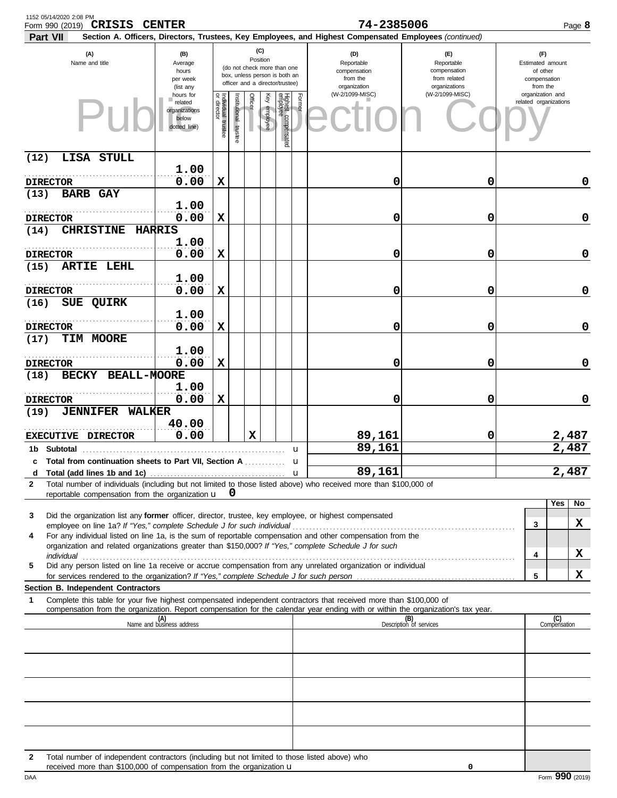| 1152 05/14/2020 2:08 PM | Form 990 (2019) CRISIS CENTER                                                                 |                                                                |                                   |                       |                 |                |                                                                                                 |                   | 74-2385006                                                                                                                                                                                                                                             |                                                                    |                                                                 | Page 8      |
|-------------------------|-----------------------------------------------------------------------------------------------|----------------------------------------------------------------|-----------------------------------|-----------------------|-----------------|----------------|-------------------------------------------------------------------------------------------------|-------------------|--------------------------------------------------------------------------------------------------------------------------------------------------------------------------------------------------------------------------------------------------------|--------------------------------------------------------------------|-----------------------------------------------------------------|-------------|
| Part VII                |                                                                                               |                                                                |                                   |                       |                 |                |                                                                                                 |                   | Section A. Officers, Directors, Trustees, Key Employees, and Highest Compensated Employees (continued)                                                                                                                                                 |                                                                    |                                                                 |             |
|                         | (A)<br>Name and title                                                                         | (B)<br>Average<br>hours<br>per week<br>(list any               |                                   |                       | (C)<br>Position |                | (do not check more than one<br>box, unless person is both an<br>officer and a director/trustee) |                   | (D)<br>Reportable<br>compensation<br>from the<br>organization                                                                                                                                                                                          | (E)<br>Reportable<br>compensation<br>from related<br>organizations | (F)<br>Estimated amount<br>of other<br>compensation<br>from the |             |
|                         |                                                                                               | hours for<br>related<br>organizations<br>below<br>dotted line) | Individual trustee<br>or director | Institutional trustee | <b>Officer</b>  | ξĕ<br>employee | Highest compensated<br>employee                                                                 | Former            | (W-2/1099-MISC)                                                                                                                                                                                                                                        | (W-2/1099-MISC)                                                    | organization and<br>related organizations                       |             |
| (12)                    | LISA STULL                                                                                    |                                                                |                                   |                       |                 |                |                                                                                                 |                   |                                                                                                                                                                                                                                                        |                                                                    |                                                                 |             |
| <b>DIRECTOR</b>         |                                                                                               | 1.00<br>0.00                                                   | X                                 |                       |                 |                |                                                                                                 |                   | 0                                                                                                                                                                                                                                                      | 0                                                                  |                                                                 | 0           |
| (13)                    | <b>BARB GAY</b>                                                                               |                                                                |                                   |                       |                 |                |                                                                                                 |                   |                                                                                                                                                                                                                                                        |                                                                    |                                                                 |             |
| <b>DIRECTOR</b>         |                                                                                               | 1.00<br>0.00                                                   | X                                 |                       |                 |                |                                                                                                 |                   | 0                                                                                                                                                                                                                                                      | 0                                                                  |                                                                 | $\mathbf 0$ |
| (14)                    | <b>HARRIS</b><br><b>CHRISTINE</b>                                                             |                                                                |                                   |                       |                 |                |                                                                                                 |                   |                                                                                                                                                                                                                                                        |                                                                    |                                                                 |             |
| <b>DIRECTOR</b>         |                                                                                               | 1.00<br>0.00                                                   | X                                 |                       |                 |                |                                                                                                 |                   | 0                                                                                                                                                                                                                                                      | 0                                                                  |                                                                 | 0           |
| (15)                    | <b>ARTIE LEHL</b>                                                                             |                                                                |                                   |                       |                 |                |                                                                                                 |                   |                                                                                                                                                                                                                                                        |                                                                    |                                                                 |             |
|                         |                                                                                               | 1.00                                                           |                                   |                       |                 |                |                                                                                                 |                   | 0                                                                                                                                                                                                                                                      | 0                                                                  |                                                                 | 0           |
| <b>DIRECTOR</b><br>(16) | <b>SUE QUIRK</b>                                                                              | 0.00                                                           | $\mathbf x$                       |                       |                 |                |                                                                                                 |                   |                                                                                                                                                                                                                                                        |                                                                    |                                                                 |             |
|                         |                                                                                               | 1.00                                                           |                                   |                       |                 |                |                                                                                                 |                   |                                                                                                                                                                                                                                                        |                                                                    |                                                                 | 0           |
| <b>DIRECTOR</b><br>(17) | TIM MOORE                                                                                     | 0.00                                                           | X                                 |                       |                 |                |                                                                                                 |                   | 0                                                                                                                                                                                                                                                      | 0                                                                  |                                                                 |             |
| <b>DIRECTOR</b>         |                                                                                               | 1.00<br>0.00                                                   | X                                 |                       |                 |                |                                                                                                 |                   | 0                                                                                                                                                                                                                                                      | 0                                                                  |                                                                 | 0           |
| (18)                    | BECKY BEALL-MOORE                                                                             |                                                                |                                   |                       |                 |                |                                                                                                 |                   |                                                                                                                                                                                                                                                        |                                                                    |                                                                 |             |
| <b>DIRECTOR</b>         |                                                                                               | 1.00<br>0.00                                                   | X                                 |                       |                 |                |                                                                                                 |                   | 0                                                                                                                                                                                                                                                      | 0                                                                  |                                                                 | 0           |
| (19)                    | <b>WALKER</b><br><b>JENNIFER</b>                                                              |                                                                |                                   |                       |                 |                |                                                                                                 |                   |                                                                                                                                                                                                                                                        |                                                                    |                                                                 |             |
|                         | EXECUTIVE DIRECTOR                                                                            | 40.00<br>0.00                                                  |                                   |                       | X               |                |                                                                                                 |                   | 89,161                                                                                                                                                                                                                                                 | 0                                                                  | 2,487                                                           |             |
| 1b Subtotal             |                                                                                               |                                                                |                                   |                       |                 |                |                                                                                                 | u                 | 89,161                                                                                                                                                                                                                                                 |                                                                    | 2,487                                                           |             |
| d                       | c Total from continuation sheets to Part VII, Section A<br>Total (add lines 1b and 1c)        |                                                                |                                   |                       |                 |                |                                                                                                 | u<br>$\mathbf{u}$ | 89,161                                                                                                                                                                                                                                                 |                                                                    | 2,487                                                           |             |
| 2                       |                                                                                               |                                                                |                                   |                       |                 |                |                                                                                                 |                   | Total number of individuals (including but not limited to those listed above) who received more than \$100,000 of                                                                                                                                      |                                                                    |                                                                 |             |
|                         | reportable compensation from the organization u                                               |                                                                |                                   | - 0                   |                 |                |                                                                                                 |                   |                                                                                                                                                                                                                                                        |                                                                    | Yes                                                             | No          |
| 3                       |                                                                                               |                                                                |                                   |                       |                 |                |                                                                                                 |                   | Did the organization list any former officer, director, trustee, key employee, or highest compensated                                                                                                                                                  |                                                                    | 3                                                               | x           |
| 4                       |                                                                                               |                                                                |                                   |                       |                 |                |                                                                                                 |                   | For any individual listed on line 1a, is the sum of reportable compensation and other compensation from the                                                                                                                                            |                                                                    |                                                                 |             |
|                         |                                                                                               |                                                                |                                   |                       |                 |                |                                                                                                 |                   | organization and related organizations greater than \$150,000? If "Yes," complete Schedule J for such                                                                                                                                                  |                                                                    | 4                                                               | X.          |
| 5                       | for services rendered to the organization? If "Yes," complete Schedule J for such person.     |                                                                |                                   |                       |                 |                |                                                                                                 |                   | Did any person listed on line 1a receive or accrue compensation from any unrelated organization or individual                                                                                                                                          |                                                                    | 5                                                               | X           |
|                         | Section B. Independent Contractors                                                            |                                                                |                                   |                       |                 |                |                                                                                                 |                   |                                                                                                                                                                                                                                                        |                                                                    |                                                                 |             |
| 1                       |                                                                                               |                                                                |                                   |                       |                 |                |                                                                                                 |                   | Complete this table for your five highest compensated independent contractors that received more than \$100,000 of<br>compensation from the organization. Report compensation for the calendar year ending with or within the organization's tax year. |                                                                    |                                                                 |             |
|                         |                                                                                               | (A)<br>Name and business address                               |                                   |                       |                 |                |                                                                                                 |                   |                                                                                                                                                                                                                                                        | (B)<br>Description of services                                     | (C)<br>Compensation                                             |             |
|                         |                                                                                               |                                                                |                                   |                       |                 |                |                                                                                                 |                   |                                                                                                                                                                                                                                                        |                                                                    |                                                                 |             |
|                         |                                                                                               |                                                                |                                   |                       |                 |                |                                                                                                 |                   |                                                                                                                                                                                                                                                        |                                                                    |                                                                 |             |
|                         |                                                                                               |                                                                |                                   |                       |                 |                |                                                                                                 |                   |                                                                                                                                                                                                                                                        |                                                                    |                                                                 |             |
|                         |                                                                                               |                                                                |                                   |                       |                 |                |                                                                                                 |                   |                                                                                                                                                                                                                                                        |                                                                    |                                                                 |             |
|                         |                                                                                               |                                                                |                                   |                       |                 |                |                                                                                                 |                   |                                                                                                                                                                                                                                                        |                                                                    |                                                                 |             |
|                         |                                                                                               |                                                                |                                   |                       |                 |                |                                                                                                 |                   |                                                                                                                                                                                                                                                        |                                                                    |                                                                 |             |
| 2                       | Total number of independent contractors (including but not limited to those listed above) who |                                                                |                                   |                       |                 |                |                                                                                                 |                   |                                                                                                                                                                                                                                                        |                                                                    |                                                                 |             |
|                         | received more than \$100,000 of compensation from the organization $\mathbf u$                |                                                                |                                   |                       |                 |                |                                                                                                 |                   |                                                                                                                                                                                                                                                        | 0                                                                  |                                                                 |             |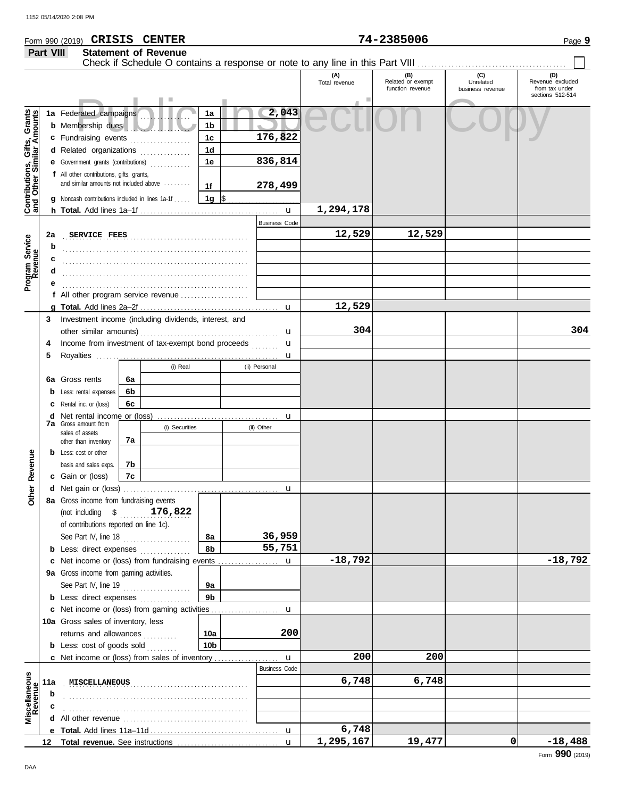|                                         | Part VIII |                                                                                     |          | <b>Statement of Revenue</b> |                 |                      |               | Check if Schedule O contains a response or note to any line in this Part VIII |                               |                                                        |
|-----------------------------------------|-----------|-------------------------------------------------------------------------------------|----------|-----------------------------|-----------------|----------------------|---------------|-------------------------------------------------------------------------------|-------------------------------|--------------------------------------------------------|
|                                         |           |                                                                                     |          |                             |                 |                      | (A)           | (B)<br>Related or exempt                                                      | $\left( \text{C} \right)$     | (D)                                                    |
|                                         |           |                                                                                     |          |                             |                 |                      | Total revenue | function revenue                                                              | Unrelated<br>business revenue | Revenue excluded<br>from tax under<br>sections 512-514 |
|                                         |           |                                                                                     |          |                             |                 |                      |               |                                                                               |                               |                                                        |
| ts, Grants<br>Amounts                   |           | 1a Federated campaigns                                                              |          |                             | 1a              | 2,043                |               |                                                                               |                               |                                                        |
|                                         |           | <b>b</b> Membership dues                                                            |          |                             | 1b              |                      |               |                                                                               |                               |                                                        |
| Gifts,                                  |           | c Fundraising events                                                                |          | .                           | 1 <sub>c</sub>  | 176,822              |               |                                                                               |                               |                                                        |
| imilar                                  |           | d Related organizations                                                             |          | .                           | 1 <sub>d</sub>  | 836,814              |               |                                                                               |                               |                                                        |
|                                         |           | e Government grants (contributions)                                                 |          |                             | 1e              |                      |               |                                                                               |                               |                                                        |
|                                         |           | f All other contributions, gifts, grants,<br>and similar amounts not included above |          |                             | 1f              | 278,499              |               |                                                                               |                               |                                                        |
|                                         |           | <b>g</b> Noncash contributions included in lines 1a-1f                              |          |                             | 1g $\sqrt{3}$   |                      |               |                                                                               |                               |                                                        |
| <b>Contributions,<br/>and Other Sin</b> |           |                                                                                     |          |                             |                 |                      | 1,294,178     |                                                                               |                               |                                                        |
|                                         |           |                                                                                     |          |                             |                 | <b>Business Code</b> |               |                                                                               |                               |                                                        |
|                                         | 2a        | SERVICE FEES                                                                        |          |                             |                 |                      | 12,529        | 12,529                                                                        |                               |                                                        |
| Program Service<br>Revenue              | b         |                                                                                     |          |                             |                 |                      |               |                                                                               |                               |                                                        |
|                                         | c         |                                                                                     |          |                             |                 |                      |               |                                                                               |                               |                                                        |
|                                         | d         |                                                                                     |          |                             |                 |                      |               |                                                                               |                               |                                                        |
|                                         | е         |                                                                                     |          |                             |                 |                      |               |                                                                               |                               |                                                        |
|                                         |           | f All other program service revenue                                                 |          |                             |                 |                      |               |                                                                               |                               |                                                        |
|                                         |           |                                                                                     |          |                             |                 | u                    | 12,529        |                                                                               |                               |                                                        |
|                                         | 3         | Investment income (including dividends, interest, and                               |          |                             |                 |                      |               |                                                                               |                               |                                                        |
|                                         |           |                                                                                     |          |                             |                 | u                    | 304           |                                                                               |                               | 304                                                    |
|                                         | 4         | Income from investment of tax-exempt bond proceeds                                  |          |                             |                 | u                    |               |                                                                               |                               |                                                        |
|                                         | 5         |                                                                                     |          |                             |                 | u                    |               |                                                                               |                               |                                                        |
|                                         |           |                                                                                     |          | (i) Real                    |                 | (ii) Personal        |               |                                                                               |                               |                                                        |
|                                         |           | <b>6a</b> Gross rents                                                               | 6a       |                             |                 |                      |               |                                                                               |                               |                                                        |
|                                         | b         | Less: rental expenses<br>Rental inc. or (loss)                                      | 6b<br>6c |                             |                 |                      |               |                                                                               |                               |                                                        |
|                                         |           |                                                                                     |          |                             |                 | u                    |               |                                                                               |                               |                                                        |
|                                         |           | <b>7a</b> Gross amount from                                                         |          | (i) Securities              |                 | (ii) Other           |               |                                                                               |                               |                                                        |
|                                         |           | sales of assets<br>other than inventory                                             | 7а       |                             |                 |                      |               |                                                                               |                               |                                                        |
|                                         |           | <b>b</b> Less: cost or other                                                        |          |                             |                 |                      |               |                                                                               |                               |                                                        |
| Revenue                                 |           | basis and sales exps.                                                               | 7b       |                             |                 |                      |               |                                                                               |                               |                                                        |
|                                         |           | <b>c</b> Gain or (loss)                                                             | 7с       |                             |                 |                      |               |                                                                               |                               |                                                        |
| ther                                    |           |                                                                                     |          |                             |                 | u                    |               |                                                                               |                               |                                                        |
|                                         |           | 8a Gross income from fundraising events                                             |          |                             |                 |                      |               |                                                                               |                               |                                                        |
|                                         |           | (not including $$$                                                                  |          | 176,822                     |                 |                      |               |                                                                               |                               |                                                        |
|                                         |           | of contributions reported on line 1c).                                              |          |                             |                 |                      |               |                                                                               |                               |                                                        |
|                                         |           | See Part IV, line 18                                                                |          | .                           | 8а              | 36,959               |               |                                                                               |                               |                                                        |
|                                         |           | <b>b</b> Less: direct expenses                                                      |          |                             | 8b              | 55,751               |               |                                                                               |                               |                                                        |
|                                         |           |                                                                                     |          |                             |                 |                      | $-18,792$     |                                                                               |                               | $-18,792$                                              |
|                                         |           | 9a Gross income from gaming activities.                                             |          |                             |                 |                      |               |                                                                               |                               |                                                        |
|                                         |           | See Part IV, line 19                                                                |          |                             | 9a              |                      |               |                                                                               |                               |                                                        |
|                                         |           | <b>b</b> Less: direct expenses                                                      |          |                             | 9 <sub>b</sub>  |                      |               |                                                                               |                               |                                                        |
|                                         |           |                                                                                     |          |                             |                 | u                    |               |                                                                               |                               |                                                        |
|                                         |           | 10a Gross sales of inventory, less                                                  |          |                             | 10a             | 200                  |               |                                                                               |                               |                                                        |
|                                         |           | returns and allowances                                                              |          | a sa sa sala                | 10 <sub>b</sub> |                      |               |                                                                               |                               |                                                        |
|                                         |           | <b>b</b> Less: cost of goods sold<br>c Net income or (loss) from sales of inventory |          |                             |                 | u                    | 200           | 200                                                                           |                               |                                                        |
|                                         |           |                                                                                     |          |                             |                 | <b>Business Code</b> |               |                                                                               |                               |                                                        |
| Miscellaneous<br>Revenue                | 11a       | <b>MISCELLANEOUS</b>                                                                |          |                             |                 |                      | 6,748         | 6,748                                                                         |                               |                                                        |
|                                         | b         |                                                                                     |          |                             |                 |                      |               |                                                                               |                               |                                                        |
|                                         |           |                                                                                     |          |                             |                 |                      |               |                                                                               |                               |                                                        |
|                                         | d         |                                                                                     |          |                             |                 |                      |               |                                                                               |                               |                                                        |
|                                         |           |                                                                                     |          |                             |                 |                      | 6,748         |                                                                               |                               |                                                        |

u **1,295,167 19,477 0 -18,488**

**Total revenue.** See instructions . . . . . . . . . . . . . . . . . . . . . . . . . . . . . . **12**

## Form 990 (2019) Page **9 CRISIS CENTER 74-2385006**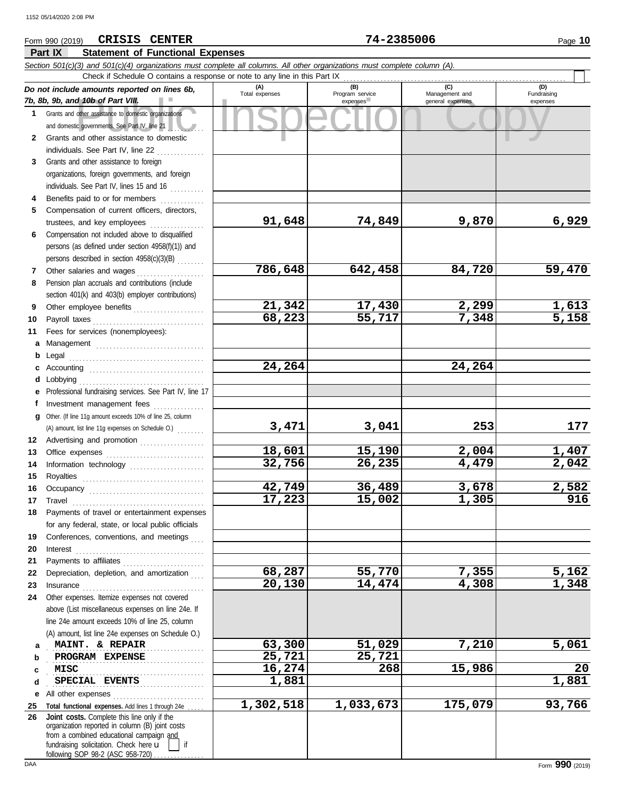## **Part IX Statement of Functional Expenses** Form 990 (2019) Page **10 CRISIS CENTER 74-2385006**

| Check if Schedule O contains a response or note to any line in this Part IX<br>(D)<br>(C)<br>(A)<br>(B)<br>Do not include amounts reported on lines 6b,<br>Program service<br>Total expenses<br>Management and<br>Fundraising<br>7b, 8b, 9b, and 10b of Part VIII.<br>general expenses<br>expenses<br>expenses<br>1 Grants and other assistance to domestic organizations<br>and domestic governments. See Part IV, line 21<br>Grants and other assistance to domestic<br>$\mathbf{2}$<br>individuals. See Part IV, line 22<br>Grants and other assistance to foreign<br>3<br>organizations, foreign governments, and foreign<br>individuals. See Part IV, lines 15 and 16 |     |
|----------------------------------------------------------------------------------------------------------------------------------------------------------------------------------------------------------------------------------------------------------------------------------------------------------------------------------------------------------------------------------------------------------------------------------------------------------------------------------------------------------------------------------------------------------------------------------------------------------------------------------------------------------------------------|-----|
|                                                                                                                                                                                                                                                                                                                                                                                                                                                                                                                                                                                                                                                                            |     |
|                                                                                                                                                                                                                                                                                                                                                                                                                                                                                                                                                                                                                                                                            |     |
|                                                                                                                                                                                                                                                                                                                                                                                                                                                                                                                                                                                                                                                                            |     |
|                                                                                                                                                                                                                                                                                                                                                                                                                                                                                                                                                                                                                                                                            |     |
|                                                                                                                                                                                                                                                                                                                                                                                                                                                                                                                                                                                                                                                                            |     |
|                                                                                                                                                                                                                                                                                                                                                                                                                                                                                                                                                                                                                                                                            |     |
|                                                                                                                                                                                                                                                                                                                                                                                                                                                                                                                                                                                                                                                                            |     |
|                                                                                                                                                                                                                                                                                                                                                                                                                                                                                                                                                                                                                                                                            |     |
|                                                                                                                                                                                                                                                                                                                                                                                                                                                                                                                                                                                                                                                                            |     |
| Benefits paid to or for members<br>4                                                                                                                                                                                                                                                                                                                                                                                                                                                                                                                                                                                                                                       |     |
| Compensation of current officers, directors,<br>5                                                                                                                                                                                                                                                                                                                                                                                                                                                                                                                                                                                                                          |     |
| 91,648<br>74,849<br>9,870<br>6,929<br>trustees, and key employees                                                                                                                                                                                                                                                                                                                                                                                                                                                                                                                                                                                                          |     |
| Compensation not included above to disqualified<br>6                                                                                                                                                                                                                                                                                                                                                                                                                                                                                                                                                                                                                       |     |
| persons (as defined under section 4958(f)(1)) and                                                                                                                                                                                                                                                                                                                                                                                                                                                                                                                                                                                                                          |     |
| persons described in section 4958(c)(3)(B)<br>786,648<br>84,720<br>59,470<br>642,458                                                                                                                                                                                                                                                                                                                                                                                                                                                                                                                                                                                       |     |
| Other salaries and wages<br>7<br>Pension plan accruals and contributions (include<br>8                                                                                                                                                                                                                                                                                                                                                                                                                                                                                                                                                                                     |     |
| section 401(k) and 403(b) employer contributions)                                                                                                                                                                                                                                                                                                                                                                                                                                                                                                                                                                                                                          |     |
| 21,342<br>17,430<br>2,299<br>1,613<br>9                                                                                                                                                                                                                                                                                                                                                                                                                                                                                                                                                                                                                                    |     |
| 7,348<br>68,223<br>$\overline{5,158}$<br>55,717<br>Payroll taxes<br>10                                                                                                                                                                                                                                                                                                                                                                                                                                                                                                                                                                                                     |     |
| Fees for services (nonemployees):<br>11                                                                                                                                                                                                                                                                                                                                                                                                                                                                                                                                                                                                                                    |     |
| Management<br>a                                                                                                                                                                                                                                                                                                                                                                                                                                                                                                                                                                                                                                                            |     |
| b                                                                                                                                                                                                                                                                                                                                                                                                                                                                                                                                                                                                                                                                          |     |
| 24,264<br>24,264<br>c                                                                                                                                                                                                                                                                                                                                                                                                                                                                                                                                                                                                                                                      |     |
| Lobbying<br>d                                                                                                                                                                                                                                                                                                                                                                                                                                                                                                                                                                                                                                                              |     |
| Professional fundraising services. See Part IV, line 17<br>е                                                                                                                                                                                                                                                                                                                                                                                                                                                                                                                                                                                                               |     |
| Investment management fees<br>f                                                                                                                                                                                                                                                                                                                                                                                                                                                                                                                                                                                                                                            |     |
| Other. (If line 11g amount exceeds 10% of line 25, column<br>q                                                                                                                                                                                                                                                                                                                                                                                                                                                                                                                                                                                                             |     |
| 253<br>3,471<br>3,041<br>(A) amount, list line 11g expenses on Schedule O.)                                                                                                                                                                                                                                                                                                                                                                                                                                                                                                                                                                                                | 177 |
| Advertising and promotion<br>12                                                                                                                                                                                                                                                                                                                                                                                                                                                                                                                                                                                                                                            |     |
| 18,601<br>15,190<br>2,004<br>1,407<br>13                                                                                                                                                                                                                                                                                                                                                                                                                                                                                                                                                                                                                                   |     |
| 32,756<br>26,235<br>2,042<br>4,479<br>Information technology<br>14                                                                                                                                                                                                                                                                                                                                                                                                                                                                                                                                                                                                         |     |
| Royalties<br>15                                                                                                                                                                                                                                                                                                                                                                                                                                                                                                                                                                                                                                                            |     |
| 42,749<br>36,489<br>2,582<br>3,678<br>16                                                                                                                                                                                                                                                                                                                                                                                                                                                                                                                                                                                                                                   |     |
| 17,223<br>15,002<br>1,305<br>Travel<br>17                                                                                                                                                                                                                                                                                                                                                                                                                                                                                                                                                                                                                                  | 916 |
| Payments of travel or entertainment expenses                                                                                                                                                                                                                                                                                                                                                                                                                                                                                                                                                                                                                               |     |
| for any federal, state, or local public officials                                                                                                                                                                                                                                                                                                                                                                                                                                                                                                                                                                                                                          |     |
| Conferences, conventions, and meetings<br>19<br>20                                                                                                                                                                                                                                                                                                                                                                                                                                                                                                                                                                                                                         |     |
| Interest<br>Payments to affiliates [111] [11] Payments to affiliates<br>21                                                                                                                                                                                                                                                                                                                                                                                                                                                                                                                                                                                                 |     |
| 68,287<br>55,770<br>7,355<br>5,162<br>Depreciation, depletion, and amortization<br>22                                                                                                                                                                                                                                                                                                                                                                                                                                                                                                                                                                                      |     |
| 20,130<br>4,308<br>1,348<br>14,474<br>23<br>Insurance                                                                                                                                                                                                                                                                                                                                                                                                                                                                                                                                                                                                                      |     |
| Other expenses. Itemize expenses not covered<br>24                                                                                                                                                                                                                                                                                                                                                                                                                                                                                                                                                                                                                         |     |
| above (List miscellaneous expenses on line 24e. If                                                                                                                                                                                                                                                                                                                                                                                                                                                                                                                                                                                                                         |     |
| line 24e amount exceeds 10% of line 25, column                                                                                                                                                                                                                                                                                                                                                                                                                                                                                                                                                                                                                             |     |
| (A) amount, list line 24e expenses on Schedule O.)                                                                                                                                                                                                                                                                                                                                                                                                                                                                                                                                                                                                                         |     |
| 7,210<br>63,300<br>51,029<br>5,061<br>MAINT. & REPAIR<br>a                                                                                                                                                                                                                                                                                                                                                                                                                                                                                                                                                                                                                 |     |
| 25,721<br>25,721<br>PROGRAM EXPENSE<br>b                                                                                                                                                                                                                                                                                                                                                                                                                                                                                                                                                                                                                                   |     |
| 15,986<br>16,274<br>268<br>MISC<br>c                                                                                                                                                                                                                                                                                                                                                                                                                                                                                                                                                                                                                                       | 20  |
| 1,881<br>1,881<br>SPECIAL EVENTS<br>d                                                                                                                                                                                                                                                                                                                                                                                                                                                                                                                                                                                                                                      |     |
| All other expenses<br>е                                                                                                                                                                                                                                                                                                                                                                                                                                                                                                                                                                                                                                                    |     |
| 1,302,518<br>93,766<br>1,033,673<br>175,079<br>Total functional expenses. Add lines 1 through 24e<br>25                                                                                                                                                                                                                                                                                                                                                                                                                                                                                                                                                                    |     |
| Joint costs. Complete this line only if the<br>26<br>organization reported in column (B) joint costs                                                                                                                                                                                                                                                                                                                                                                                                                                                                                                                                                                       |     |
| from a combined educational campaign and                                                                                                                                                                                                                                                                                                                                                                                                                                                                                                                                                                                                                                   |     |
| fundraising solicitation. Check here u<br>if<br>following SOP 98-2 (ASC 958-720)                                                                                                                                                                                                                                                                                                                                                                                                                                                                                                                                                                                           |     |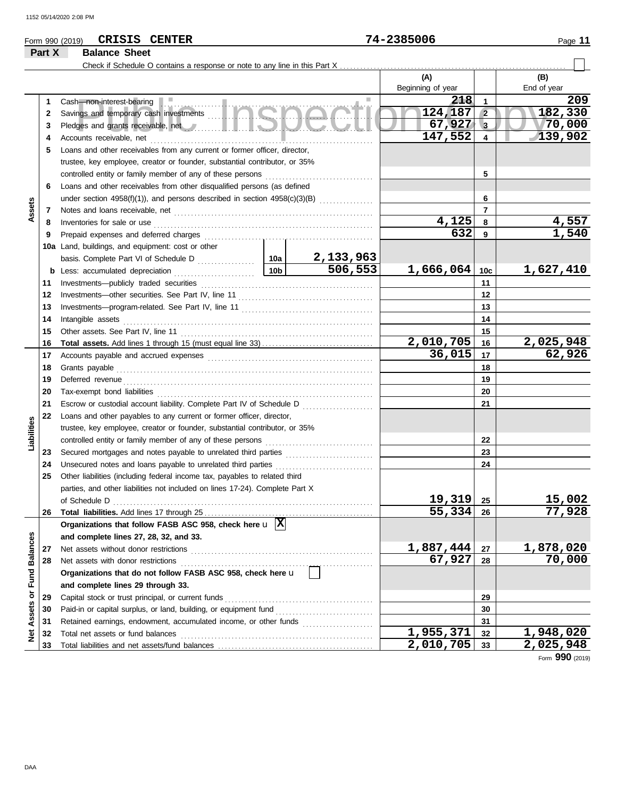**Part X Balance Sheet**

## Form 990 (2019) Page **11 CRISIS CENTER 74-2385006**

### Check if Schedule O contains a response or note to any line in this Part X **(A) (B)** Beginning of year  $\parallel$  End of year **218 1 209**<br>**124,187 2 1182,330** h-non-interest-bearing 218 1<br>Ings and temporary cash investments 218 1<br>Junts receivable, net 147,552 4 1313 Cash—non-interest-bearing **1 1 124,187 182,330** Savings and temporary cash investments **2 2 67,927 3**<br>147,552 **4**<br>139,902 **3 3** Pledges and grants receivable, net . . . . . . . . . . . . . . . . . . . . . . . . . . . . . . . . . . . . . . . . . . . . . . . . . . . . . . . . **147,552 139,902 4 4** Accounts receivable, net . . . . . . . . . . . . . . . . . . . . . . . . . . . . . . . . . . . . . . . . . . . . . . . . . . . . . . . . . . . . . . . . . . **5** Loans and other receivables from any current or former officer, director, trustee, key employee, creator or founder, substantial contributor, or 35% controlled entity or family member of any of these persons . . . . . . . . . . . . . . . . . . . . . . . . . . . . . . . . **5 6** Loans and other receivables from other disqualified persons (as defined **6** under section 4958(f)(1)), and persons described in section 4958(c)(3)(B) ................ **Assets 7 7** Notes and loans receivable, net **change in the contract of the contract of the contract of the contract of the contract of the contract of the contract of the contract of the contract of the contract of the contract of the 4,125 4,557 8 8** Inventories for sale or use **632 1,540** Prepaid expenses and deferred charges . . . . . . . . . . . . . . . . . . . . . . . . . . . . . . . . . . . . . . . . . . . . . . . . . . **9 9 10a** Land, buildings, and equipment: cost or other **2,133,963 10a** basis. Complete Part VI of Schedule D **506,553 1,666,064 1,627,410 10b 10c b** Less: accumulated depreciation . . . . . . . . . . . . . . . . . . . . . . . . Investments—publicly traded securities . . . . . . . . . . . . . . . . . . . . . . . . . . . . . . . . . . . . . . . . . . . . . . . . . . . **11 11** Investments—other securities. See Part IV, line 11 . . . . . . . . . . . . . . . . . . . . . . . . . . . . . . . . . . . . . . . . **12 12** Investments—program-related. See Part IV, line 11 . . . . . . . . . . . . . . . . . . . . . . . . . . . . . . . . . . . . . . . **13 13 14** Intangible assets . . . . . . . . . . . . . . . . . . . . . . . . . . . . . . . . . . . . . . . . . . . . . . . . . . . . . . . . . . . . . . . . . . . . . . . . . . **14 15** Other assets. See Part IV, line 11 . . . . . . . . . . . . . . . . . . . . . . . . . . . . . . . . . . . . . . . . . . . . . . . . . . . . . . . . . **15 2,010,705 16 2,025,948**<br>36,015 **17 62,926 Total assets.** Add lines 1 through 15 (must equal line 33) . . . . . . . . . . . . . . . . . . . . . . . . . . . . . . . . . **16 16 36,015 62,926 17** Accounts payable and accrued expenses . . . . . . . . . . . . . . . . . . . . . . . . . . . . . . . . . . . . . . . . . . . . . . . . . **17** Grants payable . . . . . . . . . . . . . . . . . . . . . . . . . . . . . . . . . . . . . . . . . . . . . . . . . . . . . . . . . . . . . . . . . . . . . . . . . . . . **18 18 19** Deferred revenue . . . . . . . . . . . . . . . . . . . . . . . . . . . . . . . . . . . . . . . . . . . . . . . . . . . . . . . . . . . . . . . . . . . . . . . . . . **19** Tax-exempt bond liabilities . . . . . . . . . . . . . . . . . . . . . . . . . . . . . . . . . . . . . . . . . . . . . . . . . . . . . . . . . . . . . . . . **20 20 21** Escrow or custodial account liability. Complete Part IV of Schedule D . . . . . . . . . . . . . . . . . . . . . **21 22** Loans and other payables to any current or former officer, director, **Liabilities** trustee, key employee, creator or founder, substantial contributor, or 35% controlled entity or family member of any of these persons . . . . . . . . . . . . . . . . . . . . . . . . . . . . . . . . **22** Secured mortgages and notes payable to unrelated third parties ......................... **23 23** Unsecured notes and loans payable to unrelated third parties . . . . . . . . . . . . . . . . . . . . . . . . . . . . . **24 24 25** Other liabilities (including federal income tax, payables to related third parties, and other liabilities not included on lines 17-24). Complete Part X **19,319 15,002** of Schedule D . . . . . . . . . . . . . . . . . . . . . . . . . . . . . . . . . . . . . . . . . . . . . . . . . . . . . . . . . . . . . . . . . . . . . . . . . . . . . **25 55,334 77,928 26** Total liabilities. Add lines 17 through 25 **26 Organizations that follow FASB ASC 958, check here** u **X** Net Assets or Fund Balances **and complete lines 27, 28, 32, and 33. Net Assets or Fund Balances 1,887,444 1,878,020**<br>**67,927 28 10,000 27** Net assets without donor restrictions . . . . . . . . . . . . . . . . . . . . . . . . . . . . . . . . . . . . . . . . . . . . . . . . . . . . . . **27** Net assets with donor restrictions . . . . . . . . . . . . . . . . . . . . . . . . . . . . . . . . . . . . . . . . . . . . . . . . . . . . . . . . . **67,927 70,000 28 28 Organizations that do not follow FASB ASC 958, check here** u **and complete lines 29 through 33.** Capital stock or trust principal, or current funds . . . . . . . . . . . . . . . . . . . . . . . . . . . . . . . . . . . . . . . . . . . . **29 29** Paid-in or capital surplus, or land, building, or equipment fund .................................. **30 30 31** Retained earnings, endowment, accumulated income, or other funds . . . . . . . . . . . . . . . . . . . . . **31** Total net assets or fund balances . . . . . . . . . . . . . . . . . . . . . . . . . . . . . . . . . . . . . . . . . . . . . . . . . . . . . . . . . **1,955,371 1,948,020 32 32 2,010,705 2,025,948 33 33** Total liabilities and net assets/fund balances ..

Form **990** (2019)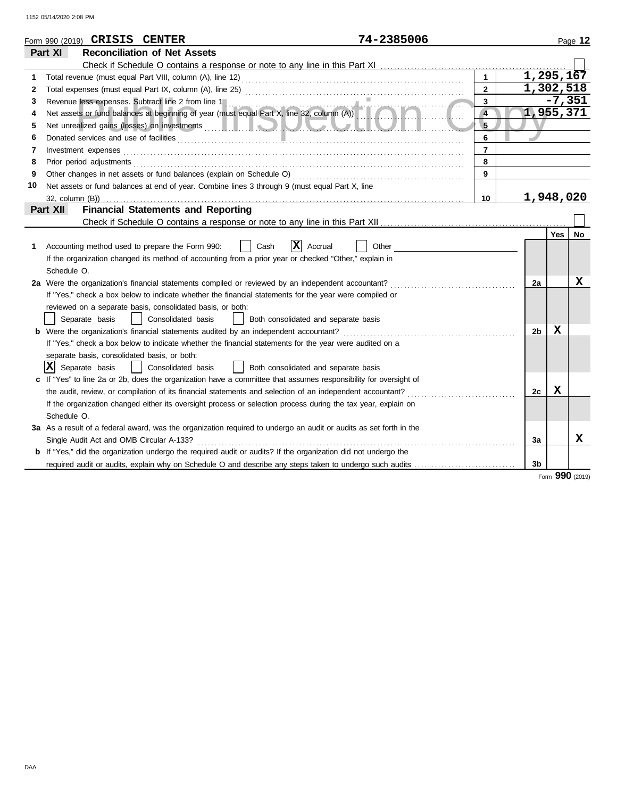|    |             |                     | Form 990 (2019) <b>CRISIS CENTER</b>                                                                               |      |                                      | 74-2385006                                                                                                                                      |                         |                        |          | Page 12 |
|----|-------------|---------------------|--------------------------------------------------------------------------------------------------------------------|------|--------------------------------------|-------------------------------------------------------------------------------------------------------------------------------------------------|-------------------------|------------------------|----------|---------|
|    | Part XI     |                     | <b>Reconciliation of Net Assets</b>                                                                                |      |                                      |                                                                                                                                                 |                         |                        |          |         |
|    |             |                     |                                                                                                                    |      |                                      |                                                                                                                                                 |                         |                        |          |         |
| 1  |             |                     |                                                                                                                    |      |                                      |                                                                                                                                                 | $\mathbf{1}$            | $\overline{1,295,167}$ |          |         |
| 2  |             |                     |                                                                                                                    |      |                                      |                                                                                                                                                 | $\overline{2}$          | 1,302,518              |          |         |
| 3  |             |                     |                                                                                                                    |      |                                      |                                                                                                                                                 | $\overline{\mathbf{3}}$ |                        | $-7,351$ |         |
| 4  |             |                     |                                                                                                                    |      |                                      | Revenue less expenses. Subtract line 2 from line 1<br>Net assets or fund balances at beginning of year (must equal Part X, line 32, column (A)) | $\sqrt{4}$              | 1,955,371              |          |         |
| 5  |             |                     |                                                                                                                    |      |                                      |                                                                                                                                                 | 5                       |                        |          |         |
| 6  |             |                     |                                                                                                                    |      |                                      | Donated services and use of facilities <b>construction</b> and a service of facilities <b>construction</b> and use of facilities                | 6                       |                        |          |         |
| 7  |             | Investment expenses |                                                                                                                    |      |                                      |                                                                                                                                                 | $\overline{7}$          |                        |          |         |
| 8  |             |                     |                                                                                                                    |      |                                      | Prior period adjustments entertainments and a statement of the statement of the statement of the statement of                                   | 8                       |                        |          |         |
| 9  |             |                     |                                                                                                                    |      |                                      |                                                                                                                                                 | 9                       |                        |          |         |
| 10 |             |                     | Net assets or fund balances at end of year. Combine lines 3 through 9 (must equal Part X, line                     |      |                                      |                                                                                                                                                 |                         |                        |          |         |
|    |             |                     |                                                                                                                    |      |                                      |                                                                                                                                                 | 10                      | 1,948,020              |          |         |
|    | Part XII    |                     | <b>Financial Statements and Reporting</b>                                                                          |      |                                      |                                                                                                                                                 |                         |                        |          |         |
|    |             |                     |                                                                                                                    |      |                                      |                                                                                                                                                 |                         |                        |          |         |
|    |             |                     |                                                                                                                    |      |                                      |                                                                                                                                                 |                         |                        | Yes      | No      |
| 1  |             |                     | Accounting method used to prepare the Form 990:                                                                    | Cash | ΙX<br>Accrual                        | Other                                                                                                                                           |                         |                        |          |         |
|    |             |                     | If the organization changed its method of accounting from a prior year or checked "Other," explain in              |      |                                      |                                                                                                                                                 |                         |                        |          |         |
|    | Schedule O. |                     |                                                                                                                    |      |                                      |                                                                                                                                                 |                         |                        |          |         |
|    |             |                     | 2a Were the organization's financial statements compiled or reviewed by an independent accountant?                 |      |                                      |                                                                                                                                                 |                         | 2a                     |          | x       |
|    |             |                     | If "Yes," check a box below to indicate whether the financial statements for the year were compiled or             |      |                                      |                                                                                                                                                 |                         |                        |          |         |
|    |             |                     | reviewed on a separate basis, consolidated basis, or both:                                                         |      |                                      |                                                                                                                                                 |                         |                        |          |         |
|    |             | Separate basis      | Consolidated basis                                                                                                 |      | Both consolidated and separate basis |                                                                                                                                                 |                         |                        |          |         |
|    |             |                     | <b>b</b> Were the organization's financial statements audited by an independent accountant?                        |      |                                      |                                                                                                                                                 |                         | 2 <sub>b</sub>         | X        |         |
|    |             |                     | If "Yes," check a box below to indicate whether the financial statements for the year were audited on a            |      |                                      |                                                                                                                                                 |                         |                        |          |         |
|    |             |                     | separate basis, consolidated basis, or both:                                                                       |      |                                      |                                                                                                                                                 |                         |                        |          |         |
|    | ΙXΙ         | Separate basis      | Consolidated basis                                                                                                 |      | Both consolidated and separate basis |                                                                                                                                                 |                         |                        |          |         |
|    |             |                     | c If "Yes" to line 2a or 2b, does the organization have a committee that assumes responsibility for oversight of   |      |                                      |                                                                                                                                                 |                         |                        |          |         |
|    |             |                     |                                                                                                                    |      |                                      |                                                                                                                                                 |                         | 2c                     | x        |         |
|    |             |                     | If the organization changed either its oversight process or selection process during the tax year, explain on      |      |                                      |                                                                                                                                                 |                         |                        |          |         |
|    | Schedule O. |                     |                                                                                                                    |      |                                      |                                                                                                                                                 |                         |                        |          |         |
|    |             |                     | 3a As a result of a federal award, was the organization required to undergo an audit or audits as set forth in the |      |                                      |                                                                                                                                                 |                         |                        |          |         |
|    |             |                     | Single Audit Act and OMB Circular A-133?                                                                           |      |                                      |                                                                                                                                                 |                         | За                     |          | x       |
|    |             |                     | b If "Yes," did the organization undergo the required audit or audits? If the organization did not undergo the     |      |                                      |                                                                                                                                                 |                         |                        |          |         |
|    |             |                     |                                                                                                                    |      |                                      | required audit or audits, explain why on Schedule O and describe any steps taken to undergo such audits                                         |                         | 3 <sub>b</sub>         |          |         |

Form **990** (2019)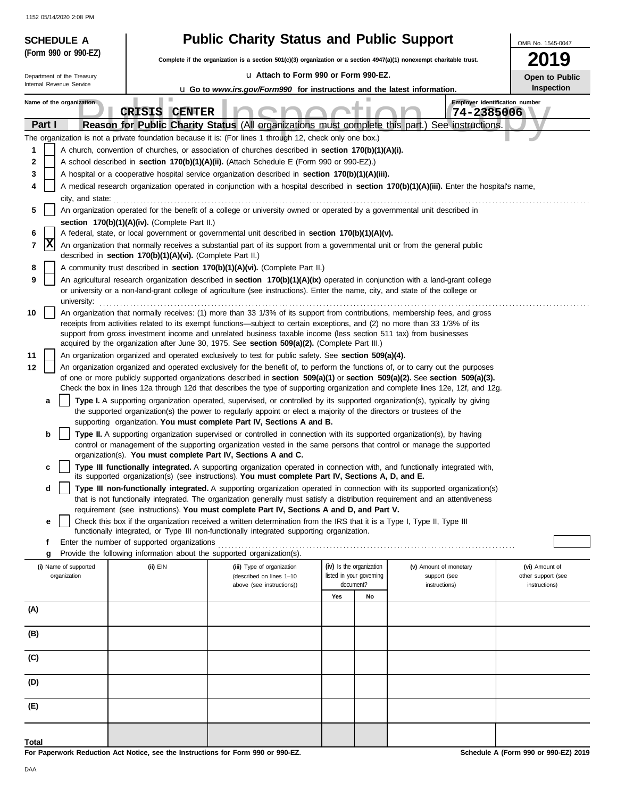| <b>SCHEDULE A</b>                                                                |                                                            | <b>Public Charity Status and Public Support</b>                                                                                                                                                                                                                |                                       |                                              | OMB No. 1545-0047                    |  |
|----------------------------------------------------------------------------------|------------------------------------------------------------|----------------------------------------------------------------------------------------------------------------------------------------------------------------------------------------------------------------------------------------------------------------|---------------------------------------|----------------------------------------------|--------------------------------------|--|
| (Form 990 or 990-EZ)                                                             |                                                            | Complete if the organization is a section 501(c)(3) organization or a section $4947(a)(1)$ nonexempt charitable trust.                                                                                                                                         |                                       |                                              | <b>2019</b>                          |  |
| Department of the Treasury                                                       |                                                            | La Attach to Form 990 or Form 990-EZ.                                                                                                                                                                                                                          |                                       |                                              | Open to Public                       |  |
| Internal Revenue Service                                                         |                                                            | <b>u</b> Go to www.irs.gov/Form990 for instructions and the latest information.                                                                                                                                                                                |                                       |                                              | <b>Inspection</b>                    |  |
| Name of the organization                                                         | a.<br><b>CRISIS CENTER</b>                                 |                                                                                                                                                                                                                                                                |                                       | Employer identification number<br>74-2385006 |                                      |  |
| Part I                                                                           |                                                            | Reason for Public Charity Status (All organizations must complete this part.) See instructions.                                                                                                                                                                |                                       |                                              |                                      |  |
|                                                                                  |                                                            | The organization is not a private foundation because it is: (For lines 1 through 12, check only one box.)                                                                                                                                                      |                                       |                                              |                                      |  |
| 1                                                                                |                                                            | A church, convention of churches, or association of churches described in section 170(b)(1)(A)(i).                                                                                                                                                             |                                       |                                              |                                      |  |
| 2<br>3                                                                           |                                                            | A school described in section 170(b)(1)(A)(ii). (Attach Schedule E (Form 990 or 990-EZ).)<br>A hospital or a cooperative hospital service organization described in section 170(b)(1)(A)(iii).                                                                 |                                       |                                              |                                      |  |
|                                                                                  |                                                            | A medical research organization operated in conjunction with a hospital described in section 170(b)(1)(A)(iii). Enter the hospital's name,                                                                                                                     |                                       |                                              |                                      |  |
| city, and state:                                                                 |                                                            |                                                                                                                                                                                                                                                                |                                       |                                              |                                      |  |
| 5                                                                                |                                                            | An organization operated for the benefit of a college or university owned or operated by a governmental unit described in                                                                                                                                      |                                       |                                              |                                      |  |
|                                                                                  | section 170(b)(1)(A)(iv). (Complete Part II.)              |                                                                                                                                                                                                                                                                |                                       |                                              |                                      |  |
| 6<br> x                                                                          |                                                            | A federal, state, or local government or governmental unit described in section 170(b)(1)(A)(v).                                                                                                                                                               |                                       |                                              |                                      |  |
| 7                                                                                | described in section 170(b)(1)(A)(vi). (Complete Part II.) | An organization that normally receives a substantial part of its support from a governmental unit or from the general public                                                                                                                                   |                                       |                                              |                                      |  |
| 8                                                                                |                                                            | A community trust described in section 170(b)(1)(A)(vi). (Complete Part II.)                                                                                                                                                                                   |                                       |                                              |                                      |  |
| 9                                                                                |                                                            | An agricultural research organization described in section 170(b)(1)(A)(ix) operated in conjunction with a land-grant college                                                                                                                                  |                                       |                                              |                                      |  |
| university:                                                                      |                                                            | or university or a non-land-grant college of agriculture (see instructions). Enter the name, city, and state of the college or                                                                                                                                 |                                       |                                              |                                      |  |
| 10                                                                               |                                                            | An organization that normally receives: (1) more than 33 1/3% of its support from contributions, membership fees, and gross                                                                                                                                    |                                       |                                              |                                      |  |
|                                                                                  |                                                            | receipts from activities related to its exempt functions—subject to certain exceptions, and (2) no more than 33 1/3% of its                                                                                                                                    |                                       |                                              |                                      |  |
|                                                                                  |                                                            | support from gross investment income and unrelated business taxable income (less section 511 tax) from businesses<br>acquired by the organization after June 30, 1975. See section 509(a)(2). (Complete Part III.)                                             |                                       |                                              |                                      |  |
| 11                                                                               |                                                            | An organization organized and operated exclusively to test for public safety. See section 509(a)(4).                                                                                                                                                           |                                       |                                              |                                      |  |
| 12                                                                               |                                                            | An organization organized and operated exclusively for the benefit of, to perform the functions of, or to carry out the purposes                                                                                                                               |                                       |                                              |                                      |  |
|                                                                                  |                                                            | of one or more publicly supported organizations described in section $509(a)(1)$ or section $509(a)(2)$ . See section $509(a)(3)$ .                                                                                                                            |                                       |                                              |                                      |  |
| а                                                                                |                                                            | Check the box in lines 12a through 12d that describes the type of supporting organization and complete lines 12e, 12f, and 12g.<br>Type I. A supporting organization operated, supervised, or controlled by its supported organization(s), typically by giving |                                       |                                              |                                      |  |
|                                                                                  |                                                            | the supported organization(s) the power to regularly appoint or elect a majority of the directors or trustees of the                                                                                                                                           |                                       |                                              |                                      |  |
|                                                                                  |                                                            | supporting organization. You must complete Part IV, Sections A and B.                                                                                                                                                                                          |                                       |                                              |                                      |  |
| b                                                                                |                                                            | Type II. A supporting organization supervised or controlled in connection with its supported organization(s), by having<br>control or management of the supporting organization vested in the same persons that control or manage the supported                |                                       |                                              |                                      |  |
|                                                                                  |                                                            | organization(s). You must complete Part IV, Sections A and C.                                                                                                                                                                                                  |                                       |                                              |                                      |  |
| c                                                                                |                                                            | Type III functionally integrated. A supporting organization operated in connection with, and functionally integrated with,                                                                                                                                     |                                       |                                              |                                      |  |
|                                                                                  |                                                            | its supported organization(s) (see instructions). You must complete Part IV, Sections A, D, and E.                                                                                                                                                             |                                       |                                              |                                      |  |
| d                                                                                |                                                            | Type III non-functionally integrated. A supporting organization operated in connection with its supported organization(s)<br>that is not functionally integrated. The organization generally must satisfy a distribution requirement and an attentiveness      |                                       |                                              |                                      |  |
|                                                                                  |                                                            | requirement (see instructions). You must complete Part IV, Sections A and D, and Part V.                                                                                                                                                                       |                                       |                                              |                                      |  |
| е                                                                                |                                                            | Check this box if the organization received a written determination from the IRS that it is a Type I, Type II, Type III                                                                                                                                        |                                       |                                              |                                      |  |
| f                                                                                | Enter the number of supported organizations                | functionally integrated, or Type III non-functionally integrated supporting organization.                                                                                                                                                                      |                                       |                                              |                                      |  |
| g                                                                                |                                                            | Provide the following information about the supported organization(s).                                                                                                                                                                                         |                                       |                                              |                                      |  |
| (i) Name of supported                                                            | (ii) EIN                                                   | (iii) Type of organization                                                                                                                                                                                                                                     | (iv) Is the organization              | (v) Amount of monetary                       | (vi) Amount of                       |  |
| organization                                                                     |                                                            | (described on lines 1-10<br>above (see instructions))                                                                                                                                                                                                          | listed in your governing<br>document? | support (see<br>instructions)                | other support (see<br>instructions)  |  |
|                                                                                  |                                                            |                                                                                                                                                                                                                                                                | Yes<br>No                             |                                              |                                      |  |
| (A)                                                                              |                                                            |                                                                                                                                                                                                                                                                |                                       |                                              |                                      |  |
|                                                                                  |                                                            |                                                                                                                                                                                                                                                                |                                       |                                              |                                      |  |
| (B)                                                                              |                                                            |                                                                                                                                                                                                                                                                |                                       |                                              |                                      |  |
| (C)                                                                              |                                                            |                                                                                                                                                                                                                                                                |                                       |                                              |                                      |  |
|                                                                                  |                                                            |                                                                                                                                                                                                                                                                |                                       |                                              |                                      |  |
| (D)                                                                              |                                                            |                                                                                                                                                                                                                                                                |                                       |                                              |                                      |  |
|                                                                                  |                                                            |                                                                                                                                                                                                                                                                |                                       |                                              |                                      |  |
| (E)                                                                              |                                                            |                                                                                                                                                                                                                                                                |                                       |                                              |                                      |  |
|                                                                                  |                                                            |                                                                                                                                                                                                                                                                |                                       |                                              |                                      |  |
| Total                                                                            |                                                            |                                                                                                                                                                                                                                                                |                                       |                                              |                                      |  |
| For Paperwork Reduction Act Notice, see the Instructions for Form 990 or 990-EZ. |                                                            |                                                                                                                                                                                                                                                                |                                       |                                              | Schedule A (Form 990 or 990-EZ) 2019 |  |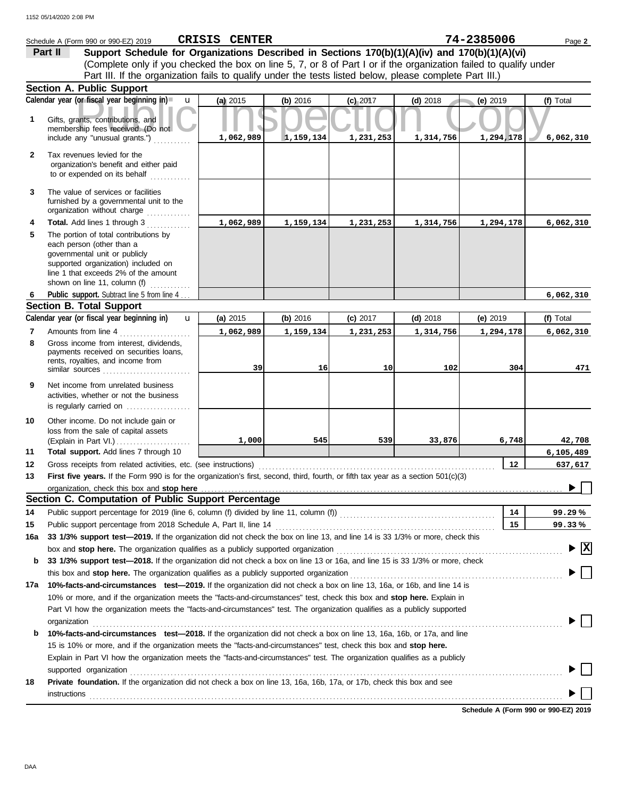|              | Schedule A (Form 990 or 990-EZ) 2019                                                                                                                                                                               | <b>CRISIS CENTER</b> |           |            |            | 74-2385006 | Page 2          |
|--------------|--------------------------------------------------------------------------------------------------------------------------------------------------------------------------------------------------------------------|----------------------|-----------|------------|------------|------------|-----------------|
|              | Support Schedule for Organizations Described in Sections 170(b)(1)(A)(iv) and 170(b)(1)(A)(vi)<br>Part II                                                                                                          |                      |           |            |            |            |                 |
|              | (Complete only if you checked the box on line 5, 7, or 8 of Part I or if the organization failed to qualify under                                                                                                  |                      |           |            |            |            |                 |
|              | Part III. If the organization fails to qualify under the tests listed below, please complete Part III.)                                                                                                            |                      |           |            |            |            |                 |
|              | <b>Section A. Public Support</b>                                                                                                                                                                                   |                      |           |            |            |            |                 |
|              | Calendar year (or fiscal year beginning in) $\blacksquare$ $\blacksquare$                                                                                                                                          | (a) 2015             | (b) 2016  | $(c)$ 2017 | $(d)$ 2018 | (e) $2019$ | (f) Total       |
| 1            | Gifts, grants, contributions, and<br>membership fees received. (Do not<br>include any "unusual grants.")                                                                                                           | 1,062,989            | 1,159,134 | 1,231,253  | 1,314,756  | 1,294,178  | 6,062,310       |
| $\mathbf{2}$ | Tax revenues levied for the<br>organization's benefit and either paid<br>to or expended on its behalf                                                                                                              |                      |           |            |            |            |                 |
| 3            | The value of services or facilities<br>furnished by a governmental unit to the<br>organization without charge                                                                                                      |                      |           |            |            |            |                 |
| 4            | Total. Add lines 1 through 3                                                                                                                                                                                       | 1,062,989            | 1,159,134 | 1,231,253  | 1,314,756  | 1,294,178  | 6,062,310       |
| 5            | The portion of total contributions by<br>each person (other than a<br>governmental unit or publicly<br>supported organization) included on<br>line 1 that exceeds 2% of the amount<br>shown on line 11, column (f) |                      |           |            |            |            |                 |
| 6            | Public support. Subtract line 5 from line 4                                                                                                                                                                        |                      |           |            |            |            | 6,062,310       |
|              | <b>Section B. Total Support</b>                                                                                                                                                                                    |                      |           |            |            |            |                 |
|              | Calendar year (or fiscal year beginning in)<br>$\mathbf{u}$                                                                                                                                                        | (a) 2015             | (b) 2016  | $(c)$ 2017 | $(d)$ 2018 | (e) $2019$ | (f) Total       |
| 7            | Amounts from line 4                                                                                                                                                                                                | 1,062,989            | 1,159,134 | 1,231,253  | 1,314,756  | 1,294,178  | 6,062,310       |
| 8            | Gross income from interest, dividends,<br>payments received on securities loans,<br>rents, royalties, and income from<br>similar sources                                                                           | 39                   | 16        | 10         | 102        | 304        | 471             |
| 9            | Net income from unrelated business<br>activities, whether or not the business<br>is regularly carried on                                                                                                           |                      |           |            |            |            |                 |
| 10           | Other income. Do not include gain or<br>loss from the sale of capital assets<br>(Explain in Part VI.) $\ldots$ $\ldots$ $\ldots$ $\ldots$                                                                          | 1,000                | 545       | 539        | 33,876     | 6,748      | 42,708          |
| 11           | Total support. Add lines 7 through 10<br>Gross receipts from related activities, etc. (see instructions)                                                                                                           |                      |           |            |            |            | 6,105,489       |
| 12<br>13     | First five years. If the Form 990 is for the organization's first, second, third, fourth, or fifth tax year as a section 501(c)(3)                                                                                 |                      |           |            |            | 12         | 637,617         |
|              | organization, check this box and stop here                                                                                                                                                                         |                      |           |            |            |            |                 |
|              | Section C. Computation of Public Support Percentage                                                                                                                                                                |                      |           |            |            |            |                 |
| 14           |                                                                                                                                                                                                                    |                      |           |            |            | 14         | 99.29%          |
| 15           | Public support percentage from 2018 Schedule A, Part II, line 14                                                                                                                                                   |                      |           |            |            | 15         | 99.33%          |
| 16a          | 33 1/3% support test-2019. If the organization did not check the box on line 13, and line 14 is 33 1/3% or more, check this                                                                                        |                      |           |            |            |            |                 |
|              | box and stop here. The organization qualifies as a publicly supported organization <b>conserved</b> conserved and stop here. The organization                                                                      |                      |           |            |            |            | $\vert x \vert$ |
| b            | 33 1/3% support test—2018. If the organization did not check a box on line 13 or 16a, and line 15 is 33 1/3% or more, check                                                                                        |                      |           |            |            |            |                 |
|              | this box and stop here. The organization qualifies as a publicly supported organization                                                                                                                            |                      |           |            |            |            |                 |
| 17a          | 10%-facts-and-circumstances test-2019. If the organization did not check a box on line 13, 16a, or 16b, and line 14 is                                                                                             |                      |           |            |            |            |                 |
|              | 10% or more, and if the organization meets the "facts-and-circumstances" test, check this box and stop here. Explain in                                                                                            |                      |           |            |            |            |                 |
|              | Part VI how the organization meets the "facts-and-circumstances" test. The organization qualifies as a publicly supported                                                                                          |                      |           |            |            |            |                 |
|              | organization                                                                                                                                                                                                       |                      |           |            |            |            |                 |
| b            | 10%-facts-and-circumstances test-2018. If the organization did not check a box on line 13, 16a, 16b, or 17a, and line                                                                                              |                      |           |            |            |            |                 |
|              | 15 is 10% or more, and if the organization meets the "facts-and-circumstances" test, check this box and stop here.                                                                                                 |                      |           |            |            |            |                 |
|              | Explain in Part VI how the organization meets the "facts-and-circumstances" test. The organization qualifies as a publicly                                                                                         |                      |           |            |            |            |                 |
|              | supported organization                                                                                                                                                                                             |                      |           |            |            |            |                 |
| 18           | Private foundation. If the organization did not check a box on line 13, 16a, 16b, 17a, or 17b, check this box and see<br>instructions                                                                              |                      |           |            |            |            |                 |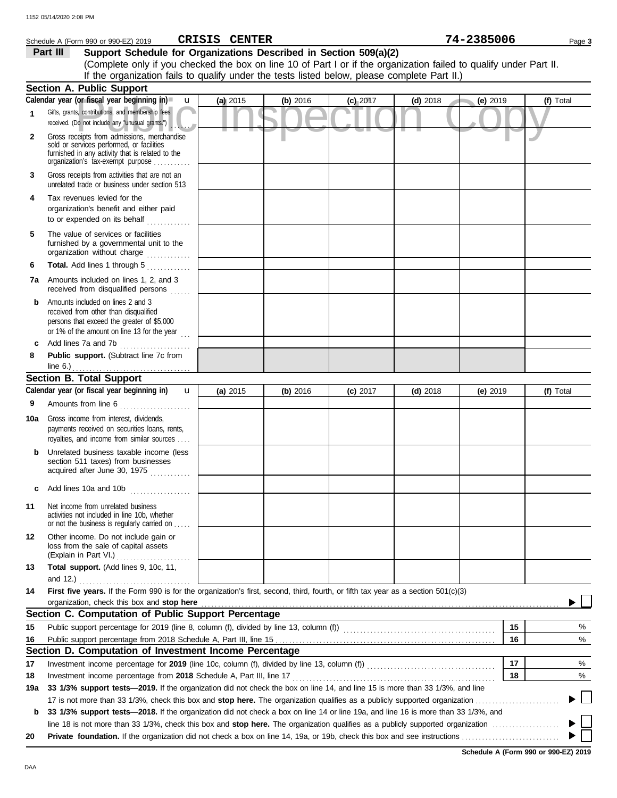|              | Schedule A (Form 990 or 990-EZ) 2019                                                                                                                                              | <b>CRISIS CENTER</b> |          |            |            | 74-2385006 | Page 3    |
|--------------|-----------------------------------------------------------------------------------------------------------------------------------------------------------------------------------|----------------------|----------|------------|------------|------------|-----------|
|              | Support Schedule for Organizations Described in Section 509(a)(2)<br>Part III                                                                                                     |                      |          |            |            |            |           |
|              | (Complete only if you checked the box on line 10 of Part I or if the organization failed to qualify under Part II.                                                                |                      |          |            |            |            |           |
|              | If the organization fails to qualify under the tests listed below, please complete Part II.)                                                                                      |                      |          |            |            |            |           |
|              | <b>Section A. Public Support</b>                                                                                                                                                  |                      |          |            |            |            |           |
|              | Calendar year (or fiscal year beginning in)<br>$\mathbf{u}$                                                                                                                       | (a) 2015             | (b) 2016 | $(c)$ 2017 | $(d)$ 2018 | (e) 2019   | (f) Total |
| 1.           | Gifts, grants, contributions, and membership fees<br>received. (Do not include any "unusual grants.")                                                                             |                      |          |            |            |            |           |
| $\mathbf{2}$ | Gross receipts from admissions, merchandise<br>sold or services performed, or facilities<br>furnished in any activity that is related to the<br>organization's tax-exempt purpose |                      |          |            |            |            |           |
| 3            | Gross receipts from activities that are not an<br>unrelated trade or business under section 513                                                                                   |                      |          |            |            |            |           |
| 4            | Tax revenues levied for the<br>organization's benefit and either paid<br>to or expended on its behalf                                                                             |                      |          |            |            |            |           |
| 5            | The value of services or facilities<br>furnished by a governmental unit to the<br>organization without charge                                                                     |                      |          |            |            |            |           |
| 6            | Total. Add lines 1 through 5                                                                                                                                                      |                      |          |            |            |            |           |
|              | <b>7a</b> Amounts included on lines 1, 2, and 3<br>received from disqualified persons                                                                                             |                      |          |            |            |            |           |
| b            | Amounts included on lines 2 and 3<br>received from other than disqualified<br>persons that exceed the greater of \$5,000<br>or 1% of the amount on line 13 for the year           |                      |          |            |            |            |           |
| c            | Add lines 7a and 7b<br>.                                                                                                                                                          |                      |          |            |            |            |           |
| 8            | Public support. (Subtract line 7c from<br>line $6.$ )                                                                                                                             |                      |          |            |            |            |           |
|              | <b>Section B. Total Support</b>                                                                                                                                                   |                      |          |            |            |            |           |
|              | Calendar year (or fiscal year beginning in)<br>$\mathbf{u}$                                                                                                                       | (a) $2015$           | (b) 2016 | $(c)$ 2017 | $(d)$ 2018 | (e) $2019$ | (f) Total |
| 9            | Amounts from line 6<br>. <b>.</b> .                                                                                                                                               |                      |          |            |            |            |           |
| 10a          | Gross income from interest, dividends,<br>payments received on securities loans, rents,<br>royalties, and income from similar sources                                             |                      |          |            |            |            |           |
| b            | Unrelated business taxable income (less<br>section 511 taxes) from businesses<br>acquired after June 30, 1975                                                                     |                      |          |            |            |            |           |
|              | Add lines 10a and 10b<br>.                                                                                                                                                        |                      |          |            |            |            |           |
| 11           | Net income from unrelated business<br>activities not included in line 10b, whether<br>or not the business is regularly carried on                                                 |                      |          |            |            |            |           |
| 12           | Other income. Do not include gain or<br>loss from the sale of capital assets<br>(Explain in Part VI.)                                                                             |                      |          |            |            |            |           |
| 13           | Total support. (Add lines 9, 10c, 11,                                                                                                                                             |                      |          |            |            |            |           |
|              | and 12.)                                                                                                                                                                          |                      |          |            |            |            |           |
| 14           | First five years. If the Form 990 is for the organization's first, second, third, fourth, or fifth tax year as a section 501(c)(3)                                                |                      |          |            |            |            |           |
|              |                                                                                                                                                                                   |                      |          |            |            |            |           |
|              | Section C. Computation of Public Support Percentage                                                                                                                               |                      |          |            |            |            |           |
| 15           |                                                                                                                                                                                   |                      |          |            |            | 15         | %         |
| 16           |                                                                                                                                                                                   |                      |          |            |            | 16         | $\%$      |
|              | Section D. Computation of Investment Income Percentage                                                                                                                            |                      |          |            |            |            |           |
| 17           |                                                                                                                                                                                   |                      |          |            |            | 17         | %         |
| 18           | Investment income percentage from 2018 Schedule A, Part III, line 17                                                                                                              |                      |          |            |            | 18         | %         |
| 19a          | 33 1/3% support tests—2019. If the organization did not check the box on line 14, and line 15 is more than 33 1/3%, and line                                                      |                      |          |            |            |            |           |
|              |                                                                                                                                                                                   |                      |          |            |            |            |           |
| b            | 33 1/3% support tests-2018. If the organization did not check a box on line 14 or line 19a, and line 16 is more than 33 1/3%, and                                                 |                      |          |            |            |            |           |
|              |                                                                                                                                                                                   |                      |          |            |            |            |           |
| 20           |                                                                                                                                                                                   |                      |          |            |            |            |           |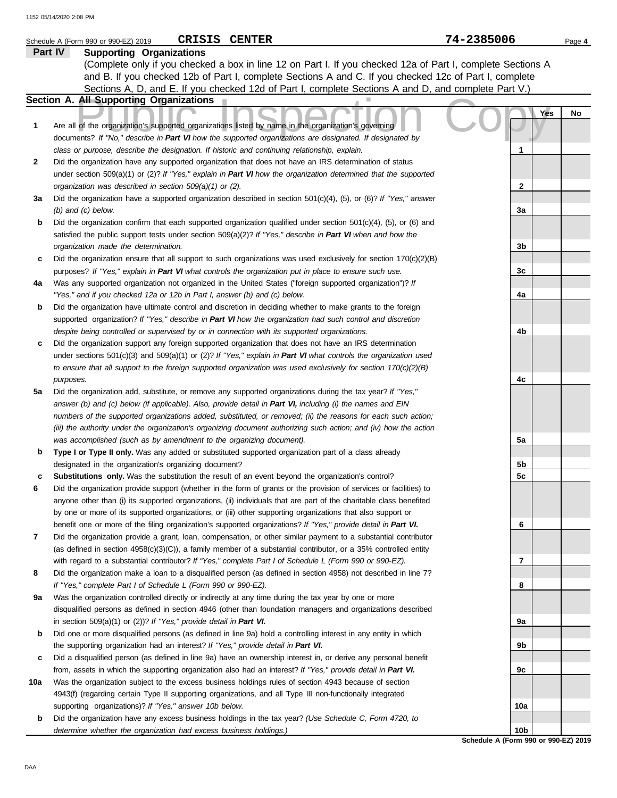|         | <b>CRISIS CENTER</b><br>Schedule A (Form 990 or 990-EZ) 2019                                                        | 74-2385006                           | Page 4 |
|---------|---------------------------------------------------------------------------------------------------------------------|--------------------------------------|--------|
| Part IV | <b>Supporting Organizations</b>                                                                                     |                                      |        |
|         | (Complete only if you checked a box in line 12 on Part I. If you checked 12a of Part I, complete Sections A         |                                      |        |
|         | and B. If you checked 12b of Part I, complete Sections A and C. If you checked 12c of Part I, complete              |                                      |        |
|         | Sections A, D, and E. If you checked 12d of Part I, complete Sections A and D, and complete Part V.)                |                                      |        |
|         | Section A. All Supporting Organizations                                                                             |                                      |        |
|         |                                                                                                                     | Yes                                  | No     |
| 1       | Are all of the organization's supported organizations listed by name in the organization's governing                |                                      |        |
|         | documents? If "No," describe in Part VI how the supported organizations are designated. If designated by            |                                      |        |
|         | class or purpose, describe the designation. If historic and continuing relationship, explain.                       | 1                                    |        |
| 2       | Did the organization have any supported organization that does not have an IRS determination of status              |                                      |        |
|         | under section 509(a)(1) or (2)? If "Yes," explain in Part VI how the organization determined that the supported     |                                      |        |
|         | organization was described in section 509(a)(1) or (2).                                                             | $\mathbf{2}$                         |        |
| За      | Did the organization have a supported organization described in section $501(c)(4)$ , (5), or (6)? If "Yes," answer |                                      |        |
|         | $(b)$ and $(c)$ below.                                                                                              | 3a                                   |        |
| b       | Did the organization confirm that each supported organization qualified under section $501(c)(4)$ , (5), or (6) and |                                      |        |
|         | satisfied the public support tests under section $509(a)(2)?$ If "Yes," describe in Part VI when and how the        |                                      |        |
|         | organization made the determination.                                                                                | 3b                                   |        |
| c       | Did the organization ensure that all support to such organizations was used exclusively for section $170(c)(2)(B)$  |                                      |        |
|         | purposes? If "Yes," explain in Part VI what controls the organization put in place to ensure such use.              | 3c                                   |        |
| 4a      | Was any supported organization not organized in the United States ("foreign supported organization")? If            |                                      |        |
|         | "Yes," and if you checked 12a or 12b in Part I, answer (b) and (c) below.                                           | 4a                                   |        |
| b       | Did the organization have ultimate control and discretion in deciding whether to make grants to the foreign         |                                      |        |
|         | supported organization? If "Yes," describe in Part VI how the organization had such control and discretion          |                                      |        |
|         | despite being controlled or supervised by or in connection with its supported organizations.                        | 4b                                   |        |
|         |                                                                                                                     |                                      |        |
| c       | Did the organization support any foreign supported organization that does not have an IRS determination             |                                      |        |
|         | under sections $501(c)(3)$ and $509(a)(1)$ or (2)? If "Yes," explain in Part VI what controls the organization used |                                      |        |
|         | to ensure that all support to the foreign supported organization was used exclusively for section $170(c)(2)(B)$    |                                      |        |
|         | purposes.                                                                                                           | 4c                                   |        |
| 5a      | Did the organization add, substitute, or remove any supported organizations during the tax year? If "Yes,"          |                                      |        |
|         | answer (b) and (c) below (if applicable). Also, provide detail in Part VI, including (i) the names and EIN          |                                      |        |
|         | numbers of the supported organizations added, substituted, or removed; (ii) the reasons for each such action;       |                                      |        |
|         | (iii) the authority under the organization's organizing document authorizing such action; and (iv) how the action   |                                      |        |
|         | was accomplished (such as by amendment to the organizing document).                                                 | 5a                                   |        |
| b       | Type I or Type II only. Was any added or substituted supported organization part of a class already                 |                                      |        |
|         | designated in the organization's organizing document?                                                               | 5b                                   |        |
|         | <b>Substitutions only.</b> Was the substitution the result of an event beyond the organization's control?           | 5c                                   |        |
| 6       | Did the organization provide support (whether in the form of grants or the provision of services or facilities) to  |                                      |        |
|         | anyone other than (i) its supported organizations, (ii) individuals that are part of the charitable class benefited |                                      |        |
|         | by one or more of its supported organizations, or (iii) other supporting organizations that also support or         |                                      |        |
|         | benefit one or more of the filing organization's supported organizations? If "Yes," provide detail in Part VI.      | 6                                    |        |
| 7       | Did the organization provide a grant, loan, compensation, or other similar payment to a substantial contributor     |                                      |        |
|         | (as defined in section 4958(c)(3)(C)), a family member of a substantial contributor, or a 35% controlled entity     |                                      |        |
|         | with regard to a substantial contributor? If "Yes," complete Part I of Schedule L (Form 990 or 990-EZ).             | 7                                    |        |
| 8       | Did the organization make a loan to a disqualified person (as defined in section 4958) not described in line 7?     |                                      |        |
|         | If "Yes," complete Part I of Schedule L (Form 990 or 990-EZ).                                                       | 8                                    |        |
| 9а      | Was the organization controlled directly or indirectly at any time during the tax year by one or more               |                                      |        |
|         | disqualified persons as defined in section 4946 (other than foundation managers and organizations described         |                                      |        |
|         | in section $509(a)(1)$ or $(2)$ ? If "Yes," provide detail in Part VI.                                              | 9а                                   |        |
| b       | Did one or more disqualified persons (as defined in line 9a) hold a controlling interest in any entity in which     |                                      |        |
|         | the supporting organization had an interest? If "Yes," provide detail in Part VI.                                   | 9b                                   |        |
| c       | Did a disqualified person (as defined in line 9a) have an ownership interest in, or derive any personal benefit     |                                      |        |
|         | from, assets in which the supporting organization also had an interest? If "Yes," provide detail in Part VI.        | 9c                                   |        |
| 10a     | Was the organization subject to the excess business holdings rules of section 4943 because of section               |                                      |        |
|         | 4943(f) (regarding certain Type II supporting organizations, and all Type III non-functionally integrated           |                                      |        |
|         | supporting organizations)? If "Yes," answer 10b below.                                                              | 10a                                  |        |
| b       | Did the organization have any excess business holdings in the tax year? (Use Schedule C, Form 4720, to              |                                      |        |
|         | determine whether the organization had excess business holdings.)                                                   | 10b                                  |        |
|         |                                                                                                                     | Schedule A (Form 990 or 990-EZ) 2019 |        |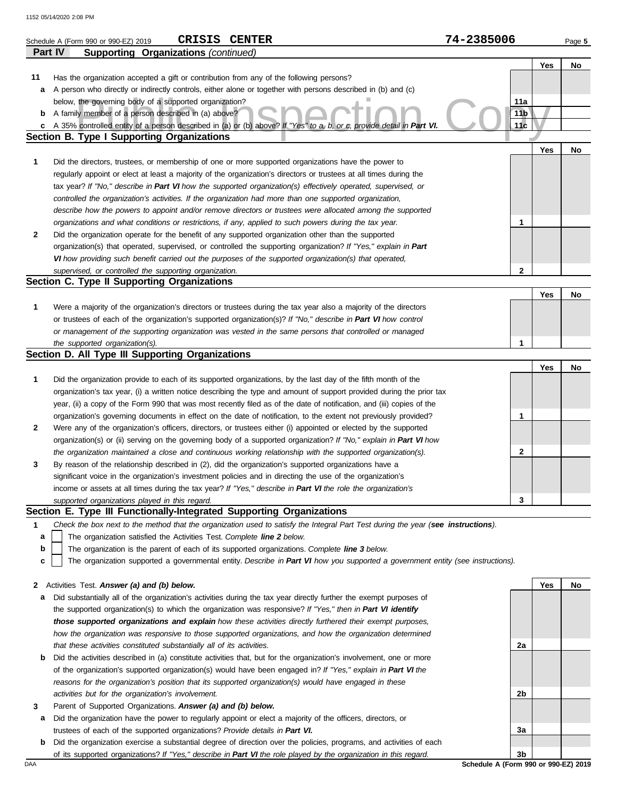|        | 1152 05/14/2020 2:08 PM                                                                                                                                                      |                        |     |        |
|--------|------------------------------------------------------------------------------------------------------------------------------------------------------------------------------|------------------------|-----|--------|
|        |                                                                                                                                                                              |                        |     |        |
|        | CRISIS<br><b>CENTER</b><br>Schedule A (Form 990 or 990-EZ) 2019                                                                                                              | 74-2385006             |     | Page 5 |
|        | <b>Part IV</b><br><b>Supporting Organizations (continued)</b>                                                                                                                |                        |     |        |
|        |                                                                                                                                                                              |                        | Yes | No     |
| 11     | Has the organization accepted a gift or contribution from any of the following persons?                                                                                      |                        |     |        |
| а      | A person who directly or indirectly controls, either alone or together with persons described in (b) and (c)                                                                 |                        |     |        |
|        | below, the governing body of a supported organization?                                                                                                                       | 11a<br>11 <sub>b</sub> |     |        |
| b<br>c | A family member of a person described in (a) above?<br>A 35% controlled entity of a person described in (a) or (b) above? If "Yes" to a, b, or c, provide detail in Part VI. | 11 <sub>c</sub>        |     |        |
|        | <b>Section B. Type I Supporting Organizations</b>                                                                                                                            |                        |     |        |
|        |                                                                                                                                                                              |                        | Yes | No     |
| 1      | Did the directors, trustees, or membership of one or more supported organizations have the power to                                                                          |                        |     |        |
|        | regularly appoint or elect at least a majority of the organization's directors or trustees at all times during the                                                           |                        |     |        |
|        | tax year? If "No," describe in Part VI how the supported organization(s) effectively operated, supervised, or                                                                |                        |     |        |
|        | controlled the organization's activities. If the organization had more than one supported organization,                                                                      |                        |     |        |
|        | describe how the powers to appoint and/or remove directors or trustees were allocated among the supported                                                                    |                        |     |        |
|        | organizations and what conditions or restrictions, if any, applied to such powers during the tax year.                                                                       | 1                      |     |        |
| 2      | Did the organization operate for the benefit of any supported organization other than the supported                                                                          |                        |     |        |
|        | organization(s) that operated, supervised, or controlled the supporting organization? If "Yes," explain in Part                                                              |                        |     |        |
|        | VI how providing such benefit carried out the purposes of the supported organization(s) that operated,                                                                       |                        |     |        |
|        | supervised, or controlled the supporting organization.                                                                                                                       | $\mathbf{2}$           |     |        |
|        | Section C. Type II Supporting Organizations                                                                                                                                  |                        |     |        |
|        |                                                                                                                                                                              |                        | Yes | No     |
| 1      | Were a majority of the organization's directors or trustees during the tax year also a majority of the directors                                                             |                        |     |        |
|        | or trustees of each of the organization's supported organization(s)? If "No," describe in Part VI how control                                                                |                        |     |        |
|        | or management of the supporting organization was vested in the same persons that controlled or managed                                                                       |                        |     |        |
|        | the supported organization(s).                                                                                                                                               | 1                      |     |        |
|        | Section D. All Type III Supporting Organizations                                                                                                                             |                        |     |        |
|        |                                                                                                                                                                              |                        | Yes | No     |
| 1      | Did the organization provide to each of its supported organizations, by the last day of the fifth month of the                                                               |                        |     |        |
|        | organization's tax year, (i) a written notice describing the type and amount of support provided during the prior tax                                                        |                        |     |        |
|        | year, (ii) a copy of the Form 990 that was most recently filed as of the date of notification, and (iii) copies of the                                                       |                        |     |        |
|        | organization's governing documents in effect on the date of notification, to the extent not previously provided?                                                             | 1                      |     |        |
| 2      | Were any of the organization's officers, directors, or trustees either (i) appointed or elected by the supported                                                             |                        |     |        |
|        | organization(s) or (ii) serving on the governing body of a supported organization? If "No," explain in Part VI how                                                           |                        |     |        |
|        | the organization maintained a close and continuous working relationship with the supported organization(s).                                                                  | 2                      |     |        |
|        | By reason of the relationship described in (2), did the organization's supported organizations have a                                                                        |                        |     |        |
|        | significant voice in the organization's investment policies and in directing the use of the organization's                                                                   |                        |     |        |
|        | income or assets at all times during the tax year? If "Yes," describe in Part VI the role the organization's                                                                 |                        |     |        |
|        | supported organizations played in this regard.<br>Section E. Type III Functionally-Integrated Supporting Organizations                                                       | 3                      |     |        |
| 1      | Check the box next to the method that the organization used to satisfy the Integral Part Test during the year (see instructions).                                            |                        |     |        |
| а      | The organization satisfied the Activities Test. Complete line 2 below.                                                                                                       |                        |     |        |
| b      | The organization is the parent of each of its supported organizations. Complete line 3 below.                                                                                |                        |     |        |
| c      | The organization supported a governmental entity. Describe in Part VI how you supported a government entity (see instructions).                                              |                        |     |        |
|        |                                                                                                                                                                              |                        |     |        |
| 2      | Activities Test. Answer (a) and (b) below.                                                                                                                                   |                        | Yes | No     |
| а      | Did substantially all of the organization's activities during the tax year directly further the exempt purposes of                                                           |                        |     |        |
|        | the supported organization(s) to which the organization was responsive? If "Yes," then in Part VI identify                                                                   |                        |     |        |
|        | those supported organizations and explain how these activities directly furthered their exempt purposes,                                                                     |                        |     |        |
|        | how the organization was responsive to those supported organizations, and how the organization determined                                                                    |                        |     |        |
|        | that these activities constituted substantially all of its activities.                                                                                                       | 2a                     |     |        |
| b      | Did the activities described in (a) constitute activities that, but for the organization's involvement, one or more                                                          |                        |     |        |
|        | of the organization's supported organization(s) would have been engaged in? If "Yes," explain in Part VI the                                                                 |                        |     |        |
|        | reasons for the organization's position that its supported organization(s) would have engaged in these                                                                       |                        |     |        |
|        | activities but for the organization's involvement.                                                                                                                           | 2b                     |     |        |
| З      | Parent of Supported Organizations. Answer (a) and (b) below.                                                                                                                 |                        |     |        |
|        | Did the organization have the power to requisity appoint or elect a majority of the officers directors or                                                                    |                        |     |        |

- **a** Did the organization have the power to regularly appoint or elect a majority of the officers, directors, or trustees of each of the supported organizations? *Provide details in Part VI.*
- **b** Did the organization exercise a substantial degree of direction over the policies, programs, and activities of each of its supported organizations? *If "Yes," describe in Part VI the role played by the organization in this regard.*

DAA **Schedule A (Form 990 or 990-EZ) 2019 3b**

**3a**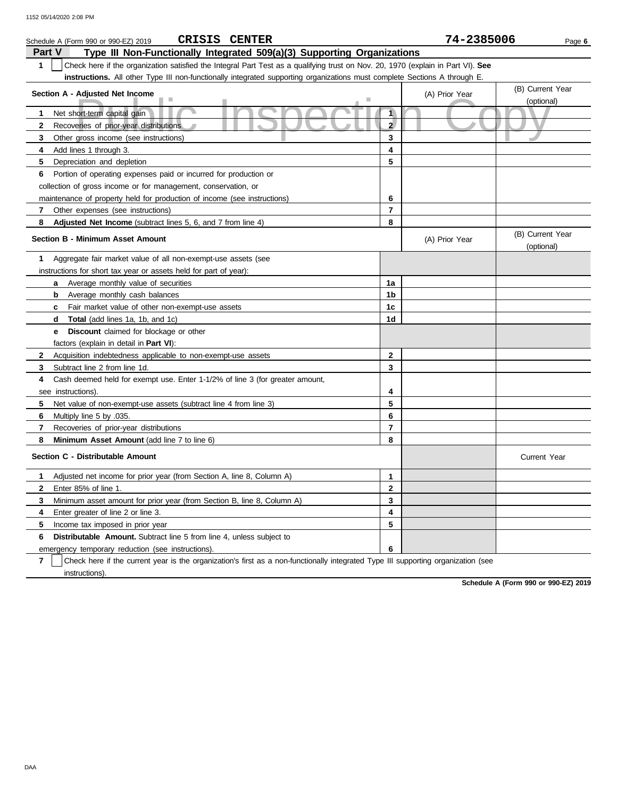| CRISIS CENTER<br>Schedule A (Form 990 or 990-EZ) 2019                                                                                 |                         | 74-2385006     | Page 6                         |
|---------------------------------------------------------------------------------------------------------------------------------------|-------------------------|----------------|--------------------------------|
| <b>Part V</b><br>Type III Non-Functionally Integrated 509(a)(3) Supporting Organizations                                              |                         |                |                                |
| Check here if the organization satisfied the Integral Part Test as a qualifying trust on Nov. 20, 1970 (explain in Part VI). See<br>1 |                         |                |                                |
| <b>instructions.</b> All other Type III non-functionally integrated supporting organizations must complete Sections A through E.      |                         |                |                                |
| Section A - Adjusted Net Income                                                                                                       |                         | (A) Prior Year | (B) Current Year               |
| ш                                                                                                                                     |                         |                | (optional)                     |
| Net short-term capital gain<br>1                                                                                                      | $\overline{\mathbf{1}}$ |                |                                |
| $\mathbf{2}$<br>Recoveries of prior-year distributions                                                                                | $\mathbf{2}$            |                |                                |
| 3<br>Other gross income (see instructions)                                                                                            | 3                       |                |                                |
| Add lines 1 through 3.<br>4                                                                                                           | 4                       |                |                                |
| 5<br>Depreciation and depletion                                                                                                       | 5                       |                |                                |
| Portion of operating expenses paid or incurred for production or<br>6                                                                 |                         |                |                                |
| collection of gross income or for management, conservation, or                                                                        |                         |                |                                |
| maintenance of property held for production of income (see instructions)                                                              | 6                       |                |                                |
| 7<br>Other expenses (see instructions)                                                                                                | $\overline{7}$          |                |                                |
| 8<br><b>Adjusted Net Income</b> (subtract lines 5, 6, and 7 from line 4)                                                              | 8                       |                |                                |
| <b>Section B - Minimum Asset Amount</b>                                                                                               |                         | (A) Prior Year | (B) Current Year<br>(optional) |
| 1<br>Aggregate fair market value of all non-exempt-use assets (see                                                                    |                         |                |                                |
| instructions for short tax year or assets held for part of year):                                                                     |                         |                |                                |
| Average monthly value of securities<br>a                                                                                              | 1a                      |                |                                |
| Average monthly cash balances<br>b                                                                                                    | 1b                      |                |                                |
| Fair market value of other non-exempt-use assets<br>c                                                                                 | 1c                      |                |                                |
| <b>Total</b> (add lines 1a, 1b, and 1c)<br>d                                                                                          | 1d                      |                |                                |
| <b>Discount</b> claimed for blockage or other<br>е                                                                                    |                         |                |                                |
| factors (explain in detail in Part VI):                                                                                               |                         |                |                                |
| $\mathbf{2}$<br>Acquisition indebtedness applicable to non-exempt-use assets                                                          | 2                       |                |                                |
| 3<br>Subtract line 2 from line 1d.                                                                                                    | 3                       |                |                                |
| 4<br>Cash deemed held for exempt use. Enter 1-1/2% of line 3 (for greater amount,                                                     |                         |                |                                |
| see instructions).                                                                                                                    | 4                       |                |                                |
| 5<br>Net value of non-exempt-use assets (subtract line 4 from line 3)                                                                 | 5                       |                |                                |
| 6<br>.035. Multiply line 5 by                                                                                                         | 6                       |                |                                |
| 7<br>Recoveries of prior-year distributions                                                                                           | $\overline{7}$          |                |                                |
| 8<br><b>Minimum Asset Amount (add line 7 to line 6)</b>                                                                               | 8                       |                |                                |
| Section C - Distributable Amount                                                                                                      |                         |                | <b>Current Year</b>            |
| Adjusted net income for prior year (from Section A, line 8, Column A)<br>1                                                            | $\mathbf{1}$            |                |                                |
| $\mathbf{2}$<br>Enter 85% of line 1.                                                                                                  | $\overline{2}$          |                |                                |
| 3<br>Minimum asset amount for prior year (from Section B, line 8, Column A)                                                           | 3                       |                |                                |
| 4<br>Enter greater of line 2 or line 3.                                                                                               | 4                       |                |                                |
| 5<br>Income tax imposed in prior year                                                                                                 | 5                       |                |                                |
| 6<br><b>Distributable Amount.</b> Subtract line 5 from line 4, unless subject to                                                      |                         |                |                                |
| emergency temporary reduction (see instructions).                                                                                     | 6                       |                |                                |

**7** instructions). Check here if the current year is the organization's first as a non-functionally integrated Type III supporting organization (see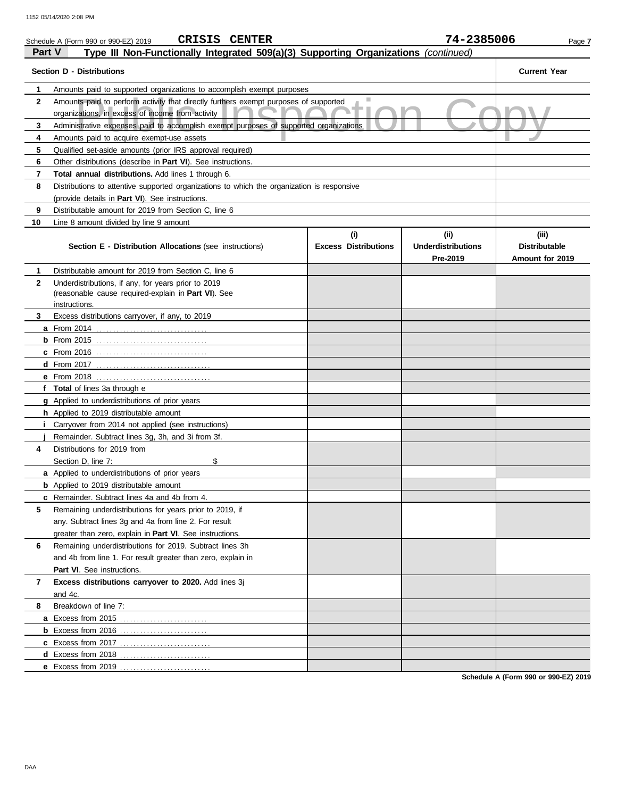|        | <b>CRISIS CENTER</b><br>Schedule A (Form 990 or 990-EZ) 2019                                                                             |                             | 74-2385006                            | Page 7                                  |
|--------|------------------------------------------------------------------------------------------------------------------------------------------|-----------------------------|---------------------------------------|-----------------------------------------|
| Part V | Type III Non-Functionally Integrated 509(a)(3) Supporting Organizations (continued)                                                      |                             |                                       |                                         |
|        | <b>Section D - Distributions</b>                                                                                                         |                             |                                       | <b>Current Year</b>                     |
| 1      | Amounts paid to supported organizations to accomplish exempt purposes                                                                    |                             |                                       |                                         |
| 2      | Amounts paid to perform activity that directly furthers exempt purposes of supported<br>organizations, in excess of income from activity |                             |                                       |                                         |
| 3      | Administrative expenses paid to accomplish exempt purposes of supported organizations                                                    |                             |                                       |                                         |
| 4      | Amounts paid to acquire exempt-use assets                                                                                                |                             |                                       |                                         |
| 5      | Qualified set-aside amounts (prior IRS approval required)                                                                                |                             |                                       |                                         |
| 6      | Other distributions (describe in Part VI). See instructions.                                                                             |                             |                                       |                                         |
| 7      | Total annual distributions. Add lines 1 through 6.                                                                                       |                             |                                       |                                         |
| 8      | Distributions to attentive supported organizations to which the organization is responsive                                               |                             |                                       |                                         |
|        | (provide details in <b>Part VI</b> ). See instructions.                                                                                  |                             |                                       |                                         |
| 9      | Distributable amount for 2019 from Section C, line 6                                                                                     |                             |                                       |                                         |
| 10     | Line 8 amount divided by line 9 amount                                                                                                   |                             |                                       |                                         |
|        |                                                                                                                                          | (i)                         | (ii)                                  | (iii)                                   |
|        | Section E - Distribution Allocations (see instructions)                                                                                  | <b>Excess Distributions</b> | <b>Underdistributions</b><br>Pre-2019 | <b>Distributable</b><br>Amount for 2019 |
| 1      | Distributable amount for 2019 from Section C, line 6                                                                                     |                             |                                       |                                         |
| 2      | Underdistributions, if any, for years prior to 2019                                                                                      |                             |                                       |                                         |
|        | (reasonable cause required-explain in Part VI). See                                                                                      |                             |                                       |                                         |
|        | instructions.                                                                                                                            |                             |                                       |                                         |
| 3      | Excess distributions carryover, if any, to 2019                                                                                          |                             |                                       |                                         |
|        |                                                                                                                                          |                             |                                       |                                         |
|        | <b>b</b> From 2015 <u></u>                                                                                                               |                             |                                       |                                         |
|        |                                                                                                                                          |                             |                                       |                                         |
|        |                                                                                                                                          |                             |                                       |                                         |
|        |                                                                                                                                          |                             |                                       |                                         |
|        | f Total of lines 3a through e                                                                                                            |                             |                                       |                                         |
|        | g Applied to underdistributions of prior years                                                                                           |                             |                                       |                                         |
|        | <b>h</b> Applied to 2019 distributable amount                                                                                            |                             |                                       |                                         |
|        | Carryover from 2014 not applied (see instructions)                                                                                       |                             |                                       |                                         |
|        | Remainder. Subtract lines 3g, 3h, and 3i from 3f.                                                                                        |                             |                                       |                                         |
| 4      | Distributions for 2019 from                                                                                                              |                             |                                       |                                         |
|        | \$<br>Section D, line 7:                                                                                                                 |                             |                                       |                                         |
|        | <b>a</b> Applied to underdistributions of prior years                                                                                    |                             |                                       |                                         |
|        | <b>b</b> Applied to 2019 distributable amount                                                                                            |                             |                                       |                                         |
|        | <b>c</b> Remainder. Subtract lines 4a and 4b from 4.                                                                                     |                             |                                       |                                         |
| 5      | Remaining underdistributions for years prior to 2019, if                                                                                 |                             |                                       |                                         |
|        | any. Subtract lines 3q and 4a from line 2. For result                                                                                    |                             |                                       |                                         |
|        | greater than zero, explain in Part VI. See instructions.                                                                                 |                             |                                       |                                         |
| 6      | Remaining underdistributions for 2019. Subtract lines 3h                                                                                 |                             |                                       |                                         |
|        | and 4b from line 1. For result greater than zero, explain in                                                                             |                             |                                       |                                         |
|        | <b>Part VI.</b> See instructions.                                                                                                        |                             |                                       |                                         |
| 7      | Excess distributions carryover to 2020. Add lines 3j                                                                                     |                             |                                       |                                         |
|        | and 4c.                                                                                                                                  |                             |                                       |                                         |
| 8      | Breakdown of line 7:                                                                                                                     |                             |                                       |                                         |
|        |                                                                                                                                          |                             |                                       |                                         |
|        |                                                                                                                                          |                             |                                       |                                         |
|        |                                                                                                                                          |                             |                                       |                                         |
|        | d Excess from 2018<br>.                                                                                                                  |                             |                                       |                                         |
|        | e Excess from 2019                                                                                                                       |                             |                                       |                                         |

**Schedule A (Form 990 or 990-EZ) 2019**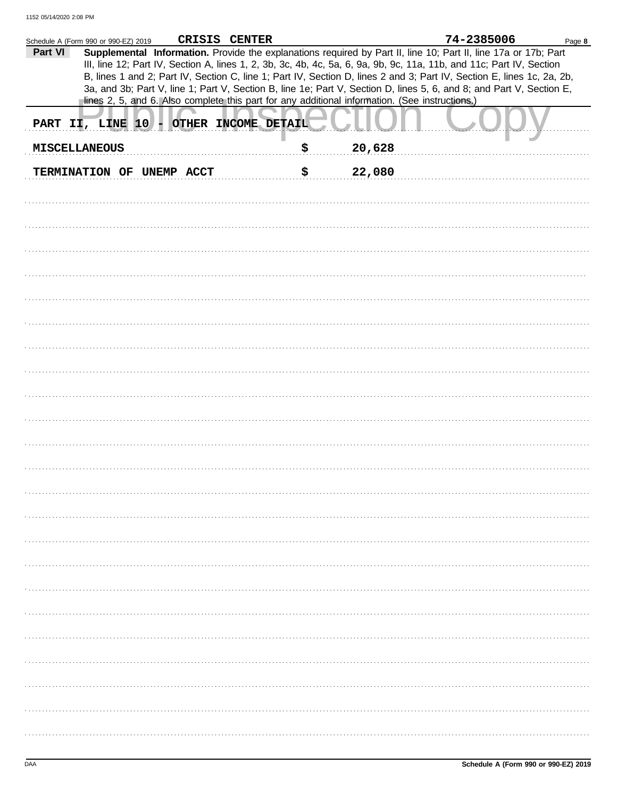|                      | Schedule A (Form 990 or 990-EZ) 2019 | CRISIS CENTER       |                                                                                                | 74-2385006                                                                                                                                                                                                                                                                                                                                                                                                                                                                                | Page 8 |
|----------------------|--------------------------------------|---------------------|------------------------------------------------------------------------------------------------|-------------------------------------------------------------------------------------------------------------------------------------------------------------------------------------------------------------------------------------------------------------------------------------------------------------------------------------------------------------------------------------------------------------------------------------------------------------------------------------------|--------|
| Part VI              |                                      |                     | lines 2, 5, and 6. Also complete this part for any additional information. (See instructions.) | Supplemental Information. Provide the explanations required by Part II, line 10; Part II, line 17a or 17b; Part<br>III, line 12; Part IV, Section A, lines 1, 2, 3b, 3c, 4b, 4c, 5a, 6, 9a, 9b, 9c, 11a, 11b, and 11c; Part IV, Section<br>B, lines 1 and 2; Part IV, Section C, line 1; Part IV, Section D, lines 2 and 3; Part IV, Section E, lines 1c, 2a, 2b,<br>3a, and 3b; Part V, line 1; Part V, Section B, line 1e; Part V, Section D, lines 5, 6, and 8; and Part V, Section E, |        |
|                      | PART II, LINE 10                     | OTHER INCOME DETAIL |                                                                                                |                                                                                                                                                                                                                                                                                                                                                                                                                                                                                           |        |
| <b>MISCELLANEOUS</b> |                                      |                     | \$<br>20,628                                                                                   |                                                                                                                                                                                                                                                                                                                                                                                                                                                                                           |        |
|                      | TERMINATION OF UNEMP ACCT            |                     | \$<br>22,080                                                                                   |                                                                                                                                                                                                                                                                                                                                                                                                                                                                                           |        |
|                      |                                      |                     |                                                                                                |                                                                                                                                                                                                                                                                                                                                                                                                                                                                                           |        |
|                      |                                      |                     |                                                                                                |                                                                                                                                                                                                                                                                                                                                                                                                                                                                                           |        |
|                      |                                      |                     |                                                                                                |                                                                                                                                                                                                                                                                                                                                                                                                                                                                                           |        |
|                      |                                      |                     |                                                                                                |                                                                                                                                                                                                                                                                                                                                                                                                                                                                                           |        |
|                      |                                      |                     |                                                                                                |                                                                                                                                                                                                                                                                                                                                                                                                                                                                                           |        |
|                      |                                      |                     |                                                                                                |                                                                                                                                                                                                                                                                                                                                                                                                                                                                                           |        |
|                      |                                      |                     |                                                                                                |                                                                                                                                                                                                                                                                                                                                                                                                                                                                                           |        |
|                      |                                      |                     |                                                                                                |                                                                                                                                                                                                                                                                                                                                                                                                                                                                                           |        |
|                      |                                      |                     |                                                                                                |                                                                                                                                                                                                                                                                                                                                                                                                                                                                                           |        |
|                      |                                      |                     |                                                                                                |                                                                                                                                                                                                                                                                                                                                                                                                                                                                                           |        |
|                      |                                      |                     |                                                                                                |                                                                                                                                                                                                                                                                                                                                                                                                                                                                                           |        |
|                      |                                      |                     |                                                                                                |                                                                                                                                                                                                                                                                                                                                                                                                                                                                                           |        |
|                      |                                      |                     |                                                                                                |                                                                                                                                                                                                                                                                                                                                                                                                                                                                                           |        |
|                      |                                      |                     |                                                                                                |                                                                                                                                                                                                                                                                                                                                                                                                                                                                                           |        |
|                      |                                      |                     |                                                                                                |                                                                                                                                                                                                                                                                                                                                                                                                                                                                                           |        |
|                      |                                      |                     |                                                                                                |                                                                                                                                                                                                                                                                                                                                                                                                                                                                                           |        |
|                      |                                      |                     |                                                                                                |                                                                                                                                                                                                                                                                                                                                                                                                                                                                                           |        |
|                      |                                      |                     |                                                                                                |                                                                                                                                                                                                                                                                                                                                                                                                                                                                                           |        |
|                      |                                      |                     |                                                                                                |                                                                                                                                                                                                                                                                                                                                                                                                                                                                                           |        |
|                      |                                      |                     |                                                                                                |                                                                                                                                                                                                                                                                                                                                                                                                                                                                                           |        |
|                      |                                      |                     |                                                                                                |                                                                                                                                                                                                                                                                                                                                                                                                                                                                                           |        |
|                      |                                      |                     |                                                                                                |                                                                                                                                                                                                                                                                                                                                                                                                                                                                                           |        |
|                      |                                      |                     |                                                                                                |                                                                                                                                                                                                                                                                                                                                                                                                                                                                                           |        |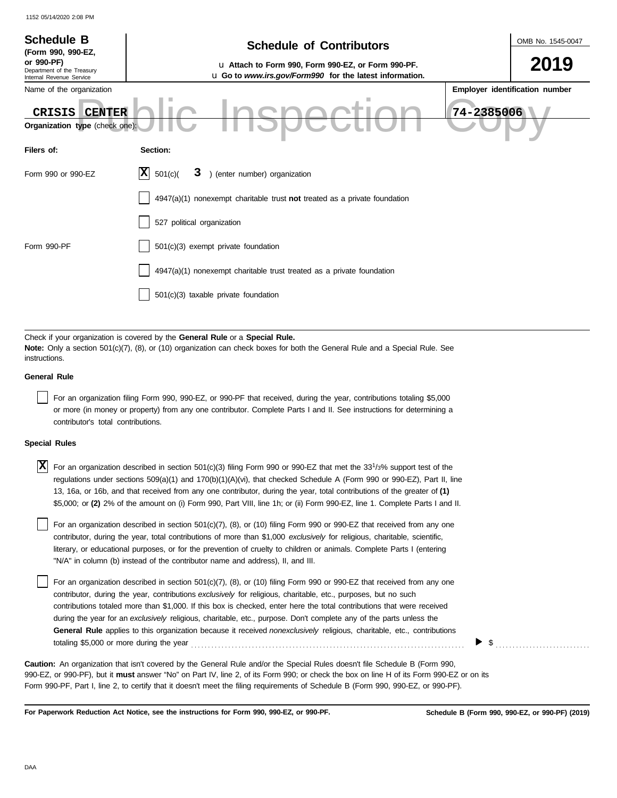| <b>Schedule B</b><br>(Form 990, 990-EZ,<br>or 990-PF)<br>Department of the Treasury<br>Internal Revenue Service                                                                                                              | <b>Schedule of Contributors</b><br>u Attach to Form 990, Form 990-EZ, or Form 990-PF.<br><b>u</b> Go to www.irs.gov/Form990 for the latest information. | OMB No. 1545-0047<br>2019                    |  |  |  |
|------------------------------------------------------------------------------------------------------------------------------------------------------------------------------------------------------------------------------|---------------------------------------------------------------------------------------------------------------------------------------------------------|----------------------------------------------|--|--|--|
| Name of the organization<br><b>CRISIS</b><br><b>CENTER</b><br>Organization type (check one):                                                                                                                                 |                                                                                                                                                         | Employer identification number<br>74-2385006 |  |  |  |
| Filers of:                                                                                                                                                                                                                   | Section:                                                                                                                                                |                                              |  |  |  |
| Form 990 or 990-EZ                                                                                                                                                                                                           | X <br>) (enter number) organization<br>501(c)<br>3                                                                                                      |                                              |  |  |  |
|                                                                                                                                                                                                                              | $4947(a)(1)$ nonexempt charitable trust not treated as a private foundation                                                                             |                                              |  |  |  |
|                                                                                                                                                                                                                              | 527 political organization                                                                                                                              |                                              |  |  |  |
| Form 990-PF                                                                                                                                                                                                                  | 501(c)(3) exempt private foundation                                                                                                                     |                                              |  |  |  |
|                                                                                                                                                                                                                              | 4947(a)(1) nonexempt charitable trust treated as a private foundation                                                                                   |                                              |  |  |  |
|                                                                                                                                                                                                                              | 501(c)(3) taxable private foundation                                                                                                                    |                                              |  |  |  |
|                                                                                                                                                                                                                              |                                                                                                                                                         |                                              |  |  |  |
| Check if your organization is covered by the General Rule or a Special Rule.<br>Note: Only a section 501(c)(7), (8), or (10) organization can check boxes for both the General Rule and a Special Rule. See<br>instructions. |                                                                                                                                                         |                                              |  |  |  |

### **General Rule**

For an organization filing Form 990, 990-EZ, or 990-PF that received, during the year, contributions totaling \$5,000 or more (in money or property) from any one contributor. Complete Parts I and II. See instructions for determining a contributor's total contributions.

### **Special Rules**

| X For an organization described in section 501(c)(3) filing Form 990 or 990-EZ that met the 33 <sup>1</sup> /3% support test of the |
|-------------------------------------------------------------------------------------------------------------------------------------|
| regulations under sections 509(a)(1) and 170(b)(1)(A)(vi), that checked Schedule A (Form 990 or 990-EZ), Part II, line              |
| 13, 16a, or 16b, and that received from any one contributor, during the year, total contributions of the greater of (1)             |
| \$5,000; or (2) 2% of the amount on (i) Form 990, Part VIII, line 1h; or (ii) Form 990-EZ, line 1. Complete Parts I and II.         |

literary, or educational purposes, or for the prevention of cruelty to children or animals. Complete Parts I (entering For an organization described in section 501(c)(7), (8), or (10) filing Form 990 or 990-EZ that received from any one contributor, during the year, total contributions of more than \$1,000 *exclusively* for religious, charitable, scientific, "N/A" in column (b) instead of the contributor name and address), II, and III.

For an organization described in section 501(c)(7), (8), or (10) filing Form 990 or 990-EZ that received from any one contributor, during the year, contributions *exclusively* for religious, charitable, etc., purposes, but no such contributions totaled more than \$1,000. If this box is checked, enter here the total contributions that were received during the year for an *exclusively* religious, charitable, etc., purpose. Don't complete any of the parts unless the **General Rule** applies to this organization because it received *nonexclusively* religious, charitable, etc., contributions totaling \$5,000 or more during the year . . . . . . . . . . . . . . . . . . . . . . . . . . . . . . . . . . . . . . . . . . . . . . . . . . . . . . . . . . . . . . . . . . . . . . . . . . . . . . . . .

990-EZ, or 990-PF), but it **must** answer "No" on Part IV, line 2, of its Form 990; or check the box on line H of its Form 990-EZ or on its Form 990-PF, Part I, line 2, to certify that it doesn't meet the filing requirements of Schedule B (Form 990, 990-EZ, or 990-PF). **Caution:** An organization that isn't covered by the General Rule and/or the Special Rules doesn't file Schedule B (Form 990,

**For Paperwork Reduction Act Notice, see the instructions for Form 990, 990-EZ, or 990-PF.**

 $\blacktriangleright$  \$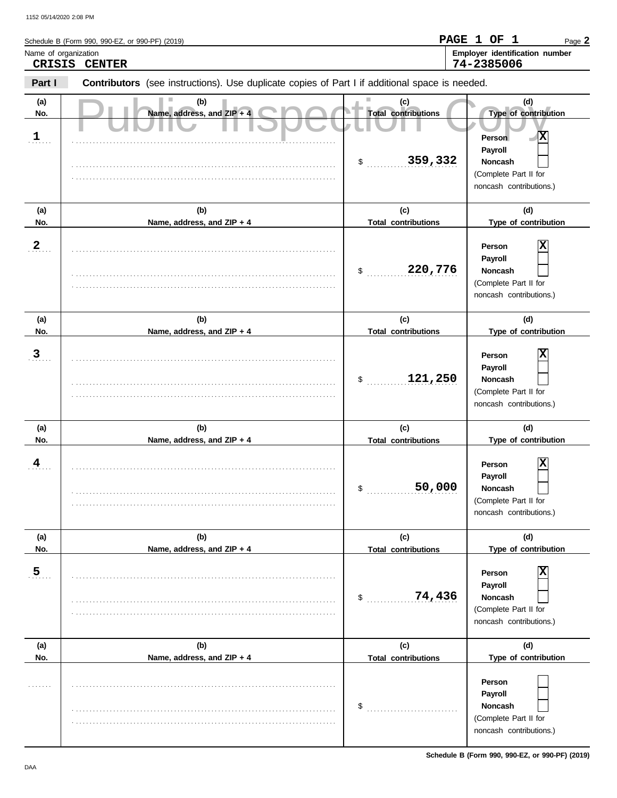| Schedule B (Form 990, 990-EZ, or 990-PF) (2019)                                                                 | PAGE 1 OF 1<br>Page 2                               |
|-----------------------------------------------------------------------------------------------------------------|-----------------------------------------------------|
| Name of organization<br>CRISIS CENTER                                                                           | <b>Employer identification number</b><br>74-2385006 |
| <b>Contributors</b> (see instructions). Use duplicate copies of Part I if additional space is needed.<br>Part I |                                                     |

| (a)<br>No.     | (b)<br>Name, address, and ZIP + 4 | (c)<br><b>Total contributions</b> | (d)<br>Type of contribution                                                            |
|----------------|-----------------------------------|-----------------------------------|----------------------------------------------------------------------------------------|
| $\mathbf{1}$   |                                   | 359,332<br>\$                     | Ιx<br>Person<br>Payroll<br>Noncash<br>(Complete Part II for<br>noncash contributions.) |
| (a)<br>No.     | (b)<br>Name, address, and ZIP + 4 | (c)<br><b>Total contributions</b> | (d)<br>Type of contribution                                                            |
| $\mathbf{2}$   |                                   | 220,776<br>\$                     | X<br>Person<br>Payroll<br>Noncash<br>(Complete Part II for<br>noncash contributions.)  |
| (a)<br>No.     | (b)<br>Name, address, and ZIP + 4 | (c)<br><b>Total contributions</b> | (d)<br>Type of contribution                                                            |
| $\mathbf{3}$   |                                   | 121,250<br>\$                     | X<br>Person<br>Payroll<br>Noncash<br>(Complete Part II for<br>noncash contributions.)  |
|                |                                   |                                   |                                                                                        |
| (a)<br>No.     | (b)<br>Name, address, and ZIP + 4 | (c)<br><b>Total contributions</b> | (d)<br>Type of contribution                                                            |
| 4              |                                   | 50,000<br>\$                      | X<br>Person<br>Payroll<br>Noncash<br>(Complete Part II for<br>noncash contributions.)  |
| (a)<br>No.     | (b)<br>Name, address, and ZIP + 4 | (c)<br><b>Total contributions</b> | (d)<br>Type of contribution                                                            |
| 5 <sub>1</sub> |                                   | 74,436<br>\$                      | X<br>Person<br>Payroll<br>Noncash<br>(Complete Part II for<br>noncash contributions.)  |
| (a)<br>No.     | (b)<br>Name, address, and ZIP + 4 | (c)<br><b>Total contributions</b> | (d)<br>Type of contribution                                                            |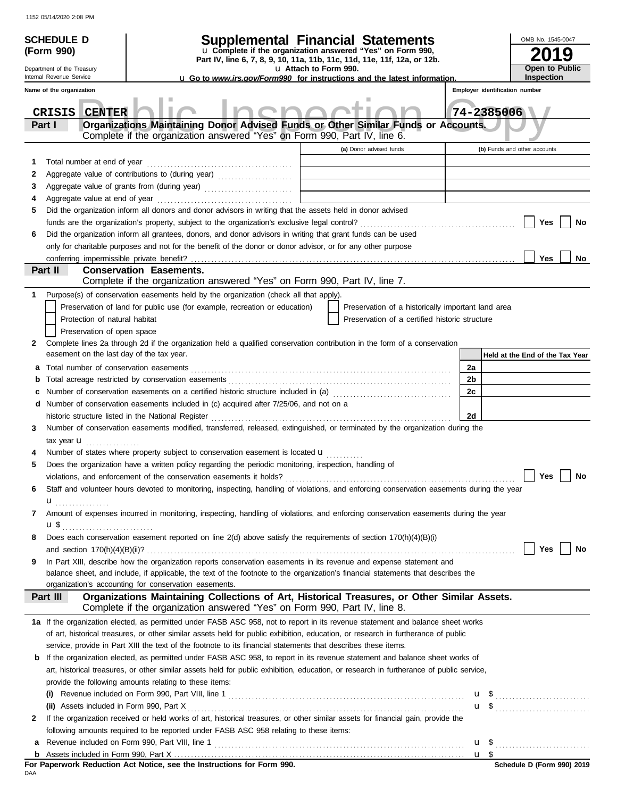| Internal Revenue Service<br><b>Inspection</b><br><b>u</b> Go to www.irs.gov/Form990 for instructions and the latest information.<br>Name of the organization<br>Employer identification number<br>74-2385006<br><b>CENTER</b><br>CRISIS I<br>Organizations Maintaining Donor Advised Funds or Other Similar Funds or Accounts.<br>Part I<br>Complete if the organization answered "Yes" on Form 990, Part IV, line 6.<br>(a) Donor advised funds<br>(b) Funds and other accounts<br>Total number at end of year<br>1<br>2<br>3<br>4<br>Did the organization inform all donors and donor advisors in writing that the assets held in donor advised<br>5<br>Yes<br>No<br>Did the organization inform all grantees, donors, and donor advisors in writing that grant funds can be used<br>6<br>only for charitable purposes and not for the benefit of the donor or donor advisor, or for any other purpose<br>Yes<br>No<br>Part II<br><b>Conservation Easements.</b><br>Complete if the organization answered "Yes" on Form 990, Part IV, line 7.<br>Purpose(s) of conservation easements held by the organization (check all that apply).<br>1<br>Preservation of land for public use (for example, recreation or education)<br>Preservation of a historically important land area<br>Protection of natural habitat<br>Preservation of a certified historic structure<br>Preservation of open space<br>Complete lines 2a through 2d if the organization held a qualified conservation contribution in the form of a conservation<br>2<br>easement on the last day of the tax year.<br>Held at the End of the Tax Year<br>2a<br>a<br>2 <sub>b</sub><br>b<br>2c<br>Number of conservation easements on a certified historic structure included in (a) [11] Number of conservation easements on a certified historic structure included in (a)<br>c<br>Number of conservation easements included in (c) acquired after 7/25/06, and not on a<br>d<br>2d<br>historic structure listed in the National Register<br>Number of conservation easements modified, transferred, released, extinguished, or terminated by the organization during the<br>3<br>tax year $\mathbf{u}$<br>Number of states where property subject to conservation easement is located u<br>Does the organization have a written policy regarding the periodic monitoring, inspection, handling of<br>5<br>Yes $ $<br><b>No</b><br>Staff and volunteer hours devoted to monitoring, inspecting, handling of violations, and enforcing conservation easements during the year<br>6<br>u <sub></sub><br>Amount of expenses incurred in monitoring, inspecting, handling of violations, and enforcing conservation easements during the year<br>7<br>Does each conservation easement reported on line 2(d) above satisfy the requirements of section 170(h)(4)(B)(i)<br>8<br>Yes<br>No<br>In Part XIII, describe how the organization reports conservation easements in its revenue and expense statement and<br>9<br>balance sheet, and include, if applicable, the text of the footnote to the organization's financial statements that describes the<br>organization's accounting for conservation easements.<br>Organizations Maintaining Collections of Art, Historical Treasures, or Other Similar Assets.<br>Part III<br>Complete if the organization answered "Yes" on Form 990, Part IV, line 8.<br>1a If the organization elected, as permitted under FASB ASC 958, not to report in its revenue statement and balance sheet works<br>of art, historical treasures, or other similar assets held for public exhibition, education, or research in furtherance of public<br>service, provide in Part XIII the text of the footnote to its financial statements that describes these items.<br>If the organization elected, as permitted under FASB ASC 958, to report in its revenue statement and balance sheet works of<br>b<br>art, historical treasures, or other similar assets held for public exhibition, education, or research in furtherance of public service,<br>provide the following amounts relating to these items:<br>$\mathbf{u}$<br>If the organization received or held works of art, historical treasures, or other similar assets for financial gain, provide the<br>2<br>following amounts required to be reported under FASB ASC 958 relating to these items:<br>a<br>$u \$<br>b<br>For Paperwork Reduction Act Notice, see the Instructions for Form 990.<br>Schedule D (Form 990) 2019<br>DAA | <b>SCHEDULE D</b><br>(Form 990)<br>Department of the Treasury | u Attach to Form 990. | Supplemental Financial Statements<br>u Complete if the organization answered "Yes" on Form 990,<br>Part IV, line 6, 7, 8, 9, 10, 11a, 11b, 11c, 11d, 11e, 11f, 12a, or 12b. | OMB No. 1545-0047<br>9<br>Open to Public |
|-----------------------------------------------------------------------------------------------------------------------------------------------------------------------------------------------------------------------------------------------------------------------------------------------------------------------------------------------------------------------------------------------------------------------------------------------------------------------------------------------------------------------------------------------------------------------------------------------------------------------------------------------------------------------------------------------------------------------------------------------------------------------------------------------------------------------------------------------------------------------------------------------------------------------------------------------------------------------------------------------------------------------------------------------------------------------------------------------------------------------------------------------------------------------------------------------------------------------------------------------------------------------------------------------------------------------------------------------------------------------------------------------------------------------------------------------------------------------------------------------------------------------------------------------------------------------------------------------------------------------------------------------------------------------------------------------------------------------------------------------------------------------------------------------------------------------------------------------------------------------------------------------------------------------------------------------------------------------------------------------------------------------------------------------------------------------------------------------------------------------------------------------------------------------------------------------------------------------------------------------------------------------------------------------------------------------------------------------------------------------------------------------------------------------------------------------------------------------------------------------------------------------------------------------------------------------------------------------------------------------------------------------------------------------------------------------------------------------------------------------------------------------------------------------------------------------------------------------------------------------------------------------------------------------------------------------------------------------------------------------------------------------------------------------------------------------------------------------------------------------------------------------------------------------------------------------------------------------------------------------------------------------------------------------------------------------------------------------------------------------------------------------------------------------------------------------------------------------------------------------------------------------------------------------------------------------------------------------------------------------------------------------------------------------------------------------------------------------------------------------------------------------------------------------------------------------------------------------------------------------------------------------------------------------------------------------------------------------------------------------------------------------------------------------------------------------------------------------------------------------------------------------------------------------------------------------------------------------------------------------------------------------------------------------------------------------------------------------------------------------------------------------------------------------------------------------------------------------------------------------|---------------------------------------------------------------|-----------------------|-----------------------------------------------------------------------------------------------------------------------------------------------------------------------------|------------------------------------------|
|                                                                                                                                                                                                                                                                                                                                                                                                                                                                                                                                                                                                                                                                                                                                                                                                                                                                                                                                                                                                                                                                                                                                                                                                                                                                                                                                                                                                                                                                                                                                                                                                                                                                                                                                                                                                                                                                                                                                                                                                                                                                                                                                                                                                                                                                                                                                                                                                                                                                                                                                                                                                                                                                                                                                                                                                                                                                                                                                                                                                                                                                                                                                                                                                                                                                                                                                                                                                                                                                                                                                                                                                                                                                                                                                                                                                                                                                                                                                                                                                                                                                                                                                                                                                                                                                                                                                                                                                                                                                                               |                                                               |                       |                                                                                                                                                                             |                                          |
|                                                                                                                                                                                                                                                                                                                                                                                                                                                                                                                                                                                                                                                                                                                                                                                                                                                                                                                                                                                                                                                                                                                                                                                                                                                                                                                                                                                                                                                                                                                                                                                                                                                                                                                                                                                                                                                                                                                                                                                                                                                                                                                                                                                                                                                                                                                                                                                                                                                                                                                                                                                                                                                                                                                                                                                                                                                                                                                                                                                                                                                                                                                                                                                                                                                                                                                                                                                                                                                                                                                                                                                                                                                                                                                                                                                                                                                                                                                                                                                                                                                                                                                                                                                                                                                                                                                                                                                                                                                                                               |                                                               |                       |                                                                                                                                                                             |                                          |
|                                                                                                                                                                                                                                                                                                                                                                                                                                                                                                                                                                                                                                                                                                                                                                                                                                                                                                                                                                                                                                                                                                                                                                                                                                                                                                                                                                                                                                                                                                                                                                                                                                                                                                                                                                                                                                                                                                                                                                                                                                                                                                                                                                                                                                                                                                                                                                                                                                                                                                                                                                                                                                                                                                                                                                                                                                                                                                                                                                                                                                                                                                                                                                                                                                                                                                                                                                                                                                                                                                                                                                                                                                                                                                                                                                                                                                                                                                                                                                                                                                                                                                                                                                                                                                                                                                                                                                                                                                                                                               |                                                               |                       |                                                                                                                                                                             |                                          |
|                                                                                                                                                                                                                                                                                                                                                                                                                                                                                                                                                                                                                                                                                                                                                                                                                                                                                                                                                                                                                                                                                                                                                                                                                                                                                                                                                                                                                                                                                                                                                                                                                                                                                                                                                                                                                                                                                                                                                                                                                                                                                                                                                                                                                                                                                                                                                                                                                                                                                                                                                                                                                                                                                                                                                                                                                                                                                                                                                                                                                                                                                                                                                                                                                                                                                                                                                                                                                                                                                                                                                                                                                                                                                                                                                                                                                                                                                                                                                                                                                                                                                                                                                                                                                                                                                                                                                                                                                                                                                               |                                                               |                       |                                                                                                                                                                             |                                          |
|                                                                                                                                                                                                                                                                                                                                                                                                                                                                                                                                                                                                                                                                                                                                                                                                                                                                                                                                                                                                                                                                                                                                                                                                                                                                                                                                                                                                                                                                                                                                                                                                                                                                                                                                                                                                                                                                                                                                                                                                                                                                                                                                                                                                                                                                                                                                                                                                                                                                                                                                                                                                                                                                                                                                                                                                                                                                                                                                                                                                                                                                                                                                                                                                                                                                                                                                                                                                                                                                                                                                                                                                                                                                                                                                                                                                                                                                                                                                                                                                                                                                                                                                                                                                                                                                                                                                                                                                                                                                                               |                                                               |                       |                                                                                                                                                                             |                                          |
|                                                                                                                                                                                                                                                                                                                                                                                                                                                                                                                                                                                                                                                                                                                                                                                                                                                                                                                                                                                                                                                                                                                                                                                                                                                                                                                                                                                                                                                                                                                                                                                                                                                                                                                                                                                                                                                                                                                                                                                                                                                                                                                                                                                                                                                                                                                                                                                                                                                                                                                                                                                                                                                                                                                                                                                                                                                                                                                                                                                                                                                                                                                                                                                                                                                                                                                                                                                                                                                                                                                                                                                                                                                                                                                                                                                                                                                                                                                                                                                                                                                                                                                                                                                                                                                                                                                                                                                                                                                                                               |                                                               |                       |                                                                                                                                                                             |                                          |
|                                                                                                                                                                                                                                                                                                                                                                                                                                                                                                                                                                                                                                                                                                                                                                                                                                                                                                                                                                                                                                                                                                                                                                                                                                                                                                                                                                                                                                                                                                                                                                                                                                                                                                                                                                                                                                                                                                                                                                                                                                                                                                                                                                                                                                                                                                                                                                                                                                                                                                                                                                                                                                                                                                                                                                                                                                                                                                                                                                                                                                                                                                                                                                                                                                                                                                                                                                                                                                                                                                                                                                                                                                                                                                                                                                                                                                                                                                                                                                                                                                                                                                                                                                                                                                                                                                                                                                                                                                                                                               |                                                               |                       |                                                                                                                                                                             |                                          |
|                                                                                                                                                                                                                                                                                                                                                                                                                                                                                                                                                                                                                                                                                                                                                                                                                                                                                                                                                                                                                                                                                                                                                                                                                                                                                                                                                                                                                                                                                                                                                                                                                                                                                                                                                                                                                                                                                                                                                                                                                                                                                                                                                                                                                                                                                                                                                                                                                                                                                                                                                                                                                                                                                                                                                                                                                                                                                                                                                                                                                                                                                                                                                                                                                                                                                                                                                                                                                                                                                                                                                                                                                                                                                                                                                                                                                                                                                                                                                                                                                                                                                                                                                                                                                                                                                                                                                                                                                                                                                               |                                                               |                       |                                                                                                                                                                             |                                          |
|                                                                                                                                                                                                                                                                                                                                                                                                                                                                                                                                                                                                                                                                                                                                                                                                                                                                                                                                                                                                                                                                                                                                                                                                                                                                                                                                                                                                                                                                                                                                                                                                                                                                                                                                                                                                                                                                                                                                                                                                                                                                                                                                                                                                                                                                                                                                                                                                                                                                                                                                                                                                                                                                                                                                                                                                                                                                                                                                                                                                                                                                                                                                                                                                                                                                                                                                                                                                                                                                                                                                                                                                                                                                                                                                                                                                                                                                                                                                                                                                                                                                                                                                                                                                                                                                                                                                                                                                                                                                                               |                                                               |                       |                                                                                                                                                                             |                                          |
|                                                                                                                                                                                                                                                                                                                                                                                                                                                                                                                                                                                                                                                                                                                                                                                                                                                                                                                                                                                                                                                                                                                                                                                                                                                                                                                                                                                                                                                                                                                                                                                                                                                                                                                                                                                                                                                                                                                                                                                                                                                                                                                                                                                                                                                                                                                                                                                                                                                                                                                                                                                                                                                                                                                                                                                                                                                                                                                                                                                                                                                                                                                                                                                                                                                                                                                                                                                                                                                                                                                                                                                                                                                                                                                                                                                                                                                                                                                                                                                                                                                                                                                                                                                                                                                                                                                                                                                                                                                                                               |                                                               |                       |                                                                                                                                                                             |                                          |
|                                                                                                                                                                                                                                                                                                                                                                                                                                                                                                                                                                                                                                                                                                                                                                                                                                                                                                                                                                                                                                                                                                                                                                                                                                                                                                                                                                                                                                                                                                                                                                                                                                                                                                                                                                                                                                                                                                                                                                                                                                                                                                                                                                                                                                                                                                                                                                                                                                                                                                                                                                                                                                                                                                                                                                                                                                                                                                                                                                                                                                                                                                                                                                                                                                                                                                                                                                                                                                                                                                                                                                                                                                                                                                                                                                                                                                                                                                                                                                                                                                                                                                                                                                                                                                                                                                                                                                                                                                                                                               |                                                               |                       |                                                                                                                                                                             |                                          |
|                                                                                                                                                                                                                                                                                                                                                                                                                                                                                                                                                                                                                                                                                                                                                                                                                                                                                                                                                                                                                                                                                                                                                                                                                                                                                                                                                                                                                                                                                                                                                                                                                                                                                                                                                                                                                                                                                                                                                                                                                                                                                                                                                                                                                                                                                                                                                                                                                                                                                                                                                                                                                                                                                                                                                                                                                                                                                                                                                                                                                                                                                                                                                                                                                                                                                                                                                                                                                                                                                                                                                                                                                                                                                                                                                                                                                                                                                                                                                                                                                                                                                                                                                                                                                                                                                                                                                                                                                                                                                               |                                                               |                       |                                                                                                                                                                             |                                          |
|                                                                                                                                                                                                                                                                                                                                                                                                                                                                                                                                                                                                                                                                                                                                                                                                                                                                                                                                                                                                                                                                                                                                                                                                                                                                                                                                                                                                                                                                                                                                                                                                                                                                                                                                                                                                                                                                                                                                                                                                                                                                                                                                                                                                                                                                                                                                                                                                                                                                                                                                                                                                                                                                                                                                                                                                                                                                                                                                                                                                                                                                                                                                                                                                                                                                                                                                                                                                                                                                                                                                                                                                                                                                                                                                                                                                                                                                                                                                                                                                                                                                                                                                                                                                                                                                                                                                                                                                                                                                                               |                                                               |                       |                                                                                                                                                                             |                                          |
|                                                                                                                                                                                                                                                                                                                                                                                                                                                                                                                                                                                                                                                                                                                                                                                                                                                                                                                                                                                                                                                                                                                                                                                                                                                                                                                                                                                                                                                                                                                                                                                                                                                                                                                                                                                                                                                                                                                                                                                                                                                                                                                                                                                                                                                                                                                                                                                                                                                                                                                                                                                                                                                                                                                                                                                                                                                                                                                                                                                                                                                                                                                                                                                                                                                                                                                                                                                                                                                                                                                                                                                                                                                                                                                                                                                                                                                                                                                                                                                                                                                                                                                                                                                                                                                                                                                                                                                                                                                                                               |                                                               |                       |                                                                                                                                                                             |                                          |
|                                                                                                                                                                                                                                                                                                                                                                                                                                                                                                                                                                                                                                                                                                                                                                                                                                                                                                                                                                                                                                                                                                                                                                                                                                                                                                                                                                                                                                                                                                                                                                                                                                                                                                                                                                                                                                                                                                                                                                                                                                                                                                                                                                                                                                                                                                                                                                                                                                                                                                                                                                                                                                                                                                                                                                                                                                                                                                                                                                                                                                                                                                                                                                                                                                                                                                                                                                                                                                                                                                                                                                                                                                                                                                                                                                                                                                                                                                                                                                                                                                                                                                                                                                                                                                                                                                                                                                                                                                                                                               |                                                               |                       |                                                                                                                                                                             |                                          |
|                                                                                                                                                                                                                                                                                                                                                                                                                                                                                                                                                                                                                                                                                                                                                                                                                                                                                                                                                                                                                                                                                                                                                                                                                                                                                                                                                                                                                                                                                                                                                                                                                                                                                                                                                                                                                                                                                                                                                                                                                                                                                                                                                                                                                                                                                                                                                                                                                                                                                                                                                                                                                                                                                                                                                                                                                                                                                                                                                                                                                                                                                                                                                                                                                                                                                                                                                                                                                                                                                                                                                                                                                                                                                                                                                                                                                                                                                                                                                                                                                                                                                                                                                                                                                                                                                                                                                                                                                                                                                               |                                                               |                       |                                                                                                                                                                             |                                          |
|                                                                                                                                                                                                                                                                                                                                                                                                                                                                                                                                                                                                                                                                                                                                                                                                                                                                                                                                                                                                                                                                                                                                                                                                                                                                                                                                                                                                                                                                                                                                                                                                                                                                                                                                                                                                                                                                                                                                                                                                                                                                                                                                                                                                                                                                                                                                                                                                                                                                                                                                                                                                                                                                                                                                                                                                                                                                                                                                                                                                                                                                                                                                                                                                                                                                                                                                                                                                                                                                                                                                                                                                                                                                                                                                                                                                                                                                                                                                                                                                                                                                                                                                                                                                                                                                                                                                                                                                                                                                                               |                                                               |                       |                                                                                                                                                                             |                                          |
|                                                                                                                                                                                                                                                                                                                                                                                                                                                                                                                                                                                                                                                                                                                                                                                                                                                                                                                                                                                                                                                                                                                                                                                                                                                                                                                                                                                                                                                                                                                                                                                                                                                                                                                                                                                                                                                                                                                                                                                                                                                                                                                                                                                                                                                                                                                                                                                                                                                                                                                                                                                                                                                                                                                                                                                                                                                                                                                                                                                                                                                                                                                                                                                                                                                                                                                                                                                                                                                                                                                                                                                                                                                                                                                                                                                                                                                                                                                                                                                                                                                                                                                                                                                                                                                                                                                                                                                                                                                                                               |                                                               |                       |                                                                                                                                                                             |                                          |
|                                                                                                                                                                                                                                                                                                                                                                                                                                                                                                                                                                                                                                                                                                                                                                                                                                                                                                                                                                                                                                                                                                                                                                                                                                                                                                                                                                                                                                                                                                                                                                                                                                                                                                                                                                                                                                                                                                                                                                                                                                                                                                                                                                                                                                                                                                                                                                                                                                                                                                                                                                                                                                                                                                                                                                                                                                                                                                                                                                                                                                                                                                                                                                                                                                                                                                                                                                                                                                                                                                                                                                                                                                                                                                                                                                                                                                                                                                                                                                                                                                                                                                                                                                                                                                                                                                                                                                                                                                                                                               |                                                               |                       |                                                                                                                                                                             |                                          |
|                                                                                                                                                                                                                                                                                                                                                                                                                                                                                                                                                                                                                                                                                                                                                                                                                                                                                                                                                                                                                                                                                                                                                                                                                                                                                                                                                                                                                                                                                                                                                                                                                                                                                                                                                                                                                                                                                                                                                                                                                                                                                                                                                                                                                                                                                                                                                                                                                                                                                                                                                                                                                                                                                                                                                                                                                                                                                                                                                                                                                                                                                                                                                                                                                                                                                                                                                                                                                                                                                                                                                                                                                                                                                                                                                                                                                                                                                                                                                                                                                                                                                                                                                                                                                                                                                                                                                                                                                                                                                               |                                                               |                       |                                                                                                                                                                             |                                          |
|                                                                                                                                                                                                                                                                                                                                                                                                                                                                                                                                                                                                                                                                                                                                                                                                                                                                                                                                                                                                                                                                                                                                                                                                                                                                                                                                                                                                                                                                                                                                                                                                                                                                                                                                                                                                                                                                                                                                                                                                                                                                                                                                                                                                                                                                                                                                                                                                                                                                                                                                                                                                                                                                                                                                                                                                                                                                                                                                                                                                                                                                                                                                                                                                                                                                                                                                                                                                                                                                                                                                                                                                                                                                                                                                                                                                                                                                                                                                                                                                                                                                                                                                                                                                                                                                                                                                                                                                                                                                                               |                                                               |                       |                                                                                                                                                                             |                                          |
|                                                                                                                                                                                                                                                                                                                                                                                                                                                                                                                                                                                                                                                                                                                                                                                                                                                                                                                                                                                                                                                                                                                                                                                                                                                                                                                                                                                                                                                                                                                                                                                                                                                                                                                                                                                                                                                                                                                                                                                                                                                                                                                                                                                                                                                                                                                                                                                                                                                                                                                                                                                                                                                                                                                                                                                                                                                                                                                                                                                                                                                                                                                                                                                                                                                                                                                                                                                                                                                                                                                                                                                                                                                                                                                                                                                                                                                                                                                                                                                                                                                                                                                                                                                                                                                                                                                                                                                                                                                                                               |                                                               |                       |                                                                                                                                                                             |                                          |
|                                                                                                                                                                                                                                                                                                                                                                                                                                                                                                                                                                                                                                                                                                                                                                                                                                                                                                                                                                                                                                                                                                                                                                                                                                                                                                                                                                                                                                                                                                                                                                                                                                                                                                                                                                                                                                                                                                                                                                                                                                                                                                                                                                                                                                                                                                                                                                                                                                                                                                                                                                                                                                                                                                                                                                                                                                                                                                                                                                                                                                                                                                                                                                                                                                                                                                                                                                                                                                                                                                                                                                                                                                                                                                                                                                                                                                                                                                                                                                                                                                                                                                                                                                                                                                                                                                                                                                                                                                                                                               |                                                               |                       |                                                                                                                                                                             |                                          |
|                                                                                                                                                                                                                                                                                                                                                                                                                                                                                                                                                                                                                                                                                                                                                                                                                                                                                                                                                                                                                                                                                                                                                                                                                                                                                                                                                                                                                                                                                                                                                                                                                                                                                                                                                                                                                                                                                                                                                                                                                                                                                                                                                                                                                                                                                                                                                                                                                                                                                                                                                                                                                                                                                                                                                                                                                                                                                                                                                                                                                                                                                                                                                                                                                                                                                                                                                                                                                                                                                                                                                                                                                                                                                                                                                                                                                                                                                                                                                                                                                                                                                                                                                                                                                                                                                                                                                                                                                                                                                               |                                                               |                       |                                                                                                                                                                             |                                          |
|                                                                                                                                                                                                                                                                                                                                                                                                                                                                                                                                                                                                                                                                                                                                                                                                                                                                                                                                                                                                                                                                                                                                                                                                                                                                                                                                                                                                                                                                                                                                                                                                                                                                                                                                                                                                                                                                                                                                                                                                                                                                                                                                                                                                                                                                                                                                                                                                                                                                                                                                                                                                                                                                                                                                                                                                                                                                                                                                                                                                                                                                                                                                                                                                                                                                                                                                                                                                                                                                                                                                                                                                                                                                                                                                                                                                                                                                                                                                                                                                                                                                                                                                                                                                                                                                                                                                                                                                                                                                                               |                                                               |                       |                                                                                                                                                                             |                                          |
|                                                                                                                                                                                                                                                                                                                                                                                                                                                                                                                                                                                                                                                                                                                                                                                                                                                                                                                                                                                                                                                                                                                                                                                                                                                                                                                                                                                                                                                                                                                                                                                                                                                                                                                                                                                                                                                                                                                                                                                                                                                                                                                                                                                                                                                                                                                                                                                                                                                                                                                                                                                                                                                                                                                                                                                                                                                                                                                                                                                                                                                                                                                                                                                                                                                                                                                                                                                                                                                                                                                                                                                                                                                                                                                                                                                                                                                                                                                                                                                                                                                                                                                                                                                                                                                                                                                                                                                                                                                                                               |                                                               |                       |                                                                                                                                                                             |                                          |
|                                                                                                                                                                                                                                                                                                                                                                                                                                                                                                                                                                                                                                                                                                                                                                                                                                                                                                                                                                                                                                                                                                                                                                                                                                                                                                                                                                                                                                                                                                                                                                                                                                                                                                                                                                                                                                                                                                                                                                                                                                                                                                                                                                                                                                                                                                                                                                                                                                                                                                                                                                                                                                                                                                                                                                                                                                                                                                                                                                                                                                                                                                                                                                                                                                                                                                                                                                                                                                                                                                                                                                                                                                                                                                                                                                                                                                                                                                                                                                                                                                                                                                                                                                                                                                                                                                                                                                                                                                                                                               |                                                               |                       |                                                                                                                                                                             |                                          |
|                                                                                                                                                                                                                                                                                                                                                                                                                                                                                                                                                                                                                                                                                                                                                                                                                                                                                                                                                                                                                                                                                                                                                                                                                                                                                                                                                                                                                                                                                                                                                                                                                                                                                                                                                                                                                                                                                                                                                                                                                                                                                                                                                                                                                                                                                                                                                                                                                                                                                                                                                                                                                                                                                                                                                                                                                                                                                                                                                                                                                                                                                                                                                                                                                                                                                                                                                                                                                                                                                                                                                                                                                                                                                                                                                                                                                                                                                                                                                                                                                                                                                                                                                                                                                                                                                                                                                                                                                                                                                               |                                                               |                       |                                                                                                                                                                             |                                          |
|                                                                                                                                                                                                                                                                                                                                                                                                                                                                                                                                                                                                                                                                                                                                                                                                                                                                                                                                                                                                                                                                                                                                                                                                                                                                                                                                                                                                                                                                                                                                                                                                                                                                                                                                                                                                                                                                                                                                                                                                                                                                                                                                                                                                                                                                                                                                                                                                                                                                                                                                                                                                                                                                                                                                                                                                                                                                                                                                                                                                                                                                                                                                                                                                                                                                                                                                                                                                                                                                                                                                                                                                                                                                                                                                                                                                                                                                                                                                                                                                                                                                                                                                                                                                                                                                                                                                                                                                                                                                                               |                                                               |                       |                                                                                                                                                                             |                                          |
|                                                                                                                                                                                                                                                                                                                                                                                                                                                                                                                                                                                                                                                                                                                                                                                                                                                                                                                                                                                                                                                                                                                                                                                                                                                                                                                                                                                                                                                                                                                                                                                                                                                                                                                                                                                                                                                                                                                                                                                                                                                                                                                                                                                                                                                                                                                                                                                                                                                                                                                                                                                                                                                                                                                                                                                                                                                                                                                                                                                                                                                                                                                                                                                                                                                                                                                                                                                                                                                                                                                                                                                                                                                                                                                                                                                                                                                                                                                                                                                                                                                                                                                                                                                                                                                                                                                                                                                                                                                                                               |                                                               |                       |                                                                                                                                                                             |                                          |
|                                                                                                                                                                                                                                                                                                                                                                                                                                                                                                                                                                                                                                                                                                                                                                                                                                                                                                                                                                                                                                                                                                                                                                                                                                                                                                                                                                                                                                                                                                                                                                                                                                                                                                                                                                                                                                                                                                                                                                                                                                                                                                                                                                                                                                                                                                                                                                                                                                                                                                                                                                                                                                                                                                                                                                                                                                                                                                                                                                                                                                                                                                                                                                                                                                                                                                                                                                                                                                                                                                                                                                                                                                                                                                                                                                                                                                                                                                                                                                                                                                                                                                                                                                                                                                                                                                                                                                                                                                                                                               |                                                               |                       |                                                                                                                                                                             |                                          |
|                                                                                                                                                                                                                                                                                                                                                                                                                                                                                                                                                                                                                                                                                                                                                                                                                                                                                                                                                                                                                                                                                                                                                                                                                                                                                                                                                                                                                                                                                                                                                                                                                                                                                                                                                                                                                                                                                                                                                                                                                                                                                                                                                                                                                                                                                                                                                                                                                                                                                                                                                                                                                                                                                                                                                                                                                                                                                                                                                                                                                                                                                                                                                                                                                                                                                                                                                                                                                                                                                                                                                                                                                                                                                                                                                                                                                                                                                                                                                                                                                                                                                                                                                                                                                                                                                                                                                                                                                                                                                               |                                                               |                       |                                                                                                                                                                             |                                          |
|                                                                                                                                                                                                                                                                                                                                                                                                                                                                                                                                                                                                                                                                                                                                                                                                                                                                                                                                                                                                                                                                                                                                                                                                                                                                                                                                                                                                                                                                                                                                                                                                                                                                                                                                                                                                                                                                                                                                                                                                                                                                                                                                                                                                                                                                                                                                                                                                                                                                                                                                                                                                                                                                                                                                                                                                                                                                                                                                                                                                                                                                                                                                                                                                                                                                                                                                                                                                                                                                                                                                                                                                                                                                                                                                                                                                                                                                                                                                                                                                                                                                                                                                                                                                                                                                                                                                                                                                                                                                                               |                                                               |                       |                                                                                                                                                                             |                                          |
|                                                                                                                                                                                                                                                                                                                                                                                                                                                                                                                                                                                                                                                                                                                                                                                                                                                                                                                                                                                                                                                                                                                                                                                                                                                                                                                                                                                                                                                                                                                                                                                                                                                                                                                                                                                                                                                                                                                                                                                                                                                                                                                                                                                                                                                                                                                                                                                                                                                                                                                                                                                                                                                                                                                                                                                                                                                                                                                                                                                                                                                                                                                                                                                                                                                                                                                                                                                                                                                                                                                                                                                                                                                                                                                                                                                                                                                                                                                                                                                                                                                                                                                                                                                                                                                                                                                                                                                                                                                                                               |                                                               |                       |                                                                                                                                                                             |                                          |
|                                                                                                                                                                                                                                                                                                                                                                                                                                                                                                                                                                                                                                                                                                                                                                                                                                                                                                                                                                                                                                                                                                                                                                                                                                                                                                                                                                                                                                                                                                                                                                                                                                                                                                                                                                                                                                                                                                                                                                                                                                                                                                                                                                                                                                                                                                                                                                                                                                                                                                                                                                                                                                                                                                                                                                                                                                                                                                                                                                                                                                                                                                                                                                                                                                                                                                                                                                                                                                                                                                                                                                                                                                                                                                                                                                                                                                                                                                                                                                                                                                                                                                                                                                                                                                                                                                                                                                                                                                                                                               |                                                               |                       |                                                                                                                                                                             |                                          |
|                                                                                                                                                                                                                                                                                                                                                                                                                                                                                                                                                                                                                                                                                                                                                                                                                                                                                                                                                                                                                                                                                                                                                                                                                                                                                                                                                                                                                                                                                                                                                                                                                                                                                                                                                                                                                                                                                                                                                                                                                                                                                                                                                                                                                                                                                                                                                                                                                                                                                                                                                                                                                                                                                                                                                                                                                                                                                                                                                                                                                                                                                                                                                                                                                                                                                                                                                                                                                                                                                                                                                                                                                                                                                                                                                                                                                                                                                                                                                                                                                                                                                                                                                                                                                                                                                                                                                                                                                                                                                               |                                                               |                       |                                                                                                                                                                             |                                          |
|                                                                                                                                                                                                                                                                                                                                                                                                                                                                                                                                                                                                                                                                                                                                                                                                                                                                                                                                                                                                                                                                                                                                                                                                                                                                                                                                                                                                                                                                                                                                                                                                                                                                                                                                                                                                                                                                                                                                                                                                                                                                                                                                                                                                                                                                                                                                                                                                                                                                                                                                                                                                                                                                                                                                                                                                                                                                                                                                                                                                                                                                                                                                                                                                                                                                                                                                                                                                                                                                                                                                                                                                                                                                                                                                                                                                                                                                                                                                                                                                                                                                                                                                                                                                                                                                                                                                                                                                                                                                                               |                                                               |                       |                                                                                                                                                                             |                                          |
|                                                                                                                                                                                                                                                                                                                                                                                                                                                                                                                                                                                                                                                                                                                                                                                                                                                                                                                                                                                                                                                                                                                                                                                                                                                                                                                                                                                                                                                                                                                                                                                                                                                                                                                                                                                                                                                                                                                                                                                                                                                                                                                                                                                                                                                                                                                                                                                                                                                                                                                                                                                                                                                                                                                                                                                                                                                                                                                                                                                                                                                                                                                                                                                                                                                                                                                                                                                                                                                                                                                                                                                                                                                                                                                                                                                                                                                                                                                                                                                                                                                                                                                                                                                                                                                                                                                                                                                                                                                                                               |                                                               |                       |                                                                                                                                                                             |                                          |
|                                                                                                                                                                                                                                                                                                                                                                                                                                                                                                                                                                                                                                                                                                                                                                                                                                                                                                                                                                                                                                                                                                                                                                                                                                                                                                                                                                                                                                                                                                                                                                                                                                                                                                                                                                                                                                                                                                                                                                                                                                                                                                                                                                                                                                                                                                                                                                                                                                                                                                                                                                                                                                                                                                                                                                                                                                                                                                                                                                                                                                                                                                                                                                                                                                                                                                                                                                                                                                                                                                                                                                                                                                                                                                                                                                                                                                                                                                                                                                                                                                                                                                                                                                                                                                                                                                                                                                                                                                                                                               |                                                               |                       |                                                                                                                                                                             |                                          |
|                                                                                                                                                                                                                                                                                                                                                                                                                                                                                                                                                                                                                                                                                                                                                                                                                                                                                                                                                                                                                                                                                                                                                                                                                                                                                                                                                                                                                                                                                                                                                                                                                                                                                                                                                                                                                                                                                                                                                                                                                                                                                                                                                                                                                                                                                                                                                                                                                                                                                                                                                                                                                                                                                                                                                                                                                                                                                                                                                                                                                                                                                                                                                                                                                                                                                                                                                                                                                                                                                                                                                                                                                                                                                                                                                                                                                                                                                                                                                                                                                                                                                                                                                                                                                                                                                                                                                                                                                                                                                               |                                                               |                       |                                                                                                                                                                             |                                          |
|                                                                                                                                                                                                                                                                                                                                                                                                                                                                                                                                                                                                                                                                                                                                                                                                                                                                                                                                                                                                                                                                                                                                                                                                                                                                                                                                                                                                                                                                                                                                                                                                                                                                                                                                                                                                                                                                                                                                                                                                                                                                                                                                                                                                                                                                                                                                                                                                                                                                                                                                                                                                                                                                                                                                                                                                                                                                                                                                                                                                                                                                                                                                                                                                                                                                                                                                                                                                                                                                                                                                                                                                                                                                                                                                                                                                                                                                                                                                                                                                                                                                                                                                                                                                                                                                                                                                                                                                                                                                                               |                                                               |                       |                                                                                                                                                                             |                                          |
|                                                                                                                                                                                                                                                                                                                                                                                                                                                                                                                                                                                                                                                                                                                                                                                                                                                                                                                                                                                                                                                                                                                                                                                                                                                                                                                                                                                                                                                                                                                                                                                                                                                                                                                                                                                                                                                                                                                                                                                                                                                                                                                                                                                                                                                                                                                                                                                                                                                                                                                                                                                                                                                                                                                                                                                                                                                                                                                                                                                                                                                                                                                                                                                                                                                                                                                                                                                                                                                                                                                                                                                                                                                                                                                                                                                                                                                                                                                                                                                                                                                                                                                                                                                                                                                                                                                                                                                                                                                                                               |                                                               |                       |                                                                                                                                                                             |                                          |
|                                                                                                                                                                                                                                                                                                                                                                                                                                                                                                                                                                                                                                                                                                                                                                                                                                                                                                                                                                                                                                                                                                                                                                                                                                                                                                                                                                                                                                                                                                                                                                                                                                                                                                                                                                                                                                                                                                                                                                                                                                                                                                                                                                                                                                                                                                                                                                                                                                                                                                                                                                                                                                                                                                                                                                                                                                                                                                                                                                                                                                                                                                                                                                                                                                                                                                                                                                                                                                                                                                                                                                                                                                                                                                                                                                                                                                                                                                                                                                                                                                                                                                                                                                                                                                                                                                                                                                                                                                                                                               |                                                               |                       |                                                                                                                                                                             |                                          |
|                                                                                                                                                                                                                                                                                                                                                                                                                                                                                                                                                                                                                                                                                                                                                                                                                                                                                                                                                                                                                                                                                                                                                                                                                                                                                                                                                                                                                                                                                                                                                                                                                                                                                                                                                                                                                                                                                                                                                                                                                                                                                                                                                                                                                                                                                                                                                                                                                                                                                                                                                                                                                                                                                                                                                                                                                                                                                                                                                                                                                                                                                                                                                                                                                                                                                                                                                                                                                                                                                                                                                                                                                                                                                                                                                                                                                                                                                                                                                                                                                                                                                                                                                                                                                                                                                                                                                                                                                                                                                               |                                                               |                       |                                                                                                                                                                             |                                          |
|                                                                                                                                                                                                                                                                                                                                                                                                                                                                                                                                                                                                                                                                                                                                                                                                                                                                                                                                                                                                                                                                                                                                                                                                                                                                                                                                                                                                                                                                                                                                                                                                                                                                                                                                                                                                                                                                                                                                                                                                                                                                                                                                                                                                                                                                                                                                                                                                                                                                                                                                                                                                                                                                                                                                                                                                                                                                                                                                                                                                                                                                                                                                                                                                                                                                                                                                                                                                                                                                                                                                                                                                                                                                                                                                                                                                                                                                                                                                                                                                                                                                                                                                                                                                                                                                                                                                                                                                                                                                                               |                                                               |                       |                                                                                                                                                                             |                                          |
|                                                                                                                                                                                                                                                                                                                                                                                                                                                                                                                                                                                                                                                                                                                                                                                                                                                                                                                                                                                                                                                                                                                                                                                                                                                                                                                                                                                                                                                                                                                                                                                                                                                                                                                                                                                                                                                                                                                                                                                                                                                                                                                                                                                                                                                                                                                                                                                                                                                                                                                                                                                                                                                                                                                                                                                                                                                                                                                                                                                                                                                                                                                                                                                                                                                                                                                                                                                                                                                                                                                                                                                                                                                                                                                                                                                                                                                                                                                                                                                                                                                                                                                                                                                                                                                                                                                                                                                                                                                                                               |                                                               |                       |                                                                                                                                                                             |                                          |
|                                                                                                                                                                                                                                                                                                                                                                                                                                                                                                                                                                                                                                                                                                                                                                                                                                                                                                                                                                                                                                                                                                                                                                                                                                                                                                                                                                                                                                                                                                                                                                                                                                                                                                                                                                                                                                                                                                                                                                                                                                                                                                                                                                                                                                                                                                                                                                                                                                                                                                                                                                                                                                                                                                                                                                                                                                                                                                                                                                                                                                                                                                                                                                                                                                                                                                                                                                                                                                                                                                                                                                                                                                                                                                                                                                                                                                                                                                                                                                                                                                                                                                                                                                                                                                                                                                                                                                                                                                                                                               |                                                               |                       |                                                                                                                                                                             |                                          |
|                                                                                                                                                                                                                                                                                                                                                                                                                                                                                                                                                                                                                                                                                                                                                                                                                                                                                                                                                                                                                                                                                                                                                                                                                                                                                                                                                                                                                                                                                                                                                                                                                                                                                                                                                                                                                                                                                                                                                                                                                                                                                                                                                                                                                                                                                                                                                                                                                                                                                                                                                                                                                                                                                                                                                                                                                                                                                                                                                                                                                                                                                                                                                                                                                                                                                                                                                                                                                                                                                                                                                                                                                                                                                                                                                                                                                                                                                                                                                                                                                                                                                                                                                                                                                                                                                                                                                                                                                                                                                               |                                                               |                       |                                                                                                                                                                             |                                          |
|                                                                                                                                                                                                                                                                                                                                                                                                                                                                                                                                                                                                                                                                                                                                                                                                                                                                                                                                                                                                                                                                                                                                                                                                                                                                                                                                                                                                                                                                                                                                                                                                                                                                                                                                                                                                                                                                                                                                                                                                                                                                                                                                                                                                                                                                                                                                                                                                                                                                                                                                                                                                                                                                                                                                                                                                                                                                                                                                                                                                                                                                                                                                                                                                                                                                                                                                                                                                                                                                                                                                                                                                                                                                                                                                                                                                                                                                                                                                                                                                                                                                                                                                                                                                                                                                                                                                                                                                                                                                                               |                                                               |                       |                                                                                                                                                                             |                                          |
|                                                                                                                                                                                                                                                                                                                                                                                                                                                                                                                                                                                                                                                                                                                                                                                                                                                                                                                                                                                                                                                                                                                                                                                                                                                                                                                                                                                                                                                                                                                                                                                                                                                                                                                                                                                                                                                                                                                                                                                                                                                                                                                                                                                                                                                                                                                                                                                                                                                                                                                                                                                                                                                                                                                                                                                                                                                                                                                                                                                                                                                                                                                                                                                                                                                                                                                                                                                                                                                                                                                                                                                                                                                                                                                                                                                                                                                                                                                                                                                                                                                                                                                                                                                                                                                                                                                                                                                                                                                                                               |                                                               |                       |                                                                                                                                                                             |                                          |
|                                                                                                                                                                                                                                                                                                                                                                                                                                                                                                                                                                                                                                                                                                                                                                                                                                                                                                                                                                                                                                                                                                                                                                                                                                                                                                                                                                                                                                                                                                                                                                                                                                                                                                                                                                                                                                                                                                                                                                                                                                                                                                                                                                                                                                                                                                                                                                                                                                                                                                                                                                                                                                                                                                                                                                                                                                                                                                                                                                                                                                                                                                                                                                                                                                                                                                                                                                                                                                                                                                                                                                                                                                                                                                                                                                                                                                                                                                                                                                                                                                                                                                                                                                                                                                                                                                                                                                                                                                                                                               |                                                               |                       |                                                                                                                                                                             |                                          |
|                                                                                                                                                                                                                                                                                                                                                                                                                                                                                                                                                                                                                                                                                                                                                                                                                                                                                                                                                                                                                                                                                                                                                                                                                                                                                                                                                                                                                                                                                                                                                                                                                                                                                                                                                                                                                                                                                                                                                                                                                                                                                                                                                                                                                                                                                                                                                                                                                                                                                                                                                                                                                                                                                                                                                                                                                                                                                                                                                                                                                                                                                                                                                                                                                                                                                                                                                                                                                                                                                                                                                                                                                                                                                                                                                                                                                                                                                                                                                                                                                                                                                                                                                                                                                                                                                                                                                                                                                                                                                               |                                                               |                       |                                                                                                                                                                             |                                          |
|                                                                                                                                                                                                                                                                                                                                                                                                                                                                                                                                                                                                                                                                                                                                                                                                                                                                                                                                                                                                                                                                                                                                                                                                                                                                                                                                                                                                                                                                                                                                                                                                                                                                                                                                                                                                                                                                                                                                                                                                                                                                                                                                                                                                                                                                                                                                                                                                                                                                                                                                                                                                                                                                                                                                                                                                                                                                                                                                                                                                                                                                                                                                                                                                                                                                                                                                                                                                                                                                                                                                                                                                                                                                                                                                                                                                                                                                                                                                                                                                                                                                                                                                                                                                                                                                                                                                                                                                                                                                                               |                                                               |                       |                                                                                                                                                                             |                                          |

|     |  |  |  | For Paperwork Reduction Act Notice, see the Instructions for Form 990. |  |  |
|-----|--|--|--|------------------------------------------------------------------------|--|--|
| DAA |  |  |  |                                                                        |  |  |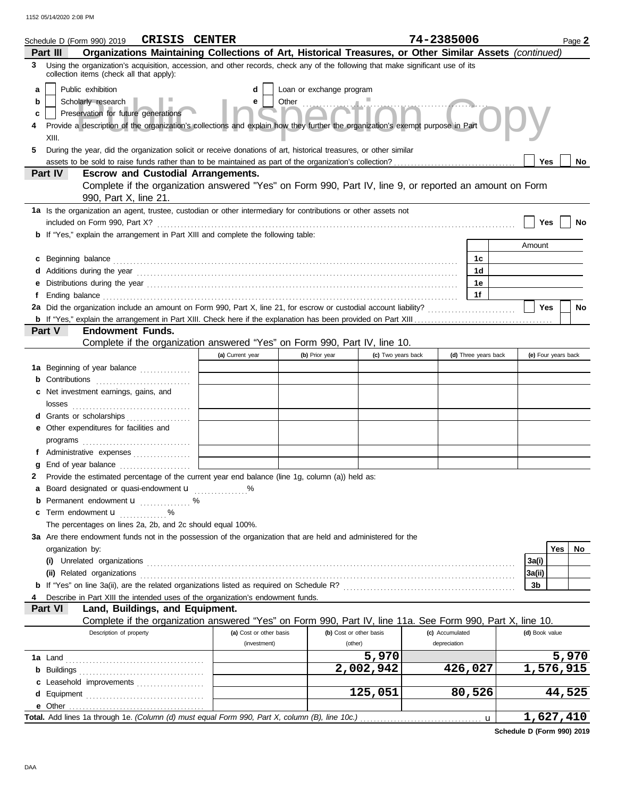|   | <b>CRISIS CENTER</b><br>Schedule D (Form 990) 2019                                                                                                                                                                                   |                                              |                          |                         | 74-2385006           |              |                | Page 2                 |
|---|--------------------------------------------------------------------------------------------------------------------------------------------------------------------------------------------------------------------------------------|----------------------------------------------|--------------------------|-------------------------|----------------------|--------------|----------------|------------------------|
|   | Organizations Maintaining Collections of Art, Historical Treasures, or Other Similar Assets (continued)<br>Part III                                                                                                                  |                                              |                          |                         |                      |              |                |                        |
|   | 3 Using the organization's acquisition, accession, and other records, check any of the following that make significant use of its<br>collection items (check all that apply):                                                        |                                              |                          |                         |                      |              |                |                        |
| a | Public exhibition                                                                                                                                                                                                                    | d                                            | Loan or exchange program |                         |                      |              |                |                        |
| b | Scholarly research                                                                                                                                                                                                                   | е                                            | Other                    |                         |                      |              |                |                        |
| c | Preservation for future generations                                                                                                                                                                                                  |                                              |                          |                         |                      |              |                |                        |
|   | Provide a description of the organization's collections and explain how they further the organization's exempt purpose in Part                                                                                                       |                                              |                          |                         |                      |              |                |                        |
|   | XIII.                                                                                                                                                                                                                                |                                              |                          |                         |                      |              |                |                        |
| 5 | During the year, did the organization solicit or receive donations of art, historical treasures, or other similar                                                                                                                    |                                              |                          |                         |                      |              |                |                        |
|   |                                                                                                                                                                                                                                      |                                              |                          |                         |                      |              | <b>Yes</b>     | No.                    |
|   | Part IV<br><b>Escrow and Custodial Arrangements.</b>                                                                                                                                                                                 |                                              |                          |                         |                      |              |                |                        |
|   | Complete if the organization answered "Yes" on Form 990, Part IV, line 9, or reported an amount on Form                                                                                                                              |                                              |                          |                         |                      |              |                |                        |
|   | 990, Part X, line 21.                                                                                                                                                                                                                |                                              |                          |                         |                      |              |                |                        |
|   | 1a Is the organization an agent, trustee, custodian or other intermediary for contributions or other assets not                                                                                                                      |                                              |                          |                         |                      |              |                |                        |
|   | included on Form 990, Part X?                                                                                                                                                                                                        |                                              |                          |                         |                      |              | Yes            | No                     |
|   | <b>b</b> If "Yes," explain the arrangement in Part XIII and complete the following table:                                                                                                                                            |                                              |                          |                         |                      |              |                |                        |
|   |                                                                                                                                                                                                                                      |                                              |                          |                         |                      | Amount       |                |                        |
|   | c Beginning balance <b>contract the contract of the contract of the contract of the contract of the contract of the contract of the contract of the contract of the contract of the contract of the contract of the contract of </b> |                                              |                          |                         | 1c                   |              |                |                        |
|   |                                                                                                                                                                                                                                      |                                              |                          |                         | 1d                   |              |                |                        |
| е |                                                                                                                                                                                                                                      |                                              |                          |                         | 1e                   |              |                |                        |
| f | Ending balance <b>construction and the construction of the construction</b> of the construction of the construction of the construction of the construction of the construction of the construction of the construction of the cons  |                                              |                          |                         | 1f                   |              |                |                        |
|   |                                                                                                                                                                                                                                      |                                              |                          |                         |                      |              | <b>Yes</b>     | No                     |
|   |                                                                                                                                                                                                                                      |                                              |                          |                         |                      |              |                |                        |
|   | Part V<br><b>Endowment Funds.</b>                                                                                                                                                                                                    |                                              |                          |                         |                      |              |                |                        |
|   | Complete if the organization answered "Yes" on Form 990, Part IV, line 10.                                                                                                                                                           |                                              |                          |                         |                      |              |                |                        |
|   |                                                                                                                                                                                                                                      | (a) Current year                             | (b) Prior year           | (c) Two years back      | (d) Three years back |              |                | (e) Four years back    |
|   | 1a Beginning of year balance                                                                                                                                                                                                         | the control of the control of the control of |                          |                         |                      |              |                |                        |
|   | <b>b</b> Contributions <b>contributions</b>                                                                                                                                                                                          |                                              |                          |                         |                      |              |                |                        |
|   | c Net investment earnings, gains, and                                                                                                                                                                                                |                                              |                          |                         |                      |              |                |                        |
|   |                                                                                                                                                                                                                                      |                                              |                          |                         |                      |              |                |                        |
|   | d Grants or scholarships                                                                                                                                                                                                             |                                              |                          |                         |                      |              |                |                        |
|   | e Other expenditures for facilities and                                                                                                                                                                                              |                                              |                          |                         |                      |              |                |                        |
|   |                                                                                                                                                                                                                                      |                                              |                          |                         |                      |              |                |                        |
|   | f Administrative expenses                                                                                                                                                                                                            |                                              |                          |                         |                      |              |                |                        |
| g |                                                                                                                                                                                                                                      |                                              |                          |                         |                      |              |                |                        |
| 2 | Provide the estimated percentage of the current year end balance (line 1g, column (a)) held as:                                                                                                                                      |                                              |                          |                         |                      |              |                |                        |
|   | a Board designated or quasi-endowment u %                                                                                                                                                                                            |                                              |                          |                         |                      |              |                |                        |
|   | Permanent endowment <b>u</b> %                                                                                                                                                                                                       |                                              |                          |                         |                      |              |                |                        |
|   | Term endowment <b>u</b>                                                                                                                                                                                                              |                                              |                          |                         |                      |              |                |                        |
| c | The percentages on lines 2a, 2b, and 2c should equal 100%.                                                                                                                                                                           |                                              |                          |                         |                      |              |                |                        |
|   |                                                                                                                                                                                                                                      |                                              |                          |                         |                      |              |                |                        |
|   | 3a Are there endowment funds not in the possession of the organization that are held and administered for the                                                                                                                        |                                              |                          |                         |                      |              |                |                        |
|   | organization by:                                                                                                                                                                                                                     |                                              |                          |                         |                      |              | Yes            | No.                    |
|   |                                                                                                                                                                                                                                      |                                              |                          |                         |                      | 3a(i)        |                |                        |
|   |                                                                                                                                                                                                                                      |                                              |                          |                         |                      | 3a(ii)       |                |                        |
|   |                                                                                                                                                                                                                                      |                                              |                          |                         |                      | 3b           |                |                        |
|   | Describe in Part XIII the intended uses of the organization's endowment funds.                                                                                                                                                       |                                              |                          |                         |                      |              |                |                        |
|   | Part VI<br>Land, Buildings, and Equipment.                                                                                                                                                                                           |                                              |                          |                         |                      |              |                |                        |
|   | Complete if the organization answered "Yes" on Form 990, Part IV, line 11a. See Form 990, Part X, line 10.                                                                                                                           |                                              |                          |                         |                      |              |                |                        |
|   | Description of property                                                                                                                                                                                                              | (a) Cost or other basis                      |                          | (b) Cost or other basis | (c) Accumulated      |              | (d) Book value |                        |
|   |                                                                                                                                                                                                                                      | (investment)                                 |                          | (other)                 | depreciation         |              |                |                        |
|   |                                                                                                                                                                                                                                      |                                              |                          | 5,970                   |                      |              |                | 5,970                  |
|   |                                                                                                                                                                                                                                      |                                              |                          | 2,002,942               | 426,027              |              |                | $\overline{1,576,915}$ |
|   | c Leasehold improvements                                                                                                                                                                                                             |                                              |                          |                         |                      |              |                |                        |
|   |                                                                                                                                                                                                                                      |                                              |                          | 125,051                 | 80,526               |              |                | 44,525                 |
|   |                                                                                                                                                                                                                                      |                                              |                          |                         |                      |              |                |                        |
|   | Total. Add lines 1a through 1e. (Column (d) must equal Form 990, Part X, column (B), line 10c.)                                                                                                                                      |                                              |                          |                         |                      | $\mathbf{u}$ |                | 1,627,410              |

**Schedule D (Form 990) 2019**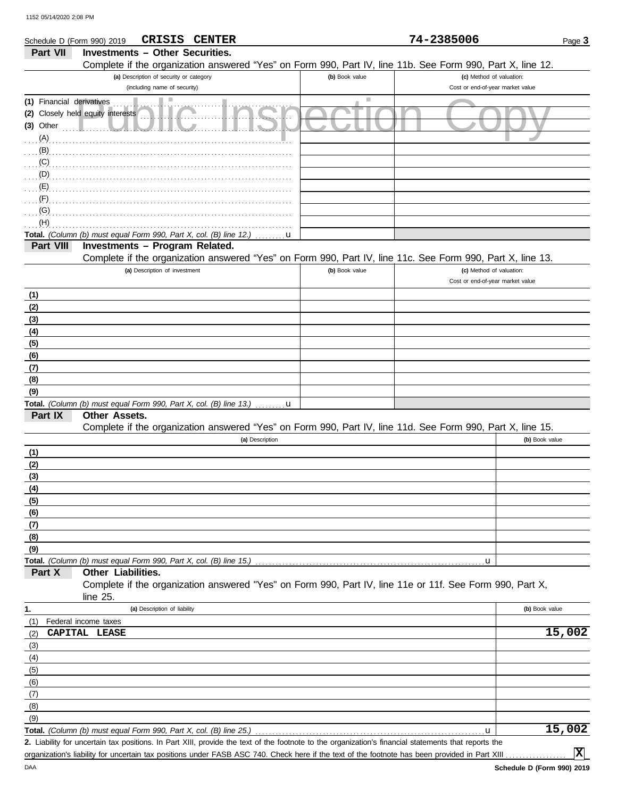| Schedule D (Form 990) 2019 | <b>CRISIS CENTER</b>                                                                                       |                | 74-2385006                       | Page 3         |
|----------------------------|------------------------------------------------------------------------------------------------------------|----------------|----------------------------------|----------------|
| Part VII                   | <b>Investments - Other Securities.</b>                                                                     |                |                                  |                |
|                            | Complete if the organization answered "Yes" on Form 990, Part IV, line 11b. See Form 990, Part X, line 12. |                |                                  |                |
|                            | (a) Description of security or category                                                                    | (b) Book value | (c) Method of valuation:         |                |
|                            | (including name of security)                                                                               |                | Cost or end-of-year market value |                |
| (1) Financial derivatives  |                                                                                                            | ш              |                                  |                |
|                            | (2) Closely held equity interests                                                                          |                |                                  |                |
| $(3)$ Other                |                                                                                                            |                |                                  |                |
| (A)                        |                                                                                                            |                |                                  |                |
| $\ldots$ (B)               |                                                                                                            |                |                                  |                |
| (C)                        |                                                                                                            |                |                                  |                |
| (D)                        |                                                                                                            |                |                                  |                |
| (E)                        |                                                                                                            |                |                                  |                |
| (F)                        |                                                                                                            |                |                                  |                |
| $\ldots$ (G)               |                                                                                                            |                |                                  |                |
| (H)                        |                                                                                                            |                |                                  |                |
|                            | Total. (Column (b) must equal Form 990, Part X, col. (B) line 12.)<br>u                                    |                |                                  |                |
| Part VIII                  | Investments - Program Related.                                                                             |                |                                  |                |
|                            | Complete if the organization answered "Yes" on Form 990, Part IV, line 11c. See Form 990, Part X, line 13. |                |                                  |                |
|                            | (a) Description of investment                                                                              | (b) Book value | (c) Method of valuation:         |                |
|                            |                                                                                                            |                | Cost or end-of-year market value |                |
| (1)                        |                                                                                                            |                |                                  |                |
| (2)                        |                                                                                                            |                |                                  |                |
| (3)                        |                                                                                                            |                |                                  |                |
| (4)                        |                                                                                                            |                |                                  |                |
| (5)                        |                                                                                                            |                |                                  |                |
| (6)                        |                                                                                                            |                |                                  |                |
| (7)                        |                                                                                                            |                |                                  |                |
| (8)                        |                                                                                                            |                |                                  |                |
| (9)                        |                                                                                                            |                |                                  |                |
| Part IX                    | Total. (Column (b) must equal Form 990, Part X, col. (B) line 13.)<br>u<br>Other Assets.                   |                |                                  |                |
|                            | Complete if the organization answered "Yes" on Form 990, Part IV, line 11d. See Form 990, Part X, line 15. |                |                                  |                |
|                            | (a) Description                                                                                            |                |                                  | (b) Book value |
| (1)                        |                                                                                                            |                |                                  |                |
| (2)                        |                                                                                                            |                |                                  |                |
| (3)                        |                                                                                                            |                |                                  |                |
| (4)                        |                                                                                                            |                |                                  |                |
| <u>(5)</u>                 |                                                                                                            |                |                                  |                |
| (6)                        |                                                                                                            |                |                                  |                |
| (7)                        |                                                                                                            |                |                                  |                |
| (8)                        |                                                                                                            |                |                                  |                |
| (9)                        |                                                                                                            |                |                                  |                |
|                            | Total. (Column (b) must equal Form 990, Part X, col. (B) line 15.)                                         |                | u                                |                |
| Part X                     | Other Liabilities.                                                                                         |                |                                  |                |
|                            | Complete if the organization answered "Yes" on Form 990, Part IV, line 11e or 11f. See Form 990, Part X,   |                |                                  |                |
|                            | line 25.                                                                                                   |                |                                  |                |
| 1.                         | (a) Description of liability                                                                               |                |                                  | (b) Book value |
| (1)                        | Federal income taxes                                                                                       |                |                                  |                |
| (2)                        | CAPITAL LEASE                                                                                              |                |                                  | 15,002         |
| (3)                        |                                                                                                            |                |                                  |                |
| (4)                        |                                                                                                            |                |                                  |                |
| (5)                        |                                                                                                            |                |                                  |                |
| (6)                        |                                                                                                            |                |                                  |                |
| (7)                        |                                                                                                            |                |                                  |                |
| (8)                        |                                                                                                            |                |                                  |                |
| (9)                        |                                                                                                            |                |                                  |                |
|                            | Total. (Column (b) must equal Form 990, Part X, col. (B) line 25.)                                         |                | u                                | 15,002         |

Liability for uncertain tax positions. In Part XIII, provide the text of the footnote to the organization's financial statements that reports the **2.** organization's liability for uncertain tax positions under FASB ASC 740. Check here if the text of the footnote has been provided in Part XIII

**X**

| $74 - 231$ |  |  |
|------------|--|--|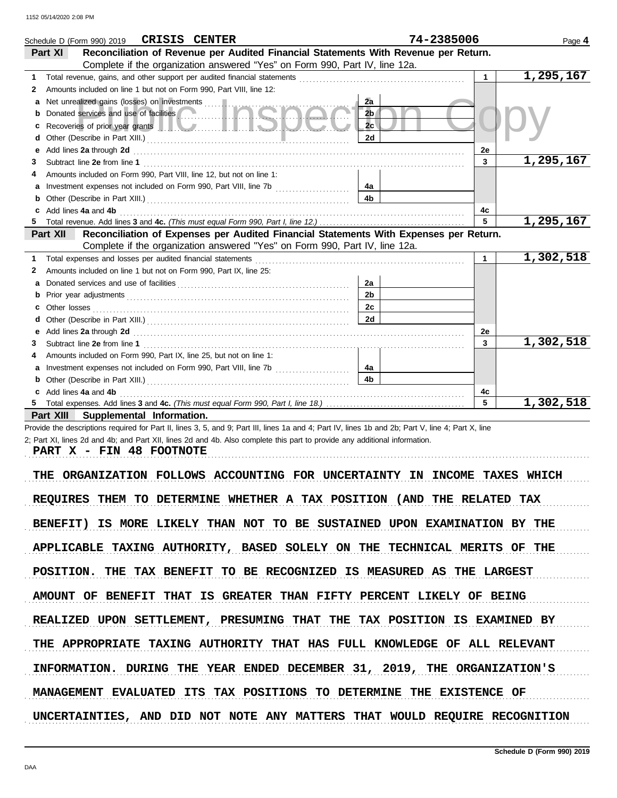| Schedule D (Form 990) 2019 CRISIS CENTER                                                                                                                                                                                                                                              |    | 74-2385006   | Page 4                 |
|---------------------------------------------------------------------------------------------------------------------------------------------------------------------------------------------------------------------------------------------------------------------------------------|----|--------------|------------------------|
| Reconciliation of Revenue per Audited Financial Statements With Revenue per Return.<br>Part XI                                                                                                                                                                                        |    |              |                        |
| Complete if the organization answered "Yes" on Form 990, Part IV, line 12a.                                                                                                                                                                                                           |    |              |                        |
| 1.                                                                                                                                                                                                                                                                                    |    | $\mathbf{1}$ | $\overline{1,295,167}$ |
| Amounts included on line 1 but not on Form 990, Part VIII, line 12:<br>2                                                                                                                                                                                                              | 2a |              |                        |
| Net unrealized gains (losses) on investments [111]<br>a<br>Donated services and use of facilities <b>Community of the Service Services</b><br>b                                                                                                                                       | 2b |              |                        |
| Recoveries of prior year grants <b>that the contract of prior</b> years of prior year grants <b>that the contract of the contract of the contract of the contract of the contract of the contract of the contract of the contract of </b><br>c                                        | 2c |              |                        |
| d                                                                                                                                                                                                                                                                                     | 2d |              |                        |
| Add lines 2a through 2d [11] Martin Martin Martin Martin Martin Martin Martin Martin Martin Martin Martin Martin Martin Martin Martin Martin Martin Martin Martin Martin Martin Martin Martin Martin Martin Martin Martin Mart<br>е                                                   |    | 2e           |                        |
| 3                                                                                                                                                                                                                                                                                     |    | 3            | 1,295,167              |
| Amounts included on Form 990, Part VIII, line 12, but not on line 1:<br>4                                                                                                                                                                                                             |    |              |                        |
|                                                                                                                                                                                                                                                                                       | 4a |              |                        |
|                                                                                                                                                                                                                                                                                       | 4b |              |                        |
| c Add lines 4a and 4b (a) and $\frac{4}{3}$ and $\frac{4}{3}$ and $\frac{4}{3}$ and $\frac{4}{3}$ and $\frac{4}{3}$ and $\frac{4}{3}$ and $\frac{4}{3}$ and $\frac{4}{3}$ and $\frac{4}{3}$ and $\frac{4}{3}$ and $\frac{4}{3}$ and $\frac{4}{3}$ and $\frac{4}{3}$ and $\frac{4}{3}$ |    | 4c           |                        |
|                                                                                                                                                                                                                                                                                       |    | 5            | 1,295,167              |
| Reconciliation of Expenses per Audited Financial Statements With Expenses per Return.<br>Part XII<br>Complete if the organization answered "Yes" on Form 990, Part IV, line 12a.                                                                                                      |    |              |                        |
| 1.                                                                                                                                                                                                                                                                                    |    | 1            | 1,302,518              |
| Amounts included on line 1 but not on Form 990, Part IX, line 25:<br>2                                                                                                                                                                                                                |    |              |                        |
| a                                                                                                                                                                                                                                                                                     | 2a |              |                        |
| b                                                                                                                                                                                                                                                                                     | 2b |              |                        |
| C                                                                                                                                                                                                                                                                                     | 2c |              |                        |
| d                                                                                                                                                                                                                                                                                     | 2d |              |                        |
| e Add lines 2a through 2d (and all contains and all contains and all contains and all contains and all contains and all contains and all contains and all contains and all contains and all contains and all contains and all                                                         |    | 2e           |                        |
| 3.                                                                                                                                                                                                                                                                                    |    | 3            | 1,302,518              |
| Amounts included on Form 990, Part IX, line 25, but not on line 1:<br>4                                                                                                                                                                                                               |    |              |                        |
| a Investment expenses not included on Form 990, Part VIII, line 7b [100] [100] [100] [100] [100] [100] [100] [100] [100] [100] [100] [100] [100] [100] [100] [100] [100] [100] [100] [100] [100] [100] [100] [100] [100] [100]                                                        | 4a |              |                        |
|                                                                                                                                                                                                                                                                                       | 4b |              |                        |
| c Add lines 4a and 4b (a) and $\frac{4}{3}$ and $\frac{4}{3}$ and $\frac{4}{3}$ and $\frac{4}{3}$ and $\frac{4}{3}$ and $\frac{4}{3}$ and $\frac{4}{3}$ and $\frac{4}{3}$ and $\frac{4}{3}$ and $\frac{4}{3}$ and $\frac{4}{3}$ and $\frac{4}{3}$ and $\frac{4}{3}$ and $\frac{4}{3}$ |    | 4c           |                        |
|                                                                                                                                                                                                                                                                                       |    | 5            | 1,302,518              |
| Part XIII Supplemental Information.                                                                                                                                                                                                                                                   |    |              |                        |
| Provide the descriptions required for Part II, lines 3, 5, and 9; Part III, lines 1a and 4; Part IV, lines 1b and 2b; Part V, line 4; Part X, line<br>2; Part XI, lines 2d and 4b; and Part XII, lines 2d and 4b. Also complete this part to provide any additional information.      |    |              |                        |
| PART X - FIN 48 FOOTNOTE                                                                                                                                                                                                                                                              |    |              |                        |
|                                                                                                                                                                                                                                                                                       |    |              |                        |
| THE ORGANIZATION FOLLOWS ACCOUNTING FOR UNCERTAINTY IN INCOME TAXES WHICH                                                                                                                                                                                                             |    |              |                        |
|                                                                                                                                                                                                                                                                                       |    |              |                        |
| REQUIRES THEM TO DETERMINE WHETHER A TAX POSITION (AND THE RELATED TAX                                                                                                                                                                                                                |    |              |                        |
|                                                                                                                                                                                                                                                                                       |    |              |                        |
| BENEFIT) IS MORE LIKELY THAN NOT TO BE SUSTAINED UPON EXAMINATION BY THE                                                                                                                                                                                                              |    |              |                        |
|                                                                                                                                                                                                                                                                                       |    |              |                        |
| APPLICABLE TAXING AUTHORITY, BASED SOLELY ON THE TECHNICAL MERITS OF THE                                                                                                                                                                                                              |    |              |                        |
|                                                                                                                                                                                                                                                                                       |    |              |                        |
| POSITION. THE TAX BENEFIT TO BE RECOGNIZED IS MEASURED AS THE LARGEST                                                                                                                                                                                                                 |    |              |                        |
|                                                                                                                                                                                                                                                                                       |    |              |                        |

AMOUNT OF BENEFIT THAT IS GREATER THAN FIFTY PERCENT LIKELY OF BEING

REALIZED UPON SETTLEMENT, PRESUMING THAT THE TAX POSITION IS EXAMINED BY

THE APPROPRIATE TAXING AUTHORITY THAT HAS FULL KNOWLEDGE OF ALL RELEVANT

INFORMATION. DURING THE YEAR ENDED DECEMBER 31, 2019, THE ORGANIZATION'S

MANAGEMENT EVALUATED ITS TAX POSITIONS TO DETERMINE THE EXISTENCE OF

UNCERTAINTIES, AND DID NOT NOTE ANY MATTERS THAT WOULD REQUIRE RECOGNITION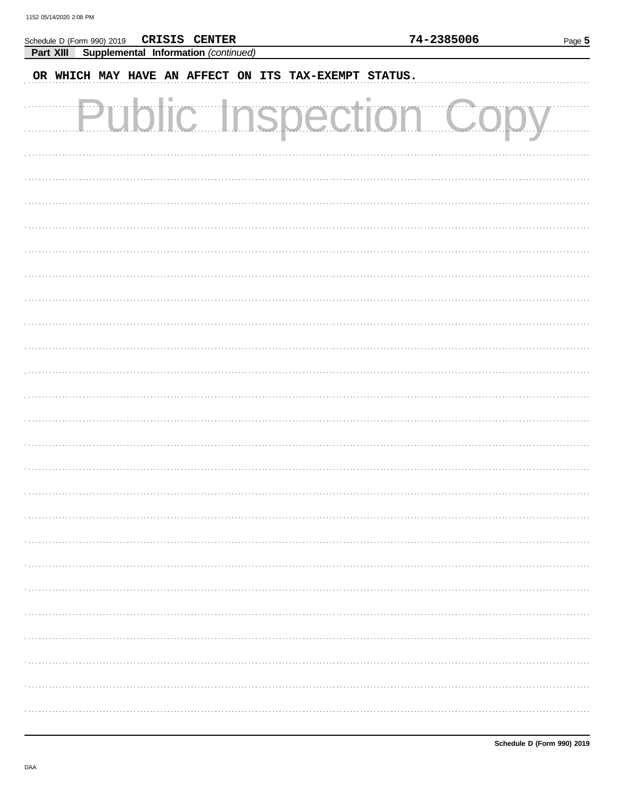| Schedule D (Form 990) 2019 CRISIS CENTER              | 74-2385006<br>Page 5 |
|-------------------------------------------------------|----------------------|
| Supplemental Information (continued)<br>Part XIII     |                      |
| OR WHICH MAY HAVE AN AFFECT ON ITS TAX-EXEMPT STATUS. |                      |
| <b>Public Inspection Co</b>                           |                      |
|                                                       |                      |
|                                                       |                      |
|                                                       |                      |
|                                                       |                      |
|                                                       |                      |
|                                                       |                      |
|                                                       |                      |
|                                                       |                      |
|                                                       |                      |
|                                                       |                      |
|                                                       |                      |
|                                                       |                      |
|                                                       |                      |
|                                                       |                      |
|                                                       |                      |
|                                                       |                      |
|                                                       |                      |
|                                                       |                      |
|                                                       |                      |
|                                                       |                      |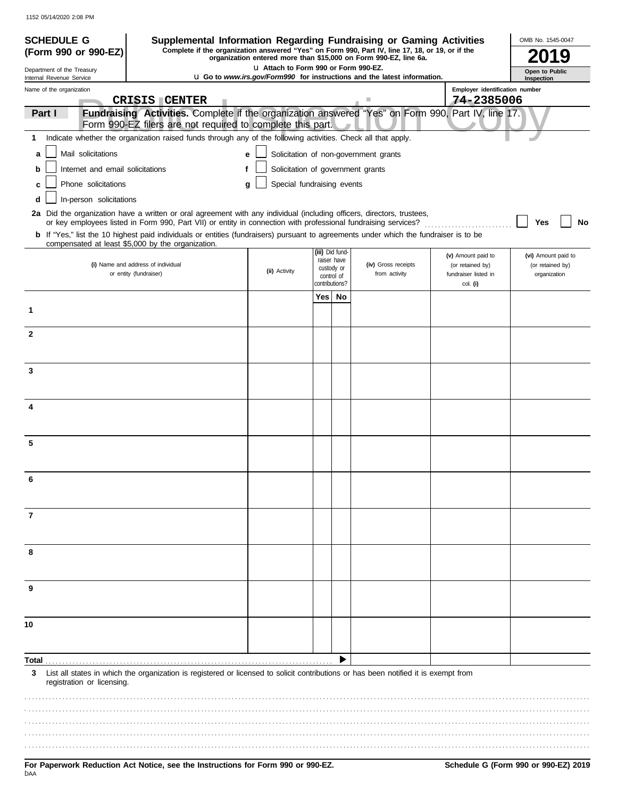| <b>SCHEDULE G</b><br>(Form 990 or 990-EZ)            | Supplemental Information Regarding Fundraising or Gaming Activities<br>Complete if the organization answered "Yes" on Form 990, Part IV, line 17, 18, or 19, or if the                                                                                  | organization entered more than \$15,000 on Form 990-EZ, line 6a.                |     |                                |                     |                                        | OMB No. 1545-0047<br>g                  |
|------------------------------------------------------|---------------------------------------------------------------------------------------------------------------------------------------------------------------------------------------------------------------------------------------------------------|---------------------------------------------------------------------------------|-----|--------------------------------|---------------------|----------------------------------------|-----------------------------------------|
| Department of the Treasury                           |                                                                                                                                                                                                                                                         | L1 Attach to Form 990 or Form 990-EZ.                                           |     |                                |                     |                                        | Open to Public                          |
| Internal Revenue Service<br>Name of the organization |                                                                                                                                                                                                                                                         | <b>u</b> Go to www.irs.gov/Form990 for instructions and the latest information. |     |                                |                     | Employer identification number         | Inspection                              |
|                                                      | <b>CRISIS CENTER</b>                                                                                                                                                                                                                                    |                                                                                 |     |                                |                     | 74-2385006                             |                                         |
| Part I                                               | Fundraising Activities. Complete if the organization answered "Yes" on Form 990, Part IV, line 17.<br>Form 990-EZ filers are not required to complete this part.                                                                                        |                                                                                 |     | $\mathcal{N}$                  |                     |                                        |                                         |
| 1.                                                   | Indicate whether the organization raised funds through any of the following activities. Check all that apply.                                                                                                                                           |                                                                                 |     |                                |                     |                                        |                                         |
| Mail solicitations<br>a                              |                                                                                                                                                                                                                                                         | Solicitation of non-government grants<br>е                                      |     |                                |                     |                                        |                                         |
| Internet and email solicitations<br>b                | f                                                                                                                                                                                                                                                       | Solicitation of government grants                                               |     |                                |                     |                                        |                                         |
| Phone solicitations<br>c                             |                                                                                                                                                                                                                                                         | Special fundraising events<br>g                                                 |     |                                |                     |                                        |                                         |
| In-person solicitations<br>d                         |                                                                                                                                                                                                                                                         |                                                                                 |     |                                |                     |                                        |                                         |
|                                                      | 2a Did the organization have a written or oral agreement with any individual (including officers, directors, trustees,                                                                                                                                  |                                                                                 |     |                                |                     |                                        |                                         |
|                                                      | or key employees listed in Form 990, Part VII) or entity in connection with professional fundraising services?<br>b If "Yes," list the 10 highest paid individuals or entities (fundraisers) pursuant to agreements under which the fundraiser is to be |                                                                                 |     |                                |                     |                                        | No<br>Yes                               |
|                                                      | compensated at least \$5,000 by the organization.                                                                                                                                                                                                       |                                                                                 |     |                                |                     |                                        |                                         |
|                                                      | (i) Name and address of individual                                                                                                                                                                                                                      |                                                                                 |     | (iii) Did fund-<br>raiser have | (iv) Gross receipts | (v) Amount paid to<br>(or retained by) | (vi) Amount paid to<br>(or retained by) |
|                                                      | or entity (fundraiser)                                                                                                                                                                                                                                  | (ii) Activity                                                                   |     | custody or<br>control of       | from activity       | fundraiser listed in                   | organization                            |
|                                                      |                                                                                                                                                                                                                                                         |                                                                                 | Yes | contributions?<br>No           |                     | col. (i)                               |                                         |
| 1                                                    |                                                                                                                                                                                                                                                         |                                                                                 |     |                                |                     |                                        |                                         |
|                                                      |                                                                                                                                                                                                                                                         |                                                                                 |     |                                |                     |                                        |                                         |
| $\mathbf{2}$                                         |                                                                                                                                                                                                                                                         |                                                                                 |     |                                |                     |                                        |                                         |
|                                                      |                                                                                                                                                                                                                                                         |                                                                                 |     |                                |                     |                                        |                                         |
| 3                                                    |                                                                                                                                                                                                                                                         |                                                                                 |     |                                |                     |                                        |                                         |
|                                                      |                                                                                                                                                                                                                                                         |                                                                                 |     |                                |                     |                                        |                                         |
|                                                      |                                                                                                                                                                                                                                                         |                                                                                 |     |                                |                     |                                        |                                         |
| 4                                                    |                                                                                                                                                                                                                                                         |                                                                                 |     |                                |                     |                                        |                                         |
|                                                      |                                                                                                                                                                                                                                                         |                                                                                 |     |                                |                     |                                        |                                         |
| 5                                                    |                                                                                                                                                                                                                                                         |                                                                                 |     |                                |                     |                                        |                                         |
|                                                      |                                                                                                                                                                                                                                                         |                                                                                 |     |                                |                     |                                        |                                         |
| 6                                                    |                                                                                                                                                                                                                                                         |                                                                                 |     |                                |                     |                                        |                                         |
|                                                      |                                                                                                                                                                                                                                                         |                                                                                 |     |                                |                     |                                        |                                         |
|                                                      |                                                                                                                                                                                                                                                         |                                                                                 |     |                                |                     |                                        |                                         |
| 7                                                    |                                                                                                                                                                                                                                                         |                                                                                 |     |                                |                     |                                        |                                         |
|                                                      |                                                                                                                                                                                                                                                         |                                                                                 |     |                                |                     |                                        |                                         |
| 8                                                    |                                                                                                                                                                                                                                                         |                                                                                 |     |                                |                     |                                        |                                         |
|                                                      |                                                                                                                                                                                                                                                         |                                                                                 |     |                                |                     |                                        |                                         |
|                                                      |                                                                                                                                                                                                                                                         |                                                                                 |     |                                |                     |                                        |                                         |
| 9                                                    |                                                                                                                                                                                                                                                         |                                                                                 |     |                                |                     |                                        |                                         |
|                                                      |                                                                                                                                                                                                                                                         |                                                                                 |     |                                |                     |                                        |                                         |
| 10                                                   |                                                                                                                                                                                                                                                         |                                                                                 |     |                                |                     |                                        |                                         |
|                                                      |                                                                                                                                                                                                                                                         |                                                                                 |     |                                |                     |                                        |                                         |
|                                                      |                                                                                                                                                                                                                                                         |                                                                                 |     |                                |                     |                                        |                                         |
| 3<br>registration or licensing.                      | List all states in which the organization is registered or licensed to solicit contributions or has been notified it is exempt from                                                                                                                     |                                                                                 |     |                                |                     |                                        |                                         |
|                                                      |                                                                                                                                                                                                                                                         |                                                                                 |     |                                |                     |                                        |                                         |
|                                                      |                                                                                                                                                                                                                                                         |                                                                                 |     |                                |                     |                                        |                                         |
|                                                      |                                                                                                                                                                                                                                                         |                                                                                 |     |                                |                     |                                        |                                         |
|                                                      |                                                                                                                                                                                                                                                         |                                                                                 |     |                                |                     |                                        |                                         |
|                                                      |                                                                                                                                                                                                                                                         |                                                                                 |     |                                |                     |                                        |                                         |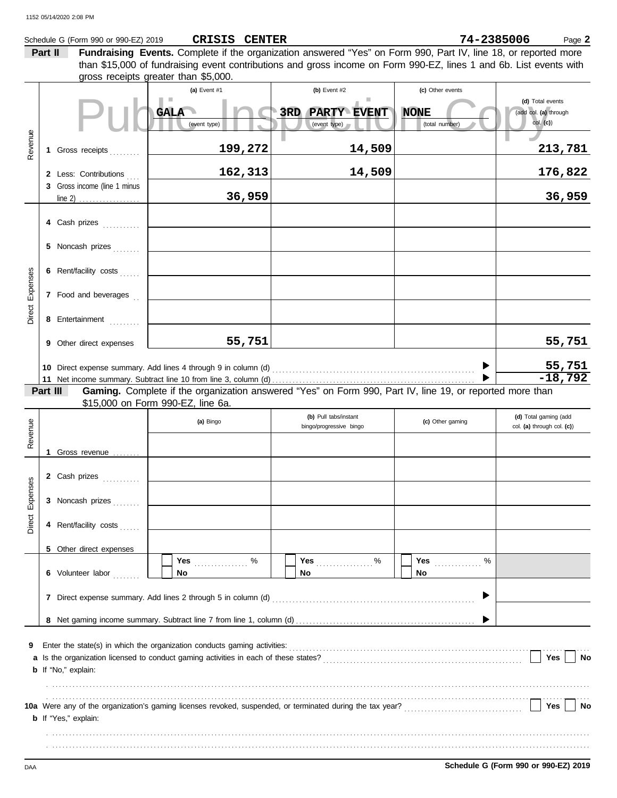| 74-2385006<br>Schedule G (Form 990 or 990-EZ) 2019<br>CRISIS CENTER<br>Fundraising Events. Complete if the organization answered "Yes" on Form 990, Part IV, line 18, or reported more |          |                                                  |                                             |                                                                                                                                                                                                                        |                                                   |                                                        |  |  |
|----------------------------------------------------------------------------------------------------------------------------------------------------------------------------------------|----------|--------------------------------------------------|---------------------------------------------|------------------------------------------------------------------------------------------------------------------------------------------------------------------------------------------------------------------------|---------------------------------------------------|--------------------------------------------------------|--|--|
|                                                                                                                                                                                        | Part II  |                                                  |                                             |                                                                                                                                                                                                                        |                                                   |                                                        |  |  |
|                                                                                                                                                                                        |          |                                                  |                                             | than \$15,000 of fundraising event contributions and gross income on Form 990-EZ, lines 1 and 6b. List events with                                                                                                     |                                                   |                                                        |  |  |
|                                                                                                                                                                                        |          |                                                  | gross receipts greater than \$5,000.        |                                                                                                                                                                                                                        |                                                   |                                                        |  |  |
|                                                                                                                                                                                        |          |                                                  | (a) Event #1<br><b>GALA</b><br>(event type) | (b) Event $#2$<br>3RD<br>PARTY EVENT<br>(event type)                                                                                                                                                                   | (c) Other events<br><b>NONE</b><br>(total number) | (d) Total events<br>(add col. (a) through<br>col. (c)) |  |  |
| Revenue                                                                                                                                                                                | 1        | Gross receipts                                   | 199,272                                     | 14,509                                                                                                                                                                                                                 |                                                   | 213,781                                                |  |  |
|                                                                                                                                                                                        |          | 2 Less: Contributions                            | 162,313                                     | 14,509                                                                                                                                                                                                                 |                                                   | 176,822                                                |  |  |
|                                                                                                                                                                                        |          | 3 Gross income (line 1 minus<br>line 2) $\ldots$ | 36,959                                      |                                                                                                                                                                                                                        |                                                   | 36,959                                                 |  |  |
|                                                                                                                                                                                        |          | 4 Cash prizes                                    |                                             |                                                                                                                                                                                                                        |                                                   |                                                        |  |  |
|                                                                                                                                                                                        |          | 5 Noncash prizes                                 |                                             |                                                                                                                                                                                                                        |                                                   |                                                        |  |  |
|                                                                                                                                                                                        |          | 6 Rent/facility costs                            |                                             |                                                                                                                                                                                                                        |                                                   |                                                        |  |  |
| Direct Expenses                                                                                                                                                                        |          | 7 Food and beverages                             |                                             |                                                                                                                                                                                                                        |                                                   |                                                        |  |  |
|                                                                                                                                                                                        |          | 8 Entertainment                                  |                                             |                                                                                                                                                                                                                        |                                                   |                                                        |  |  |
|                                                                                                                                                                                        |          | 9 Other direct expenses                          | 55,751                                      |                                                                                                                                                                                                                        |                                                   | 55,751                                                 |  |  |
|                                                                                                                                                                                        |          |                                                  |                                             |                                                                                                                                                                                                                        |                                                   | <u>55,751</u><br>$-18,792$                             |  |  |
|                                                                                                                                                                                        | Part III |                                                  |                                             | Gaming. Complete if the organization answered "Yes" on Form 990, Part IV, line 19, or reported more than                                                                                                               |                                                   |                                                        |  |  |
|                                                                                                                                                                                        |          |                                                  | \$15,000 on Form 990-EZ, line 6a.           |                                                                                                                                                                                                                        |                                                   |                                                        |  |  |
| Revenue                                                                                                                                                                                |          |                                                  | (a) Bingo                                   | (b) Pull tabs/instant<br>bingo/progressive bingo                                                                                                                                                                       | (c) Other gaming                                  | (d) Total gaming (add<br>col. (a) through col. (c))    |  |  |
|                                                                                                                                                                                        |          | 1 Gross revenue                                  |                                             |                                                                                                                                                                                                                        |                                                   |                                                        |  |  |
| 8                                                                                                                                                                                      |          | 2 Cash prizes                                    |                                             |                                                                                                                                                                                                                        |                                                   |                                                        |  |  |
| Expens                                                                                                                                                                                 |          | 3 Noncash prizes                                 |                                             |                                                                                                                                                                                                                        |                                                   |                                                        |  |  |
| Direct                                                                                                                                                                                 |          | 4 Rent/facility costs                            |                                             |                                                                                                                                                                                                                        |                                                   |                                                        |  |  |
|                                                                                                                                                                                        |          | 5 Other direct expenses                          |                                             |                                                                                                                                                                                                                        |                                                   |                                                        |  |  |
|                                                                                                                                                                                        |          | 6 Volunteer labor                                | No                                          | Yes $%$<br><b>No</b>                                                                                                                                                                                                   | <b>Yes</b> ______________<br>%<br>No              |                                                        |  |  |
|                                                                                                                                                                                        |          |                                                  |                                             |                                                                                                                                                                                                                        |                                                   |                                                        |  |  |
|                                                                                                                                                                                        |          |                                                  |                                             |                                                                                                                                                                                                                        |                                                   |                                                        |  |  |
| 9                                                                                                                                                                                      |          |                                                  |                                             |                                                                                                                                                                                                                        |                                                   |                                                        |  |  |
|                                                                                                                                                                                        |          | <b>b</b> If "No," explain:                       |                                             |                                                                                                                                                                                                                        |                                                   | Yes<br>No                                              |  |  |
|                                                                                                                                                                                        |          |                                                  |                                             |                                                                                                                                                                                                                        |                                                   |                                                        |  |  |
|                                                                                                                                                                                        |          | <b>b</b> If "Yes," explain:                      |                                             | 10a Were any of the organization's gaming licenses revoked, suspended, or terminated during the tax year?<br>10a Were any of the organization's gaming licenses revoked, suspended, or terminated during the tax year? |                                                   | Yes<br>No                                              |  |  |
|                                                                                                                                                                                        |          |                                                  |                                             |                                                                                                                                                                                                                        |                                                   |                                                        |  |  |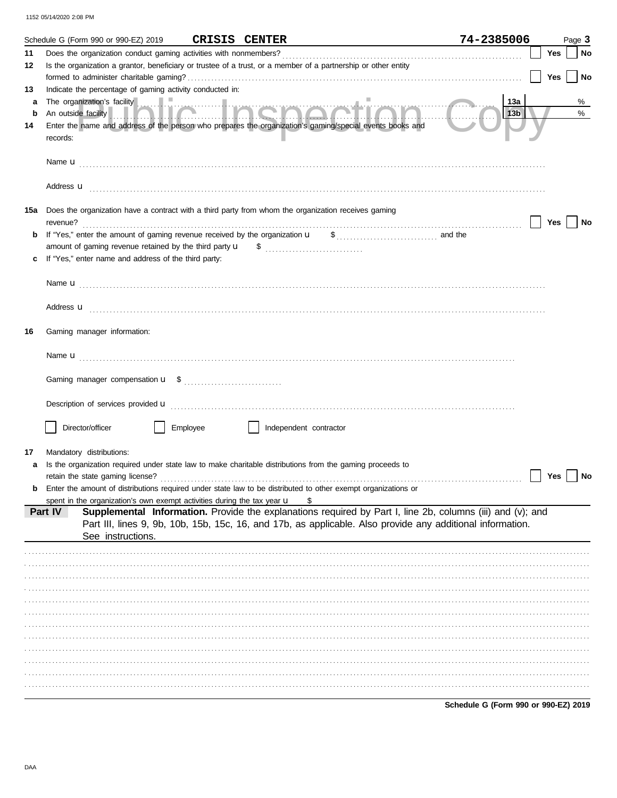|         |          | Schedule G (Form 990 or 990-EZ) 2019                                                                                                                                                                                                    |          | <b>CRISIS CENTER</b>                                                                                                                                                                                                     |    | 74-2385006                           |                        |     | Page 3    |
|---------|----------|-----------------------------------------------------------------------------------------------------------------------------------------------------------------------------------------------------------------------------------------|----------|--------------------------------------------------------------------------------------------------------------------------------------------------------------------------------------------------------------------------|----|--------------------------------------|------------------------|-----|-----------|
| 11      |          | Does the organization conduct gaming activities with nonmembers?                                                                                                                                                                        |          |                                                                                                                                                                                                                          |    |                                      |                        | Yes | No        |
| 12      |          | Is the organization a grantor, beneficiary or trustee of a trust, or a member of a partnership or other entity                                                                                                                          |          |                                                                                                                                                                                                                          |    |                                      |                        |     |           |
|         |          |                                                                                                                                                                                                                                         |          |                                                                                                                                                                                                                          |    |                                      |                        | Yes | No        |
| 13      |          | Indicate the percentage of gaming activity conducted in:                                                                                                                                                                                |          |                                                                                                                                                                                                                          |    |                                      |                        |     |           |
| a       |          | The organization's facility<br>An outside facility <b>All Angles of the Second Angles of the Collection of the Collection of the Collection of the Collection of the Collection of the Collection of the Collection of the Collecti</b> |          |                                                                                                                                                                                                                          |    |                                      | 13а<br>13 <sub>b</sub> |     | %<br>$\%$ |
| b<br>14 |          | Enter the name and address of the person who prepares the organization's gaming/special events books and                                                                                                                                |          |                                                                                                                                                                                                                          |    |                                      |                        |     |           |
|         | records: |                                                                                                                                                                                                                                         |          |                                                                                                                                                                                                                          |    |                                      |                        |     |           |
|         |          |                                                                                                                                                                                                                                         |          |                                                                                                                                                                                                                          |    |                                      |                        |     |           |
|         |          | Address <b>u</b>                                                                                                                                                                                                                        |          |                                                                                                                                                                                                                          |    |                                      |                        |     |           |
| 15a     | revenue? | Does the organization have a contract with a third party from whom the organization receives gaming                                                                                                                                     |          |                                                                                                                                                                                                                          |    |                                      |                        | Yes | No        |
| b       |          |                                                                                                                                                                                                                                         |          |                                                                                                                                                                                                                          |    |                                      |                        |     |           |
|         |          |                                                                                                                                                                                                                                         |          |                                                                                                                                                                                                                          |    |                                      |                        |     |           |
|         |          | If "Yes," enter name and address of the third party:                                                                                                                                                                                    |          |                                                                                                                                                                                                                          |    |                                      |                        |     |           |
|         |          |                                                                                                                                                                                                                                         |          |                                                                                                                                                                                                                          |    |                                      |                        |     |           |
|         |          |                                                                                                                                                                                                                                         |          |                                                                                                                                                                                                                          |    |                                      |                        |     |           |
|         |          |                                                                                                                                                                                                                                         |          |                                                                                                                                                                                                                          |    |                                      |                        |     |           |
|         |          | Address <b>u</b>                                                                                                                                                                                                                        |          |                                                                                                                                                                                                                          |    |                                      |                        |     |           |
| 16      |          | Gaming manager information:                                                                                                                                                                                                             |          |                                                                                                                                                                                                                          |    |                                      |                        |     |           |
|         |          |                                                                                                                                                                                                                                         |          |                                                                                                                                                                                                                          |    |                                      |                        |     |           |
|         |          |                                                                                                                                                                                                                                         |          |                                                                                                                                                                                                                          |    |                                      |                        |     |           |
|         |          |                                                                                                                                                                                                                                         |          |                                                                                                                                                                                                                          |    |                                      |                        |     |           |
|         |          | Director/officer                                                                                                                                                                                                                        | Employee | Independent contractor                                                                                                                                                                                                   |    |                                      |                        |     |           |
| 17      |          | Mandatory distributions:                                                                                                                                                                                                                |          |                                                                                                                                                                                                                          |    |                                      |                        |     |           |
| a       |          | Is the organization required under state law to make charitable distributions from the gaming proceeds to                                                                                                                               |          |                                                                                                                                                                                                                          |    |                                      |                        |     |           |
|         |          | retain the state gaming license?                                                                                                                                                                                                        |          |                                                                                                                                                                                                                          |    |                                      |                        | Yes | No        |
| b       |          | Enter the amount of distributions required under state law to be distributed to other exempt organizations or                                                                                                                           |          |                                                                                                                                                                                                                          |    |                                      |                        |     |           |
|         |          | spent in the organization's own exempt activities during the tax year $\mathbf u$                                                                                                                                                       |          |                                                                                                                                                                                                                          | \$ |                                      |                        |     |           |
|         | Part IV  | See instructions.                                                                                                                                                                                                                       |          | Supplemental Information. Provide the explanations required by Part I, line 2b, columns (iii) and (v); and<br>Part III, lines 9, 9b, 10b, 15b, 15c, 16, and 17b, as applicable. Also provide any additional information. |    |                                      |                        |     |           |
|         |          |                                                                                                                                                                                                                                         |          |                                                                                                                                                                                                                          |    |                                      |                        |     |           |
|         |          |                                                                                                                                                                                                                                         |          |                                                                                                                                                                                                                          |    |                                      |                        |     |           |
|         |          |                                                                                                                                                                                                                                         |          |                                                                                                                                                                                                                          |    |                                      |                        |     |           |
|         |          |                                                                                                                                                                                                                                         |          |                                                                                                                                                                                                                          |    |                                      |                        |     |           |
|         |          |                                                                                                                                                                                                                                         |          |                                                                                                                                                                                                                          |    |                                      |                        |     |           |
|         |          |                                                                                                                                                                                                                                         |          |                                                                                                                                                                                                                          |    |                                      |                        |     |           |
|         |          |                                                                                                                                                                                                                                         |          |                                                                                                                                                                                                                          |    |                                      |                        |     |           |
|         |          |                                                                                                                                                                                                                                         |          |                                                                                                                                                                                                                          |    |                                      |                        |     |           |
|         |          |                                                                                                                                                                                                                                         |          |                                                                                                                                                                                                                          |    |                                      |                        |     |           |
|         |          |                                                                                                                                                                                                                                         |          |                                                                                                                                                                                                                          |    |                                      |                        |     |           |
|         |          |                                                                                                                                                                                                                                         |          |                                                                                                                                                                                                                          |    |                                      |                        |     |           |
|         |          |                                                                                                                                                                                                                                         |          |                                                                                                                                                                                                                          |    |                                      |                        |     |           |
|         |          |                                                                                                                                                                                                                                         |          |                                                                                                                                                                                                                          |    | Schedule G (Form 990 or 990-EZ) 2019 |                        |     |           |